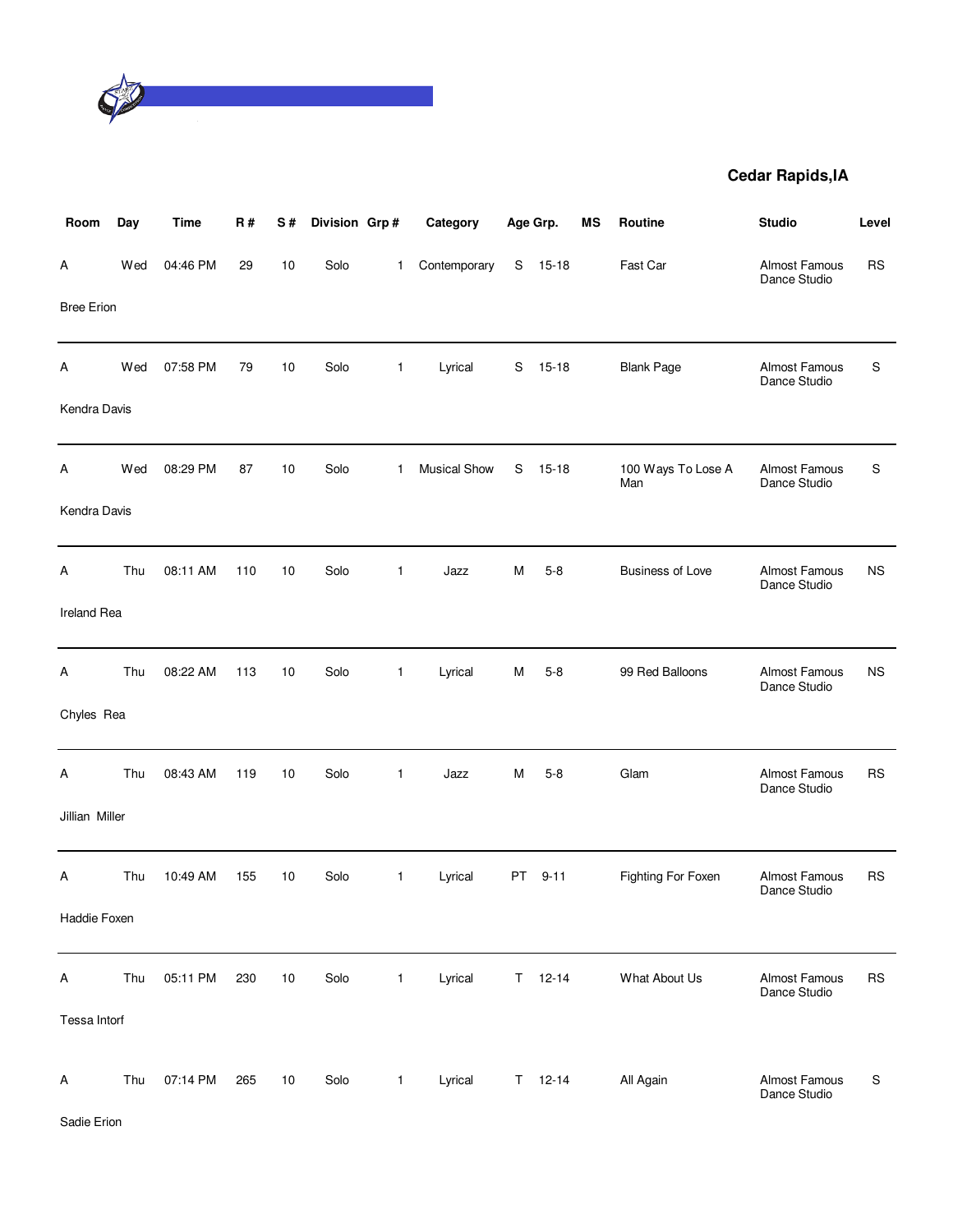

| Room              | Day | <b>Time</b> | <b>R#</b> | S# | Division Grp# |              | Category            |    | Age Grp.      | МS | Routine                   | <b>Studio</b>                        | Level     |
|-------------------|-----|-------------|-----------|----|---------------|--------------|---------------------|----|---------------|----|---------------------------|--------------------------------------|-----------|
| A                 | Wed | 04:46 PM    | 29        | 10 | Solo          | $\mathbf 1$  | Contemporary        | S  | $15-18$       |    | Fast Car                  | <b>Almost Famous</b><br>Dance Studio | <b>RS</b> |
| <b>Bree Erion</b> |     |             |           |    |               |              |                     |    |               |    |                           |                                      |           |
| Α                 | Wed | 07:58 PM    | 79        | 10 | Solo          | $\mathbf{1}$ | Lyrical             | S  | $15 - 18$     |    | <b>Blank Page</b>         | Almost Famous<br>Dance Studio        | S         |
| Kendra Davis      |     |             |           |    |               |              |                     |    |               |    |                           |                                      |           |
| Α                 | Wed | 08:29 PM    | 87        | 10 | Solo          | 1            | <b>Musical Show</b> | S  | $15 - 18$     |    | 100 Ways To Lose A<br>Man | Almost Famous<br>Dance Studio        | S         |
| Kendra Davis      |     |             |           |    |               |              |                     |    |               |    |                           |                                      |           |
| Α                 | Thu | 08:11 AM    | 110       | 10 | Solo          | $\mathbf{1}$ | Jazz                | м  | $5-8$         |    | <b>Business of Love</b>   | Almost Famous<br>Dance Studio        | <b>NS</b> |
| Ireland Rea       |     |             |           |    |               |              |                     |    |               |    |                           |                                      |           |
| Α                 | Thu | 08:22 AM    | 113       | 10 | Solo          | $\mathbf{1}$ | Lyrical             | м  | $5 - 8$       |    | 99 Red Balloons           | Almost Famous<br>Dance Studio        | <b>NS</b> |
| Chyles Rea        |     |             |           |    |               |              |                     |    |               |    |                           |                                      |           |
| Α                 | Thu | 08:43 AM    | 119       | 10 | Solo          | $\mathbf{1}$ | Jazz                | м  | $5-8$         |    | Glam                      | <b>Almost Famous</b><br>Dance Studio | <b>RS</b> |
| Jillian Miller    |     |             |           |    |               |              |                     |    |               |    |                           |                                      |           |
| Α                 | Thu | 10:49 AM    | 155       | 10 | Solo          | $\mathbf{1}$ | Lyrical             | PT | $9 - 11$      |    | <b>Fighting For Foxen</b> | Almost Famous<br>Dance Studio        | <b>RS</b> |
| Haddie Foxen      |     |             |           |    |               |              |                     |    |               |    |                           |                                      |           |
| Α                 | Thu | 05:11 PM    | 230       | 10 | Solo          | 1            | Lyrical             |    | $T = 12 - 14$ |    | What About Us             | Almost Famous<br>Dance Studio        | <b>RS</b> |
| Tessa Intorf      |     |             |           |    |               |              |                     |    |               |    |                           |                                      |           |
| A                 | Thu | 07:14 PM    | 265       | 10 | Solo          | $\mathbf{1}$ | Lyrical             |    | $T = 12 - 14$ |    | All Again                 | <b>Almost Famous</b><br>Dance Studio | S         |

Sadie Erion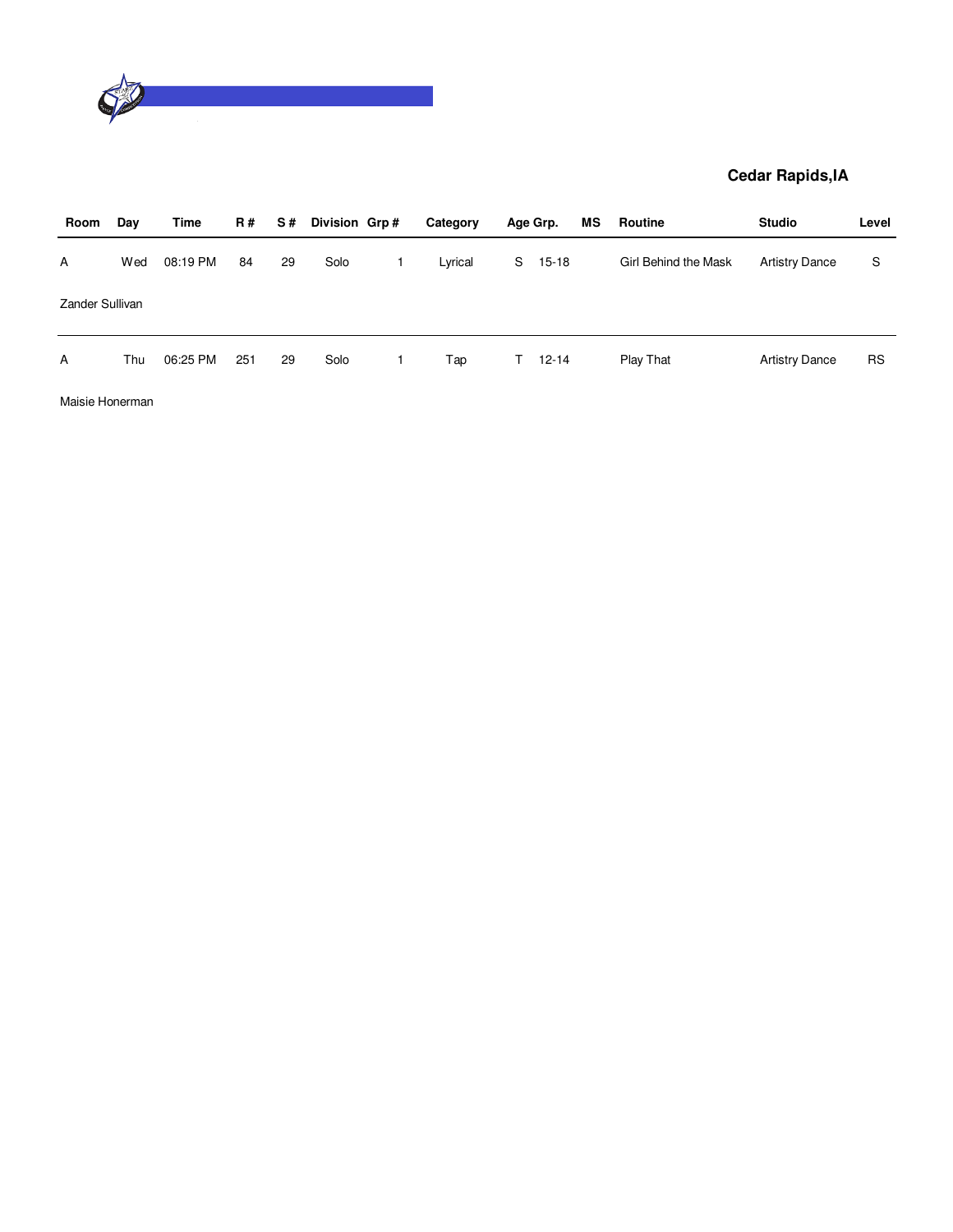

| Room            | Day | Time     | R # | S# | Division Grp# | Category |    | Age Grp.  | МS | Routine              | <b>Studio</b>         | Level     |
|-----------------|-----|----------|-----|----|---------------|----------|----|-----------|----|----------------------|-----------------------|-----------|
| $\mathsf{A}$    | Wed | 08:19 PM | 84  | 29 | Solo          | Lyrical  | S  | 15-18     |    | Girl Behind the Mask | <b>Artistry Dance</b> | S         |
| Zander Sullivan |     |          |     |    |               |          |    |           |    |                      |                       |           |
| A               | Thu | 06:25 PM | 251 | 29 | Solo          | Tap      | T. | $12 - 14$ |    | Play That            | <b>Artistry Dance</b> | <b>RS</b> |

Maisie Honerman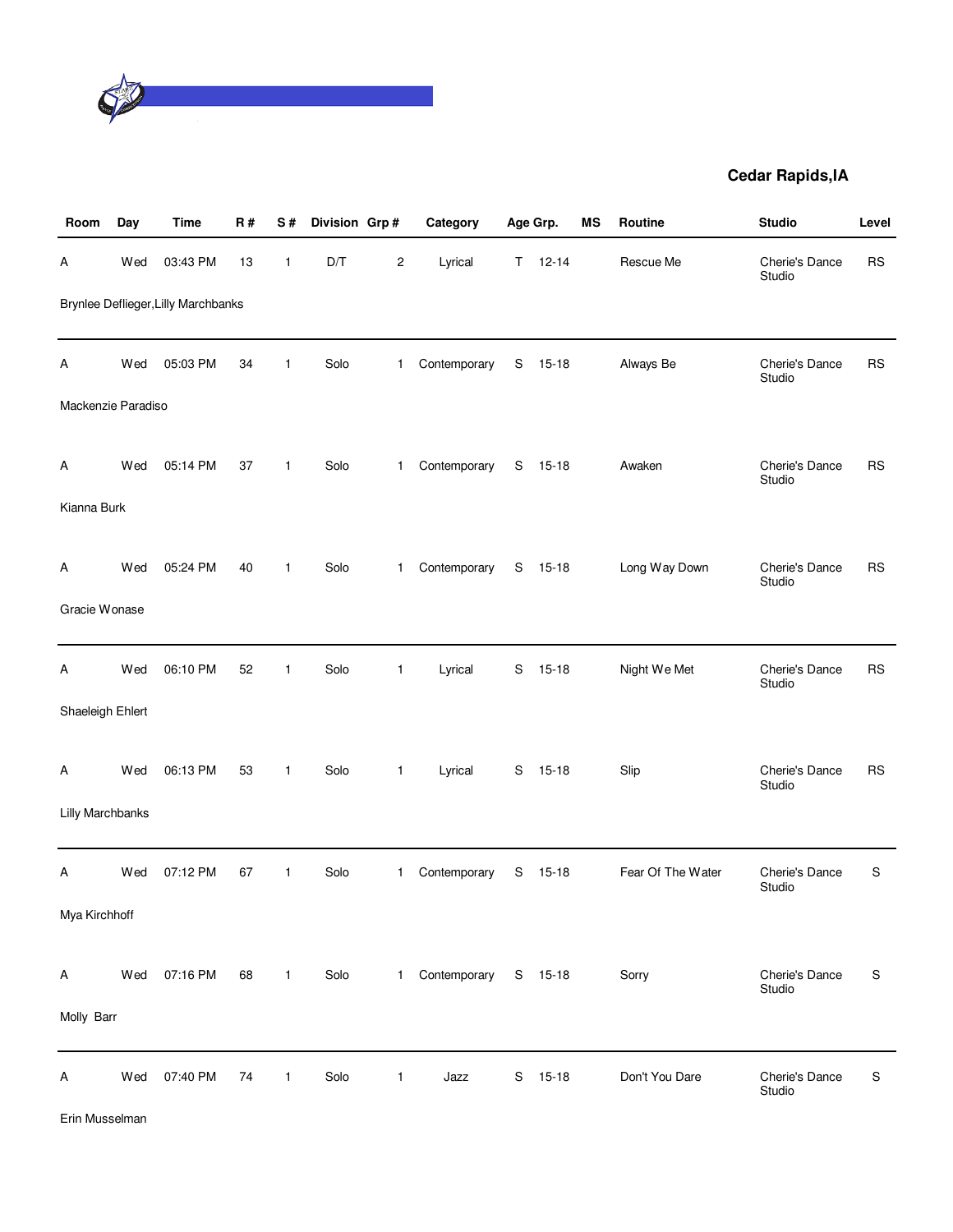

| Room               | Day | <b>Time</b>                                | <b>R#</b> | S#           | Division Grp# |                | Category             |             | Age Grp.      | <b>MS</b> | Routine           | <b>Studio</b>            | Level       |
|--------------------|-----|--------------------------------------------|-----------|--------------|---------------|----------------|----------------------|-------------|---------------|-----------|-------------------|--------------------------|-------------|
| А                  | Wed | 03:43 PM                                   | 13        | $\mathbf{1}$ | D/T           | $\overline{c}$ | Lyrical              |             | $T = 12 - 14$ |           | Rescue Me         | Cherie's Dance<br>Studio | <b>RS</b>   |
|                    |     | <b>Brynlee Deflieger, Lilly Marchbanks</b> |           |              |               |                |                      |             |               |           |                   |                          |             |
| Α                  | Wed | 05:03 PM                                   | 34        | $\mathbf{1}$ | Solo          | $\mathbf{1}$   | Contemporary         | S           | $15 - 18$     |           | Always Be         | Cherie's Dance<br>Studio | <b>RS</b>   |
| Mackenzie Paradiso |     |                                            |           |              |               |                |                      |             |               |           |                   |                          |             |
| Α                  | Wed | 05:14 PM                                   | 37        | $\mathbf{1}$ | Solo          | $\mathbf{1}$   | Contemporary         |             | S 15-18       |           | Awaken            | Cherie's Dance<br>Studio | <b>RS</b>   |
| Kianna Burk        |     |                                            |           |              |               |                |                      |             |               |           |                   |                          |             |
| А                  | Wed | 05:24 PM                                   | 40        | $\mathbf{1}$ | Solo          | $\mathbf{1}$   | Contemporary         |             | S 15-18       |           | Long Way Down     | Cherie's Dance<br>Studio | <b>RS</b>   |
| Gracie Wonase      |     |                                            |           |              |               |                |                      |             |               |           |                   |                          |             |
| А                  | Wed | 06:10 PM                                   | 52        | $\mathbf{1}$ | Solo          | 1              | Lyrical              | S           | $15 - 18$     |           | Night We Met      | Cherie's Dance<br>Studio | <b>RS</b>   |
| Shaeleigh Ehlert   |     |                                            |           |              |               |                |                      |             |               |           |                   |                          |             |
| A                  | Wed | 06:13 PM                                   | 53        | $\mathbf{1}$ | Solo          | $\mathbf{1}$   | Lyrical              |             | S 15-18       |           | Slip              | Cherie's Dance<br>Studio | <b>RS</b>   |
| Lilly Marchbanks   |     |                                            |           |              |               |                |                      |             |               |           |                   |                          |             |
| Α                  | Wed | 07:12 PM                                   | 67        | $\mathbf{1}$ | Solo          | $\mathbf{1}$   | Contemporary         | S           | $15 - 18$     |           | Fear Of The Water | Cherie's Dance<br>Studio | $\mathsf S$ |
| Mya Kirchhoff      |     |                                            |           |              |               |                |                      |             |               |           |                   |                          |             |
| A                  | Wed | 07:16 PM                                   | 68        | $\mathbf{1}$ | Solo          | 1              | Contemporary S 15-18 |             |               |           | Sorry             | Cherie's Dance<br>Studio | S           |
| Molly Barr         |     |                                            |           |              |               |                |                      |             |               |           |                   |                          |             |
| Α                  | Wed | 07:40 PM                                   | 74        | $\mathbf{1}$ | Solo          | $\mathbf{1}$   | Jazz                 | $\mathbb S$ | $15 - 18$     |           | Don't You Dare    | Cherie's Dance<br>Studio | S           |

Erin Musselman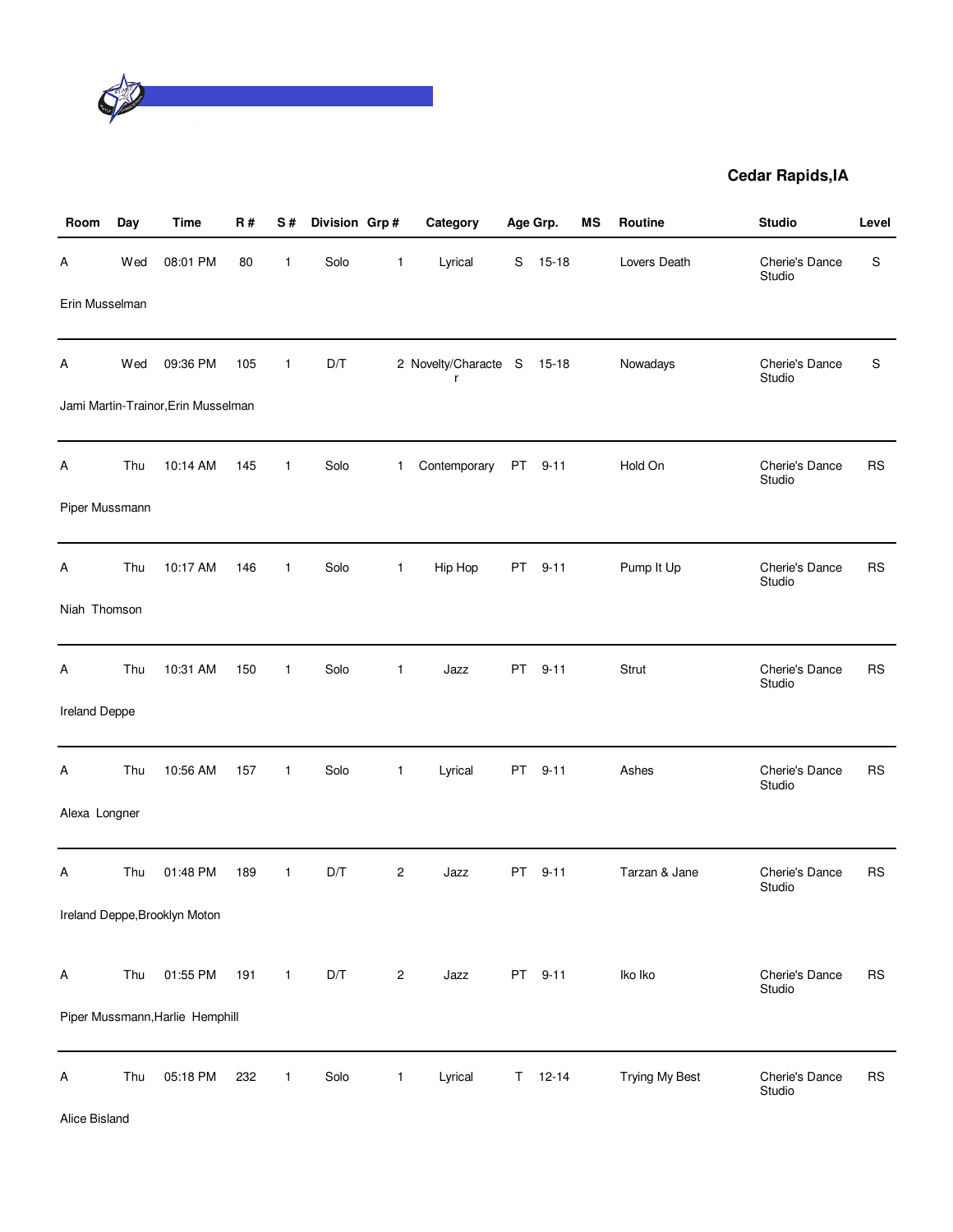

| Room                 | Day | <b>Time</b>                         | R#  | S#           | Division Grp# |                | Category                        |           | Age Grp.  | MS | Routine        | <b>Studio</b>            | Level     |
|----------------------|-----|-------------------------------------|-----|--------------|---------------|----------------|---------------------------------|-----------|-----------|----|----------------|--------------------------|-----------|
| Α                    | Wed | 08:01 PM                            | 80  | $\mathbf{1}$ | Solo          | $\mathbf{1}$   | Lyrical                         | S         | $15 - 18$ |    | Lovers Death   | Cherie's Dance<br>Studio | S         |
| Erin Musselman       |     |                                     |     |              |               |                |                                 |           |           |    |                |                          |           |
| Α                    | Wed | 09:36 PM                            | 105 | $\mathbf{1}$ | D/T           |                | 2 Novelty/Characte S 15-18<br>r |           |           |    | Nowadays       | Cherie's Dance<br>Studio | S         |
|                      |     | Jami Martin-Trainor, Erin Musselman |     |              |               |                |                                 |           |           |    |                |                          |           |
| Α                    | Thu | 10:14 AM                            | 145 | $\mathbf{1}$ | Solo          | $\mathbf{1}$   | Contemporary                    | <b>PT</b> | $9 - 11$  |    | Hold On        | Cherie's Dance<br>Studio | <b>RS</b> |
| Piper Mussmann       |     |                                     |     |              |               |                |                                 |           |           |    |                |                          |           |
| А                    | Thu | 10:17 AM                            | 146 | $\mathbf{1}$ | Solo          | $\mathbf{1}$   | Hip Hop                         |           | PT 9-11   |    | Pump It Up     | Cherie's Dance<br>Studio | <b>RS</b> |
| Niah Thomson         |     |                                     |     |              |               |                |                                 |           |           |    |                |                          |           |
| Α                    | Thu | 10:31 AM                            | 150 | $\mathbf{1}$ | Solo          | $\mathbf{1}$   | Jazz                            | PT        | $9 - 11$  |    | Strut          | Cherie's Dance<br>Studio | <b>RS</b> |
| <b>Ireland Deppe</b> |     |                                     |     |              |               |                |                                 |           |           |    |                |                          |           |
| Α                    | Thu | 10:56 AM                            | 157 | $\mathbf{1}$ | Solo          | $\mathbf{1}$   | Lyrical                         |           | PT 9-11   |    | Ashes          | Cherie's Dance<br>Studio | <b>RS</b> |
| Alexa Longner        |     |                                     |     |              |               |                |                                 |           |           |    |                |                          |           |
| Α                    | Thu | 01:48 PM                            | 189 | $\mathbf{1}$ | D/T           | $\overline{c}$ | Jazz                            | PT        | $9 - 11$  |    | Tarzan & Jane  | Cherie's Dance<br>Studio | RS        |
|                      |     | Ireland Deppe, Brooklyn Moton       |     |              |               |                |                                 |           |           |    |                |                          |           |
| A                    | Thu | 01:55 PM                            | 191 | $\mathbf{1}$ | D/T           | $\sqrt{2}$     | Jazz                            |           | PT 9-11   |    | Iko Iko        | Cherie's Dance<br>Studio | <b>RS</b> |
|                      |     | Piper Mussmann, Harlie Hemphill     |     |              |               |                |                                 |           |           |    |                |                          |           |
| Α                    | Thu | 05:18 PM                            | 232 | $\mathbf{1}$ | Solo          | $\mathbf{1}$   | Lyrical                         | Τ         | $12 - 14$ |    | Trying My Best | Cherie's Dance<br>Studio | <b>RS</b> |

Alice Bisland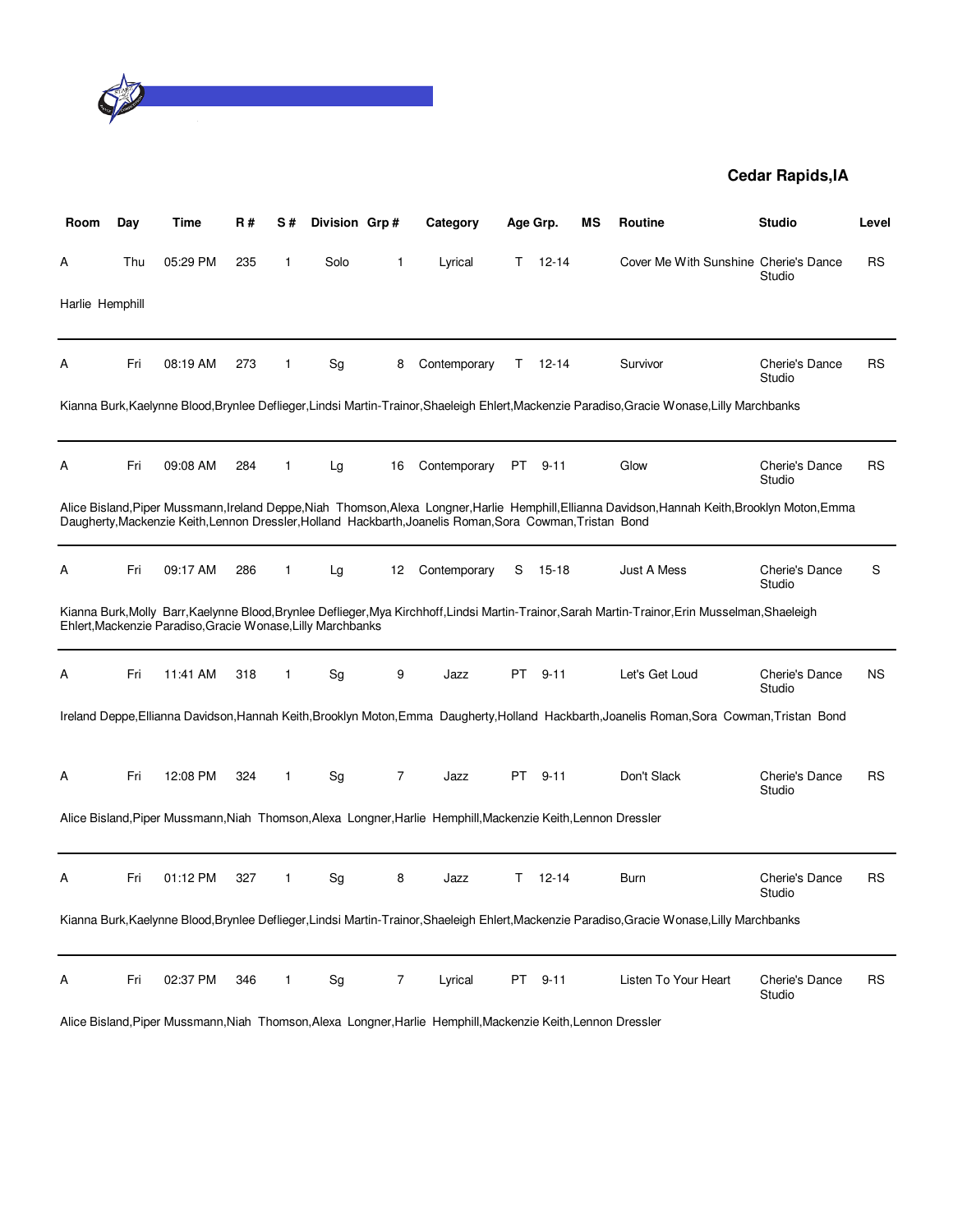

| Room            | Day | Time                                                        | R#  | S#           | Division Grp# |                  | Category                                                                                                      |           | Age Grp.    | ΜS | Routine                                                                                                                                           | <b>Studio</b>                   | Level     |
|-----------------|-----|-------------------------------------------------------------|-----|--------------|---------------|------------------|---------------------------------------------------------------------------------------------------------------|-----------|-------------|----|---------------------------------------------------------------------------------------------------------------------------------------------------|---------------------------------|-----------|
| Α               | Thu | 05:29 PM                                                    | 235 | $\mathbf{1}$ | Solo          | 1                | Lyrical                                                                                                       | T.        | $12 - 14$   |    | Cover Me With Sunshine Cherie's Dance                                                                                                             | Studio                          | RS        |
| Harlie Hemphill |     |                                                             |     |              |               |                  |                                                                                                               |           |             |    |                                                                                                                                                   |                                 |           |
| Α               | Fri | 08:19 AM                                                    | 273 | $\mathbf{1}$ | Sg            | 8                | Contemporary                                                                                                  |           | $T = 12-14$ |    | Survivor                                                                                                                                          | Cherie's Dance<br>Studio        | <b>RS</b> |
|                 |     |                                                             |     |              |               |                  |                                                                                                               |           |             |    | Kianna Burk, Kaelynne Blood, Brynlee Deflieger, Lindsi Martin-Trainor, Shaeleigh Ehlert, Mackenzie Paradiso, Gracie Wonase, Lilly Marchbanks      |                                 |           |
| A               | Fri | 09:08 AM                                                    | 284 | 1            | Lg            | 16               | Contemporary                                                                                                  | PT.       | $9 - 11$    |    | Glow                                                                                                                                              | Cherie's Dance<br>Studio        | <b>RS</b> |
|                 |     |                                                             |     |              |               |                  | Daugherty, Mackenzie Keith, Lennon Dressler, Holland Hackbarth, Joanelis Roman, Sora Cowman, Tristan Bond     |           |             |    | Alice Bisland, Piper Mussmann, Ireland Deppe, Niah Thomson, Alexa Longner, Harlie Hemphill, Ellianna Davidson, Hannah Keith, Brooklyn Moton, Emma |                                 |           |
| A               | Fri | 09:17 AM                                                    | 286 | 1            | Lg            | 12 <sup>12</sup> | Contemporary                                                                                                  | S.        | 15-18       |    | Just A Mess                                                                                                                                       | <b>Cherie's Dance</b><br>Studio | S         |
|                 |     | Ehlert, Mackenzie Paradiso, Gracie Wonase, Lilly Marchbanks |     |              |               |                  |                                                                                                               |           |             |    | Kianna Burk,Molly Barr,Kaelynne Blood,Brynlee Deflieger,Mya Kirchhoff,Lindsi Martin-Trainor,Sarah Martin-Trainor,Erin Musselman,Shaeleigh         |                                 |           |
| Α               | Fri | 11:41 AM                                                    | 318 | $\mathbf{1}$ | Sg            | 9                | Jazz                                                                                                          | PT        | $9 - 11$    |    | Let's Get Loud                                                                                                                                    | Cherie's Dance<br>Studio        | <b>NS</b> |
|                 |     |                                                             |     |              |               |                  |                                                                                                               |           |             |    | Ireland Deppe, Ellianna Davidson, Hannah Keith, Brooklyn Moton, Emma Daugherty, Holland Hackbarth, Joanelis Roman, Sora Cowman, Tristan Bond      |                                 |           |
| Α               | Fri | 12:08 PM                                                    | 324 | $\mathbf{1}$ | Sg            | $\overline{7}$   | Jazz                                                                                                          | <b>PT</b> | $9 - 11$    |    | Don't Slack                                                                                                                                       | Cherie's Dance<br>Studio        | <b>RS</b> |
|                 |     |                                                             |     |              |               |                  | Alice Bisland, Piper Mussmann, Niah Thomson, Alexa Longner, Harlie Hemphill, Mackenzie Keith, Lennon Dressler |           |             |    |                                                                                                                                                   |                                 |           |
| А               | Fri | 01:12 PM                                                    | 327 | $\mathbf{1}$ | Sg            | 8                | Jazz                                                                                                          | T.        | $12 - 14$   |    | Burn                                                                                                                                              | Cherie's Dance<br>Studio        | <b>RS</b> |
|                 |     |                                                             |     |              |               |                  |                                                                                                               |           |             |    | Kianna Burk, Kaelynne Blood, Brynlee Deflieger, Lindsi Martin-Trainor, Shaeleigh Ehlert, Mackenzie Paradiso, Gracie Wonase, Lilly Marchbanks      |                                 |           |
| A               | Fri | 02:37 PM                                                    | 346 | $\mathbf{1}$ | Sg            | $\overline{7}$   | Lyrical                                                                                                       | PT        | $9 - 11$    |    | Listen To Your Heart                                                                                                                              | <b>Cherie's Dance</b><br>Studio | <b>RS</b> |

Alice Bisland,Piper Mussmann,Niah Thomson,Alexa Longner,Harlie Hemphill,Mackenzie Keith,Lennon Dressler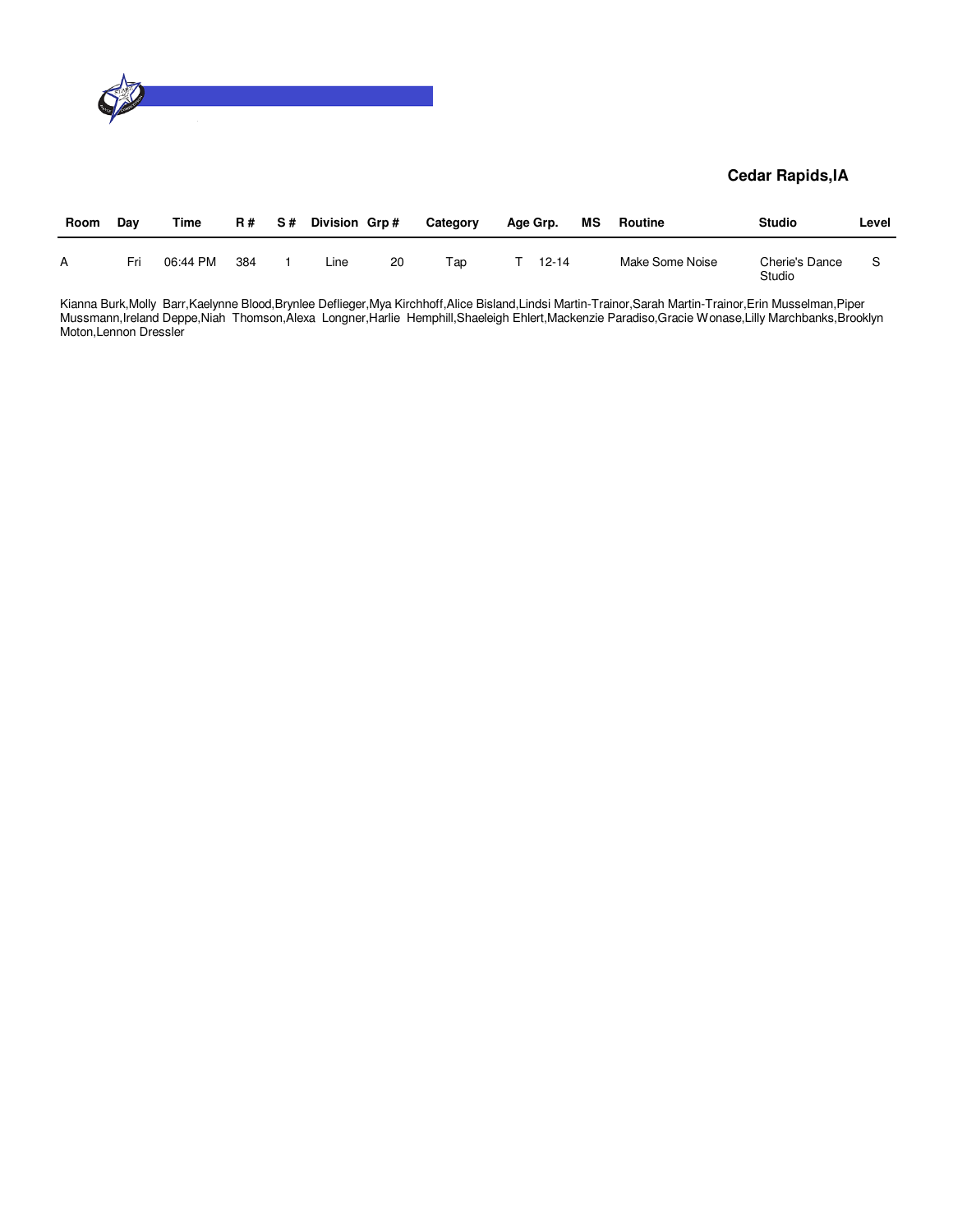

| Room | Day | Time     | <b>R#</b> | S# | Division Grp# |    | Category | Age Grp. |           | МS | Routine         | <b>Studio</b>            | Level |
|------|-----|----------|-----------|----|---------------|----|----------|----------|-----------|----|-----------------|--------------------------|-------|
|      | Fri | 06:44 PM | 384       |    | Line          | 20 | тар      |          | $12 - 14$ |    | Make Some Noise | Cherie's Dance<br>Studio |       |

Kianna Burk,Molly Barr,Kaelynne Blood,Brynlee Deflieger,Mya Kirchhoff,Alice Bisland,Lindsi Martin-Trainor,Sarah Martin-Trainor,Erin Musselman,Piper Mussmann,Ireland Deppe,Niah Thomson,Alexa Longner,Harlie Hemphill,Shaeleigh Ehlert,Mackenzie Paradiso,Gracie Wonase,Lilly Marchbanks,Brooklyn Moton,Lennon Dressler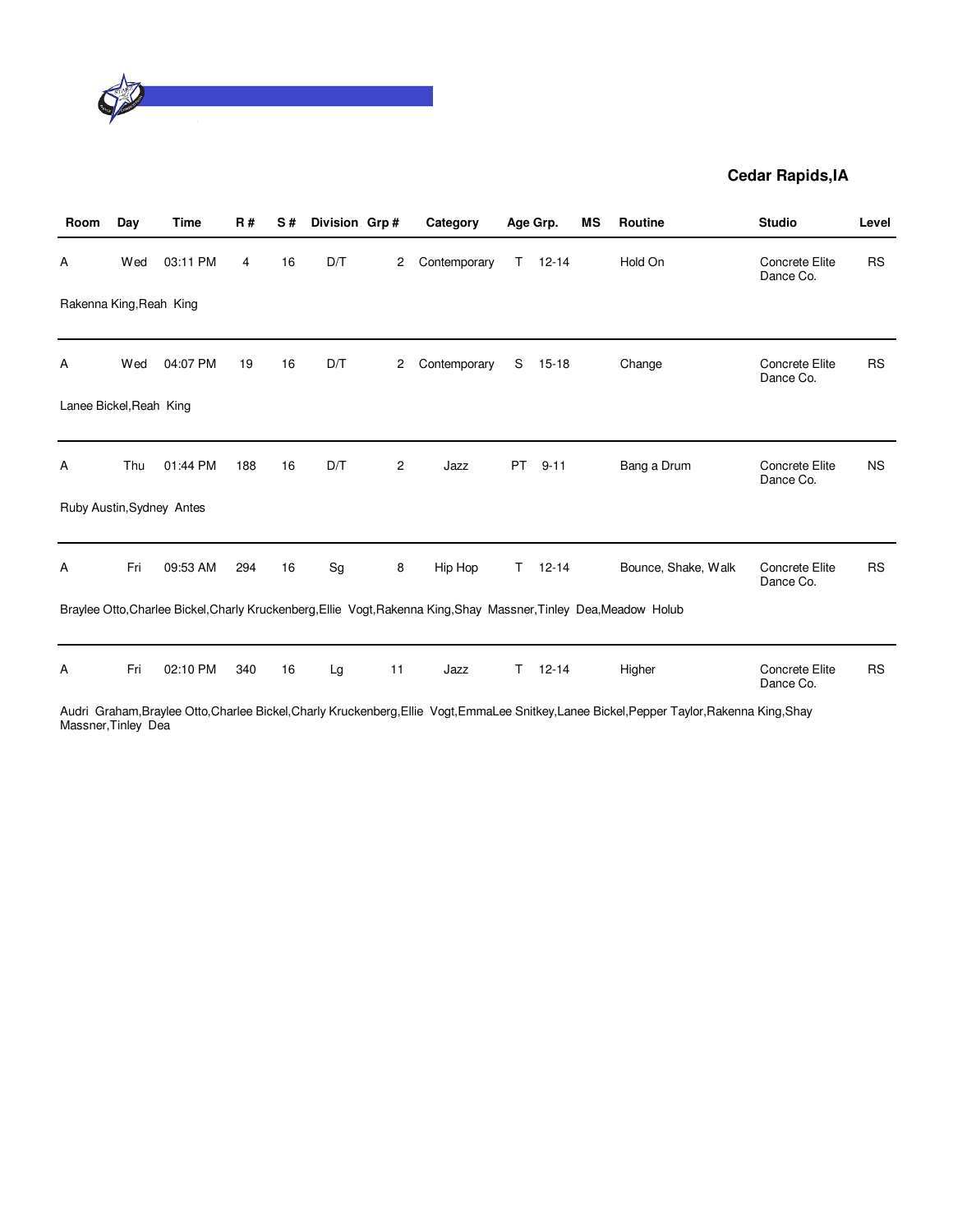

| Room                    | Day | Time                      | <b>R#</b> | S# | Division Grp# |                | Category                                                                                                           |    | Age Grp.  | ΜS | <b>Routine</b>                                                                                                                               | <b>Studio</b>               | Level     |
|-------------------------|-----|---------------------------|-----------|----|---------------|----------------|--------------------------------------------------------------------------------------------------------------------|----|-----------|----|----------------------------------------------------------------------------------------------------------------------------------------------|-----------------------------|-----------|
| Α                       | Wed | 03:11 PM                  | 4         | 16 | D/T           | $\overline{c}$ | Contemporary                                                                                                       | T. | $12 - 14$ |    | Hold On                                                                                                                                      | Concrete Elite<br>Dance Co. | <b>RS</b> |
| Rakenna King, Reah King |     |                           |           |    |               |                |                                                                                                                    |    |           |    |                                                                                                                                              |                             |           |
| Α                       | Wed | 04:07 PM                  | 19        | 16 | D/T           | 2              | Contemporary                                                                                                       | S  | $15 - 18$ |    | Change                                                                                                                                       | Concrete Elite<br>Dance Co. | <b>RS</b> |
| Lanee Bickel, Reah King |     |                           |           |    |               |                |                                                                                                                    |    |           |    |                                                                                                                                              |                             |           |
| Α                       | Thu | 01:44 PM                  | 188       | 16 | D/T           | 2              | Jazz                                                                                                               | PT | $9 - 11$  |    | Bang a Drum                                                                                                                                  | Concrete Elite<br>Dance Co. | <b>NS</b> |
|                         |     | Ruby Austin, Sydney Antes |           |    |               |                |                                                                                                                    |    |           |    |                                                                                                                                              |                             |           |
| Α                       | Fri | 09:53 AM                  | 294       | 16 | Sg            | 8              | Hip Hop                                                                                                            | T. | $12 - 14$ |    | Bounce, Shake, Walk                                                                                                                          | Concrete Elite<br>Dance Co. | <b>RS</b> |
|                         |     |                           |           |    |               |                | Braylee Otto, Charlee Bickel, Charly Kruckenberg, Ellie Vogt, Rakenna King, Shay Massner, Tinley Dea, Meadow Holub |    |           |    |                                                                                                                                              |                             |           |
| Α                       | Fri | 02:10 PM                  | 340       | 16 | Lg            | 11             | Jazz                                                                                                               | т  | $12 - 14$ |    | Higher                                                                                                                                       | Concrete Elite<br>Dance Co. | <b>RS</b> |
| Moogner Tipley Dog      |     |                           |           |    |               |                |                                                                                                                    |    |           |    | Audri Graham, Braylee Otto, Charlee Bickel, Charly Kruckenberg, Ellie Vogt, EmmaLee Snitkey, Lanee Bickel, Pepper Taylor, Rakenna King, Shay |                             |           |

Massner, Tinley Dea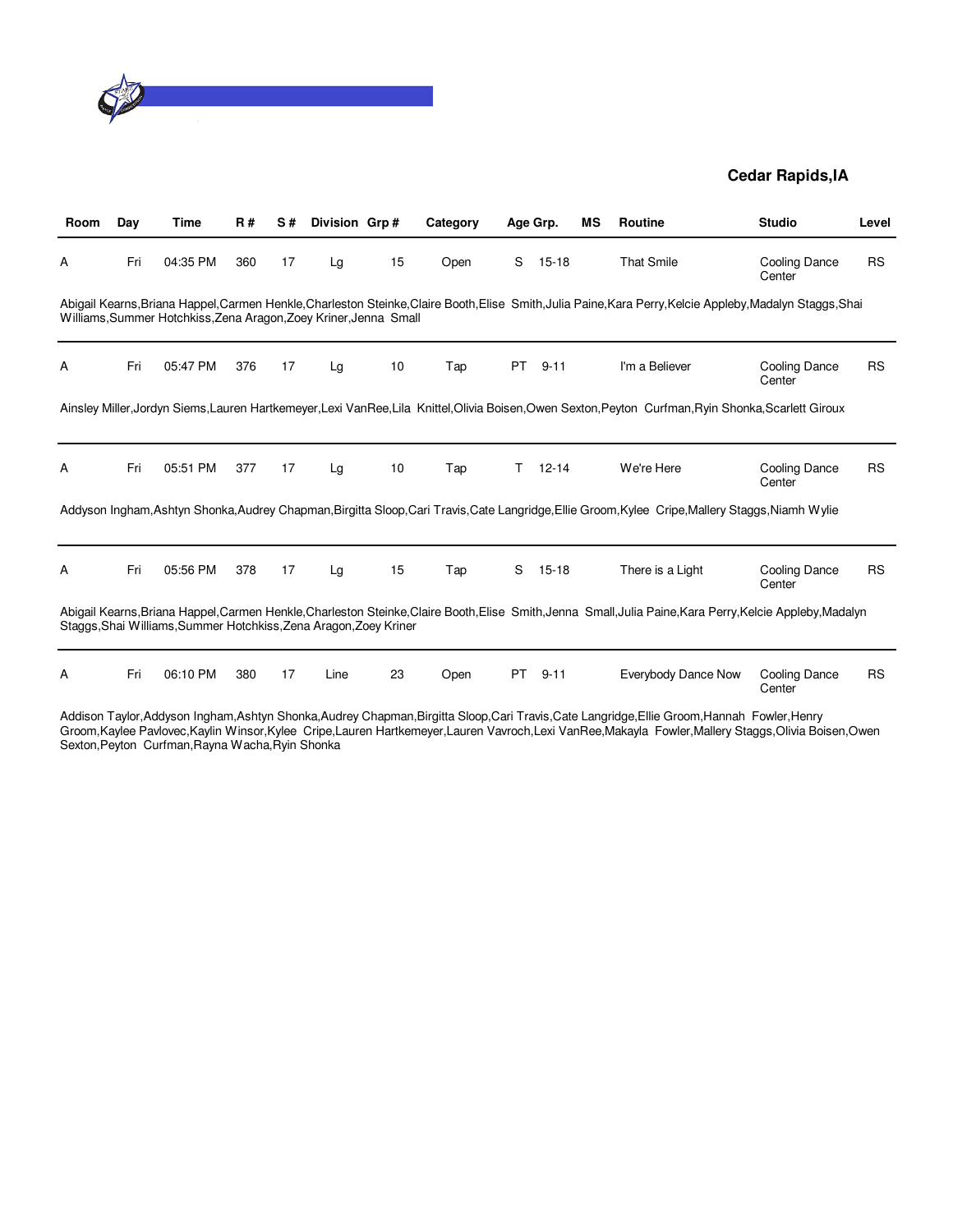

| <b>Room</b> | Day | Time                                                              | <b>R#</b> | S# | Division Grp# |    | Category |     | Age Grp.  | MS | <b>Routine</b>                                                                                                                                             | <b>Studio</b>                  | Level     |
|-------------|-----|-------------------------------------------------------------------|-----------|----|---------------|----|----------|-----|-----------|----|------------------------------------------------------------------------------------------------------------------------------------------------------------|--------------------------------|-----------|
| A           | Fri | 04:35 PM                                                          | 360       | 17 | Lg            | 15 | Open     | S   | $15 - 18$ |    | <b>That Smile</b>                                                                                                                                          | <b>Cooling Dance</b><br>Center | <b>RS</b> |
|             |     | Williams, Summer Hotchkiss, Zena Aragon, Zoey Kriner, Jenna Small |           |    |               |    |          |     |           |    | Abigail Kearns, Briana Happel, Carmen Henkle, Charleston Steinke, Claire Booth, Elise Smith, Julia Paine, Kara Perry, Kelcie Appleby, Madalyn Staggs, Shai |                                |           |
| Α           | Fri | 05:47 PM                                                          | 376       | 17 | Lg            | 10 | Tap      | PT. | $9 - 11$  |    | I'm a Believer                                                                                                                                             | Cooling Dance<br>Center        | <b>RS</b> |
|             |     |                                                                   |           |    |               |    |          |     |           |    | Ainsley Miller, Jordyn Siems, Lauren Hartkemeyer, Lexi VanRee, Lila Knittel, Olivia Boisen, Owen Sexton, Peyton Curfman, Ryin Shonka, Scarlett Giroux      |                                |           |
| A           | Fri | 05:51 PM                                                          | 377       | 17 | Lg            | 10 | Tap      | т   | $12 - 14$ |    | We're Here                                                                                                                                                 | Cooling Dance<br>Center        | <b>RS</b> |
|             |     |                                                                   |           |    |               |    |          |     |           |    | Addyson Ingham,Ashtyn Shonka,Audrey Chapman,Birgitta Sloop,Cari Travis,Cate Langridge,Ellie Groom,Kylee Cripe,Mallery Staggs,Niamh Wylie                   |                                |           |
| Α           | Fri | 05:56 PM                                                          | 378       | 17 | Lg            | 15 | Tap      | S   | $15 - 18$ |    | There is a Light                                                                                                                                           | <b>Cooling Dance</b><br>Center | <b>RS</b> |
|             |     | Staggs, Shai Williams, Summer Hotchkiss, Zena Aragon, Zoey Kriner |           |    |               |    |          |     |           |    | Abigail Kearns, Briana Happel, Carmen Henkle, Charleston Steinke, Claire Booth, Elise Smith, Jenna Small, Julia Paine, Kara Perry, Kelcie Appleby, Madalyn |                                |           |
| A           | Fri | 06:10 PM                                                          | 380       | 17 | Line          | 23 | Open     | PT. | $9 - 11$  |    | Everybody Dance Now                                                                                                                                        | <b>Cooling Dance</b><br>Center | <b>RS</b> |

Addison Taylor,Addyson Ingham,Ashtyn Shonka,Audrey Chapman,Birgitta Sloop,Cari Travis,Cate Langridge,Ellie Groom,Hannah Fowler,Henry Groom,Kaylee Pavlovec,Kaylin Winsor,Kylee Cripe,Lauren Hartkemeyer,Lauren Vavroch,Lexi VanRee,Makayla Fowler,Mallery Staggs,Olivia Boisen,Owen Sexton,Peyton Curfman,Rayna Wacha,Ryin Shonka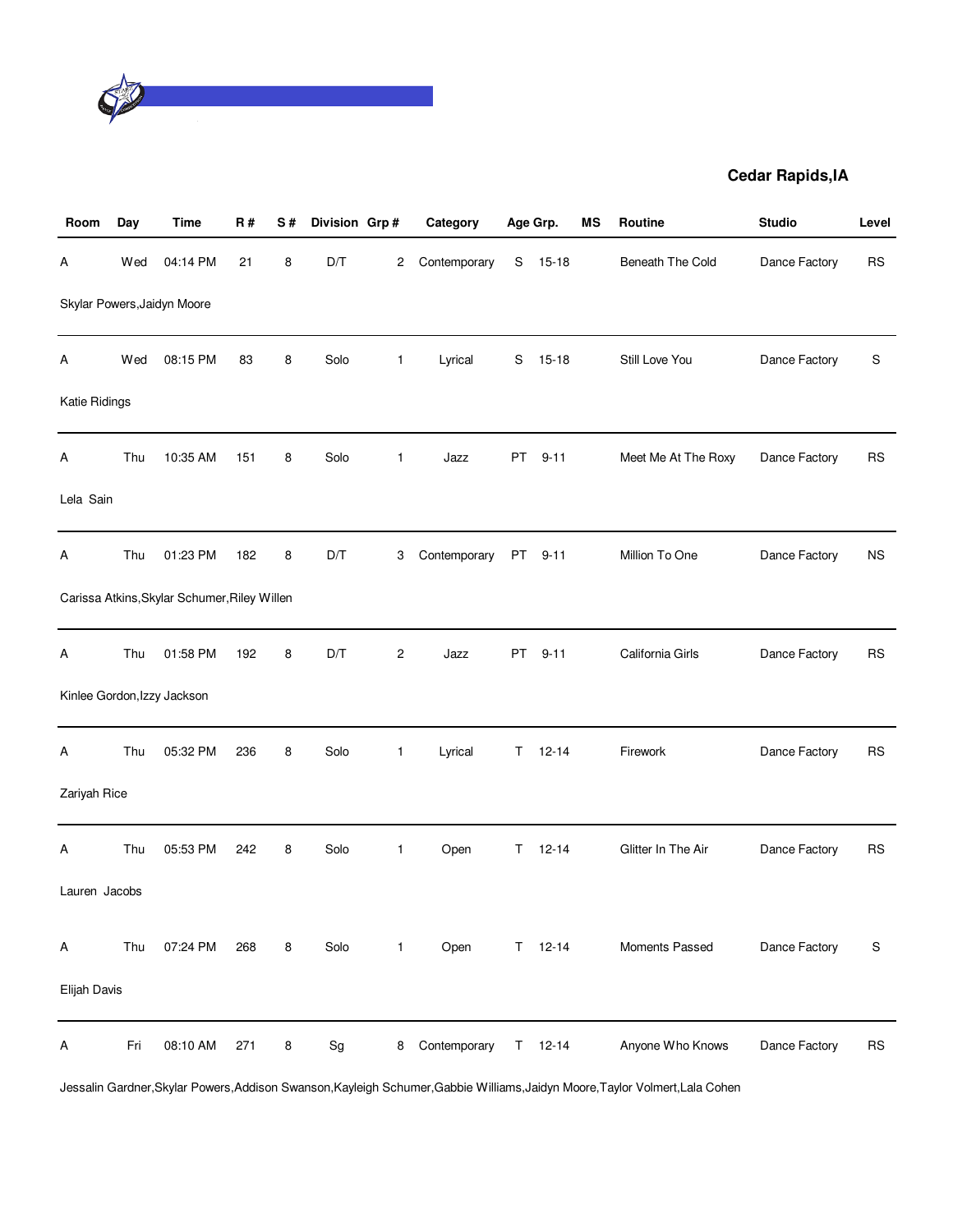

| Room          | Day | <b>Time</b>                                  | R#  | S# | Division Grp#                |                | Category     |    | Age Grp.      | MS | Routine             | <b>Studio</b> | Level     |
|---------------|-----|----------------------------------------------|-----|----|------------------------------|----------------|--------------|----|---------------|----|---------------------|---------------|-----------|
| А             | Wed | 04:14 PM                                     | 21  | 8  | D/T                          | 2              | Contemporary | S  | $15-18$       |    | Beneath The Cold    | Dance Factory | <b>RS</b> |
|               |     | Skylar Powers, Jaidyn Moore                  |     |    |                              |                |              |    |               |    |                     |               |           |
| А             | Wed | 08:15 PM                                     | 83  | 8  | Solo                         | 1              | Lyrical      | S  | $15-18$       |    | Still Love You      | Dance Factory | S         |
| Katie Ridings |     |                                              |     |    |                              |                |              |    |               |    |                     |               |           |
| А             | Thu | 10:35 AM                                     | 151 | 8  | Solo                         | $\mathbf{1}$   | Jazz         | PT | $9 - 11$      |    | Meet Me At The Roxy | Dance Factory | <b>RS</b> |
| Lela Sain     |     |                                              |     |    |                              |                |              |    |               |    |                     |               |           |
| Α             | Thu | 01:23 PM                                     | 182 | 8  | D/T                          | 3              | Contemporary |    | PT 9-11       |    | Million To One      | Dance Factory | <b>NS</b> |
|               |     | Carissa Atkins, Skylar Schumer, Riley Willen |     |    |                              |                |              |    |               |    |                     |               |           |
| А             | Thu | 01:58 PM                                     | 192 | 8  | D/T                          | $\overline{c}$ | Jazz         | PT | $9 - 11$      |    | California Girls    | Dance Factory | <b>RS</b> |
|               |     | Kinlee Gordon, Izzy Jackson                  |     |    |                              |                |              |    |               |    |                     |               |           |
| А             | Thu | 05:32 PM                                     | 236 | 8  | Solo                         | 1              | Lyrical      |    | $T = 12 - 14$ |    | Firework            | Dance Factory | <b>RS</b> |
| Zariyah Rice  |     |                                              |     |    |                              |                |              |    |               |    |                     |               |           |
| Α             | Thu | 05:53 PM                                     | 242 | 8  | Solo                         | $\mathbf{1}$   | Open         | T. | $12 - 14$     |    | Glitter In The Air  | Dance Factory | <b>RS</b> |
| Lauren Jacobs |     |                                              |     |    |                              |                |              |    |               |    |                     |               |           |
| Α             | Thu | 07:24 PM                                     | 268 | 8  | Solo                         | $\mathbf{1}$   | Open         |    | $T = 12 - 14$ |    | Moments Passed      | Dance Factory | S         |
| Elijah Davis  |     |                                              |     |    |                              |                |              |    |               |    |                     |               |           |
| Α             | Fri | 08:10 AM                                     | 271 | 8  | $\operatorname{\mathsf{Sg}}$ | 8              | Contemporary |    | $T = 12 - 14$ |    | Anyone Who Knows    | Dance Factory | <b>RS</b> |

Jessalin Gardner,Skylar Powers,Addison Swanson,Kayleigh Schumer,Gabbie Williams,Jaidyn Moore,Taylor Volmert,Lala Cohen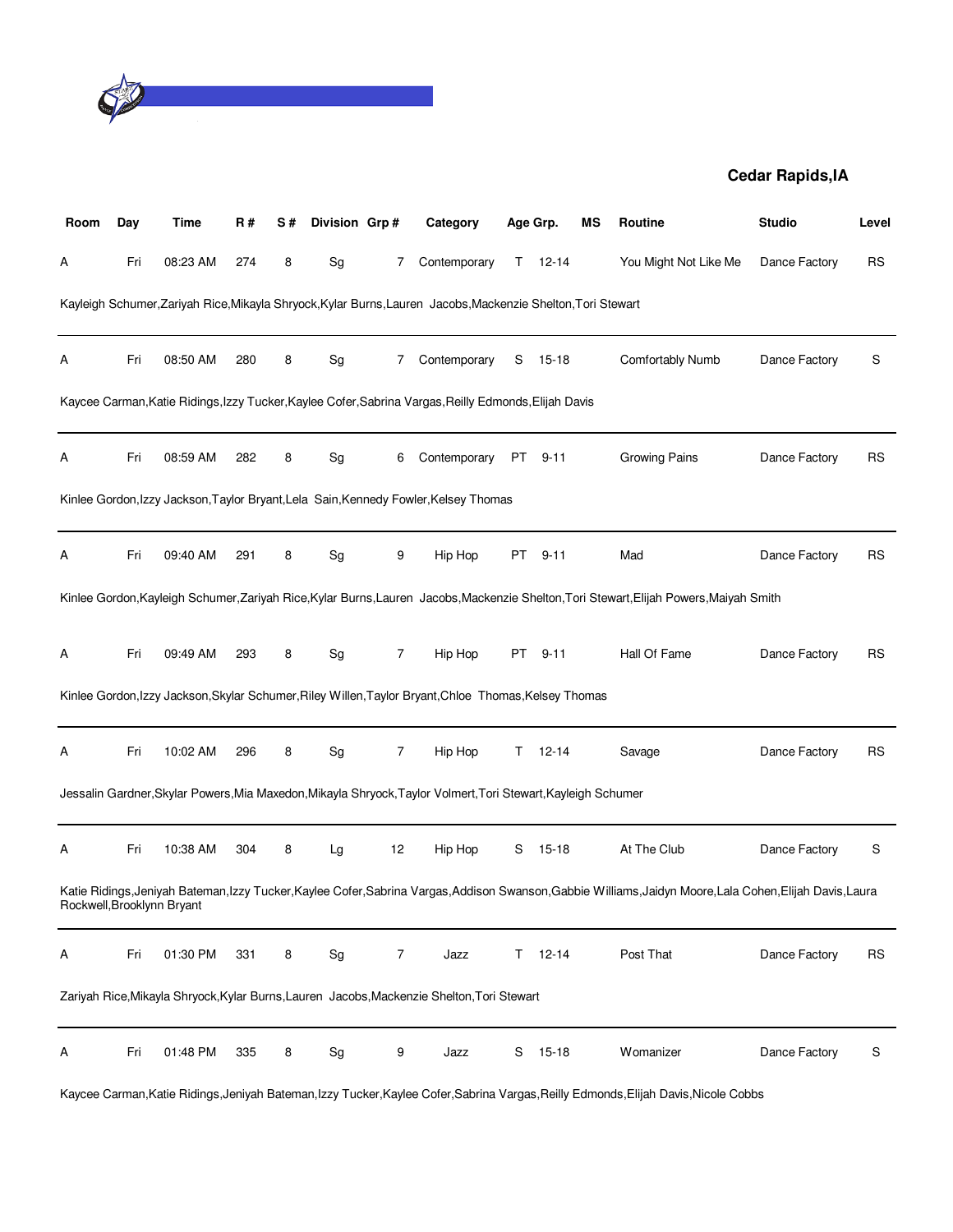

| Room | Day | Time                       | R#  | S# | Division Grp#                |                | Category                                                                                                      |    | Age Grp.      | ΜS | Routine                                                                                                                                                    | <b>Studio</b> | Level     |
|------|-----|----------------------------|-----|----|------------------------------|----------------|---------------------------------------------------------------------------------------------------------------|----|---------------|----|------------------------------------------------------------------------------------------------------------------------------------------------------------|---------------|-----------|
| А    | Fri | 08:23 AM                   | 274 | 8  | Sg                           | 7              | Contemporary                                                                                                  |    | $T = 12 - 14$ |    | You Might Not Like Me                                                                                                                                      | Dance Factory | <b>RS</b> |
|      |     |                            |     |    |                              |                | Kayleigh Schumer, Zariyah Rice, Mikayla Shryock, Kylar Burns, Lauren Jacobs, Mackenzie Shelton, Tori Stewart  |    |               |    |                                                                                                                                                            |               |           |
| А    | Fri | 08:50 AM                   | 280 | 8  | Sg                           | 7              | Contemporary                                                                                                  | S  | 15-18         |    | Comfortably Numb                                                                                                                                           | Dance Factory | S         |
|      |     |                            |     |    |                              |                | Kaycee Carman, Katie Ridings, Izzy Tucker, Kaylee Cofer, Sabrina Vargas, Reilly Edmonds, Elijah Davis         |    |               |    |                                                                                                                                                            |               |           |
| A    | Fri | 08:59 AM                   | 282 | 8  | Sg                           | 6              | Contemporary                                                                                                  | PT | $9 - 11$      |    | Growing Pains                                                                                                                                              | Dance Factory | <b>RS</b> |
|      |     |                            |     |    |                              |                | Kinlee Gordon, Izzy Jackson, Taylor Bryant, Lela Sain, Kennedy Fowler, Kelsey Thomas                          |    |               |    |                                                                                                                                                            |               |           |
| А    | Fri | 09:40 AM                   | 291 | 8  | Sg                           | 9              | Hip Hop                                                                                                       | PT | $9 - 11$      |    | Mad                                                                                                                                                        | Dance Factory | <b>RS</b> |
|      |     |                            |     |    |                              |                |                                                                                                               |    |               |    | Kinlee Gordon, Kayleigh Schumer, Zariyah Rice, Kylar Burns, Lauren Jacobs, Mackenzie Shelton, Tori Stewart, Elijah Powers, Maiyah Smith                    |               |           |
| А    | Fri | 09:49 AM                   | 293 | 8  | Sg                           | 7              | Hip Hop                                                                                                       | PT | $9 - 11$      |    | Hall Of Fame                                                                                                                                               | Dance Factory | <b>RS</b> |
|      |     |                            |     |    |                              |                | Kinlee Gordon, Izzy Jackson, Skylar Schumer, Riley Willen, Taylor Bryant, Chloe Thomas, Kelsey Thomas         |    |               |    |                                                                                                                                                            |               |           |
| А    | Fri | 10:02 AM                   | 296 | 8  | Sg                           | $\overline{7}$ | Hip Hop                                                                                                       | Τ  | $12 - 14$     |    | Savage                                                                                                                                                     | Dance Factory | <b>RS</b> |
|      |     |                            |     |    |                              |                | Jessalin Gardner, Skylar Powers, Mia Maxedon, Mikayla Shryock, Taylor Volmert, Tori Stewart, Kayleigh Schumer |    |               |    |                                                                                                                                                            |               |           |
| A    | Fri | 10:38 AM                   | 304 | 8  | Lg                           | 12             | Hip Hop                                                                                                       | S  | 15-18         |    | At The Club                                                                                                                                                | Dance Factory | S         |
|      |     | Rockwell, Brooklynn Bryant |     |    |                              |                |                                                                                                               |    |               |    | Katie Ridings, Jeniyah Bateman, Izzy Tucker, Kaylee Cofer, Sabrina Vargas, Addison Swanson, Gabbie Williams, Jaidyn Moore, Lala Cohen, Elijah Davis, Laura |               |           |
| Α    | Fri | 01:30 PM                   | 331 | 8  | Sg                           | $\overline{7}$ | Jazz                                                                                                          | T. | $12 - 14$     |    | Post That                                                                                                                                                  | Dance Factory | <b>RS</b> |
|      |     |                            |     |    |                              |                | Zariyah Rice, Mikayla Shryock, Kylar Burns, Lauren Jacobs, Mackenzie Shelton, Tori Stewart                    |    |               |    |                                                                                                                                                            |               |           |
| A    | Fri | 01:48 PM                   | 335 | 8  | $\operatorname{\mathsf{Sg}}$ | 9              | Jazz                                                                                                          | S  | $15 - 18$     |    | Womanizer                                                                                                                                                  | Dance Factory | S         |

Kaycee Carman,Katie Ridings,Jeniyah Bateman,Izzy Tucker,Kaylee Cofer,Sabrina Vargas,Reilly Edmonds,Elijah Davis,Nicole Cobbs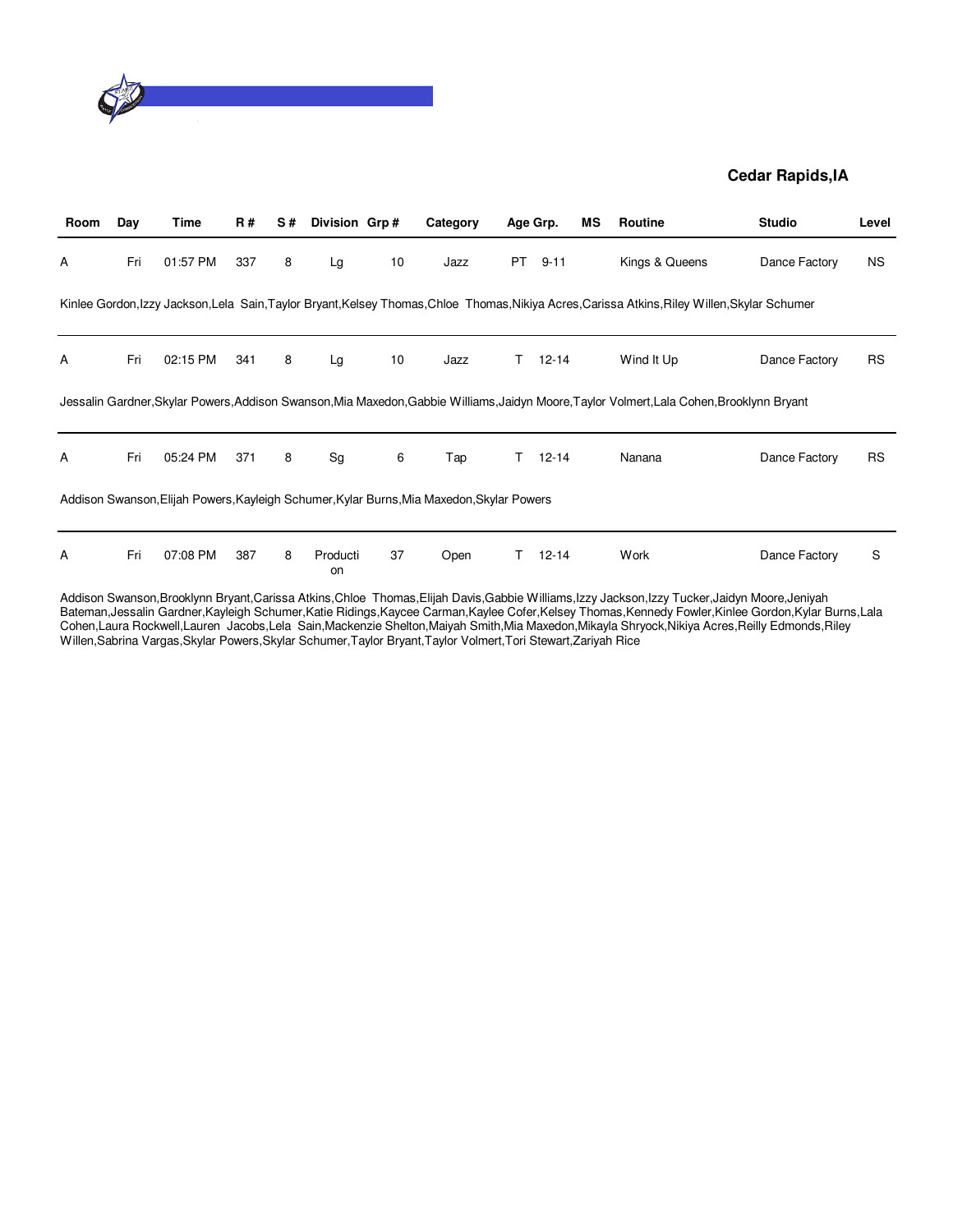

| Room | Day | Time     | <b>R#</b> | S# | Division Grp#  |    | Category                                                                                  |    | Age Grp.  | ΜS | Routine                                                                                                                                    | <b>Studio</b> | Level     |
|------|-----|----------|-----------|----|----------------|----|-------------------------------------------------------------------------------------------|----|-----------|----|--------------------------------------------------------------------------------------------------------------------------------------------|---------------|-----------|
| Α    | Fri | 01:57 PM | 337       | 8  | Lg             | 10 | Jazz                                                                                      | PT | $9 - 11$  |    | Kings & Queens                                                                                                                             | Dance Factory | NS.       |
|      |     |          |           |    |                |    |                                                                                           |    |           |    | Kinlee Gordon,Izzy Jackson,Lela Sain,Taylor Bryant,Kelsey Thomas,Chloe Thomas,Nikiya Acres,Carissa Atkins,Riley Willen,Skylar Schumer      |               |           |
| A    | Fri | 02:15 PM | 341       | 8  | Lg             | 10 | Jazz                                                                                      | T. | $12 - 14$ |    | Wind It Up                                                                                                                                 | Dance Factory | <b>RS</b> |
|      |     |          |           |    |                |    |                                                                                           |    |           |    | Jessalin Gardner, Skylar Powers, Addison Swanson, Mia Maxedon, Gabbie Williams, Jaidyn Moore, Taylor Volmert, Lala Cohen, Brooklynn Bryant |               |           |
| A    | Fri | 05:24 PM | 371       | 8  | Sg             | 6  | Tap                                                                                       |    | $12 - 14$ |    | Nanana                                                                                                                                     | Dance Factory | <b>RS</b> |
|      |     |          |           |    |                |    | Addison Swanson, Elijah Powers, Kayleigh Schumer, Kylar Burns, Mia Maxedon, Skylar Powers |    |           |    |                                                                                                                                            |               |           |
| Α    | Fri | 07:08 PM | 387       | 8  | Producti<br>on | 37 | Open                                                                                      | T. | $12 - 14$ |    | Work                                                                                                                                       | Dance Factory | S         |

Addison Swanson,Brooklynn Bryant,Carissa Atkins,Chloe Thomas,Elijah Davis,Gabbie Williams,Izzy Jackson,Izzy Tucker,Jaidyn Moore,Jeniyah Bateman,Jessalin Gardner,Kayleigh Schumer,Katie Ridings,Kaycee Carman,Kaylee Cofer,Kelsey Thomas,Kennedy Fowler,Kinlee Gordon,Kylar Burns,Lala Cohen,Laura Rockwell,Lauren Jacobs,Lela Sain,Mackenzie Shelton,Maiyah Smith,Mia Maxedon,Mikayla Shryock,Nikiya Acres,Reilly Edmonds,Riley Willen,Sabrina Vargas,Skylar Powers,Skylar Schumer,Taylor Bryant,Taylor Volmert,Tori Stewart,Zariyah Rice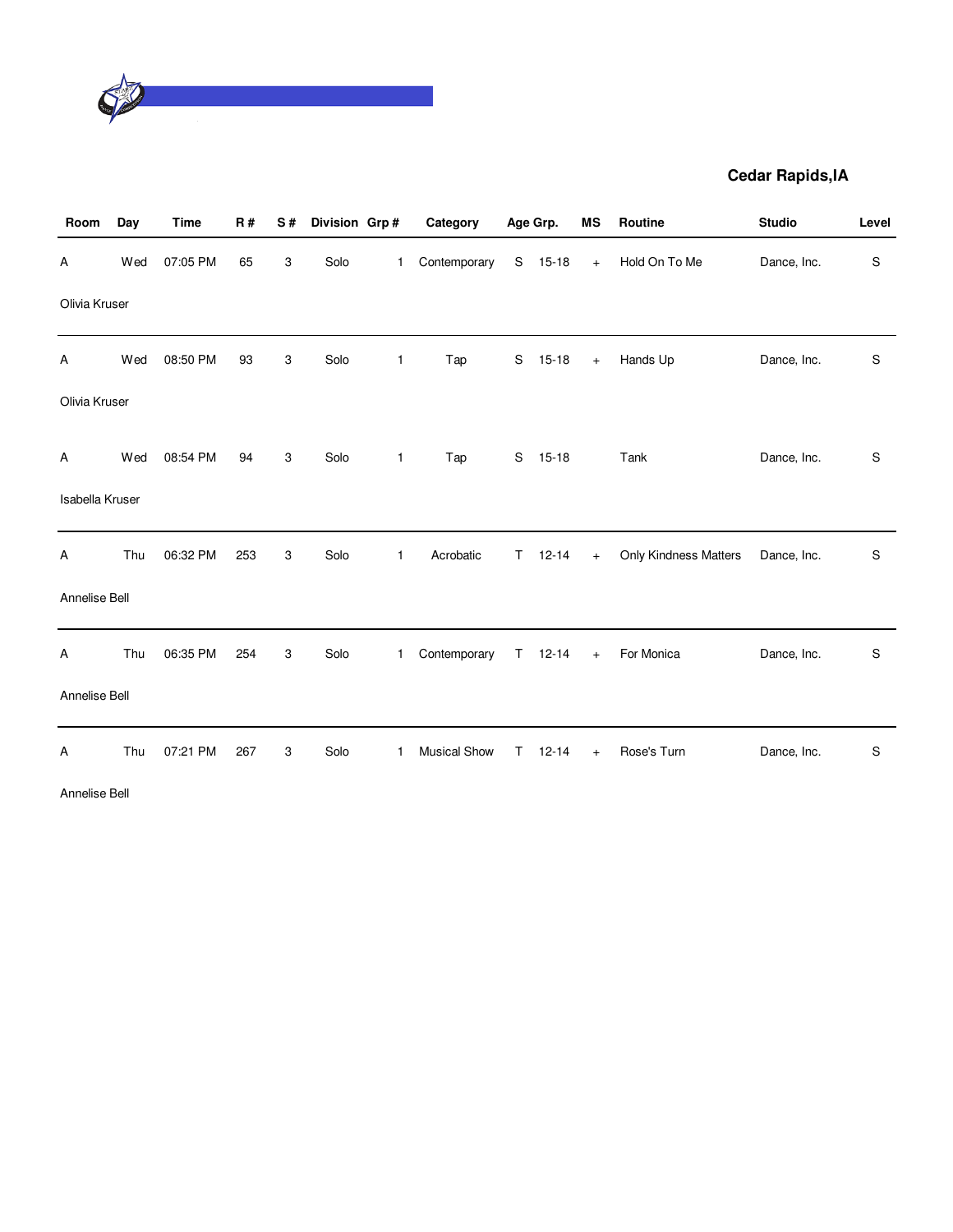

| Room                   | Day | Time     | <b>R#</b> | S# | Division Grp# |              | Category            |              | Age Grp.    | MS  | Routine               | <b>Studio</b> | Level         |
|------------------------|-----|----------|-----------|----|---------------|--------------|---------------------|--------------|-------------|-----|-----------------------|---------------|---------------|
| Α                      | Wed | 07:05 PM | 65        | 3  | Solo          | $\mathbf{1}$ | Contemporary        | S            | $15 - 18$   | $+$ | Hold On To Me         | Dance, Inc.   | S             |
| Olivia Kruser          |     |          |           |    |               |              |                     |              |             |     |                       |               |               |
| Α                      | Wed | 08:50 PM | 93        | 3  | Solo          | $\mathbf{1}$ | Tap                 | S            | $15 - 18$   | $+$ | Hands Up              | Dance, Inc.   | $\mathbb S$   |
| Olivia Kruser          |     |          |           |    |               |              |                     |              |             |     |                       |               |               |
| Α                      | Wed | 08:54 PM | 94        | 3  | Solo          | $\mathbf{1}$ | Tap                 | S            | $15 - 18$   |     | Tank                  | Dance, Inc.   | S             |
| <b>Isabella Kruser</b> |     |          |           |    |               |              |                     |              |             |     |                       |               |               |
| Α                      | Thu | 06:32 PM | 253       | 3  | Solo          | $\mathbf{1}$ | Acrobatic           | $\mathsf{T}$ | $12 - 14$   | $+$ | Only Kindness Matters | Dance, Inc.   | $\mathbb S$   |
| Annelise Bell          |     |          |           |    |               |              |                     |              |             |     |                       |               |               |
| Α                      | Thu | 06:35 PM | 254       | 3  | Solo          | $\mathbf{1}$ | Contemporary        |              | $T = 12-14$ | $+$ | For Monica            | Dance, Inc.   | ${\mathbb S}$ |
| Annelise Bell          |     |          |           |    |               |              |                     |              |             |     |                       |               |               |
| Α                      | Thu | 07:21 PM | 267       | 3  | Solo          | $\mathbf{1}$ | <b>Musical Show</b> | T.           | $12 - 14$   | $+$ | Rose's Turn           | Dance, Inc.   | S             |
| Annelise Bell          |     |          |           |    |               |              |                     |              |             |     |                       |               |               |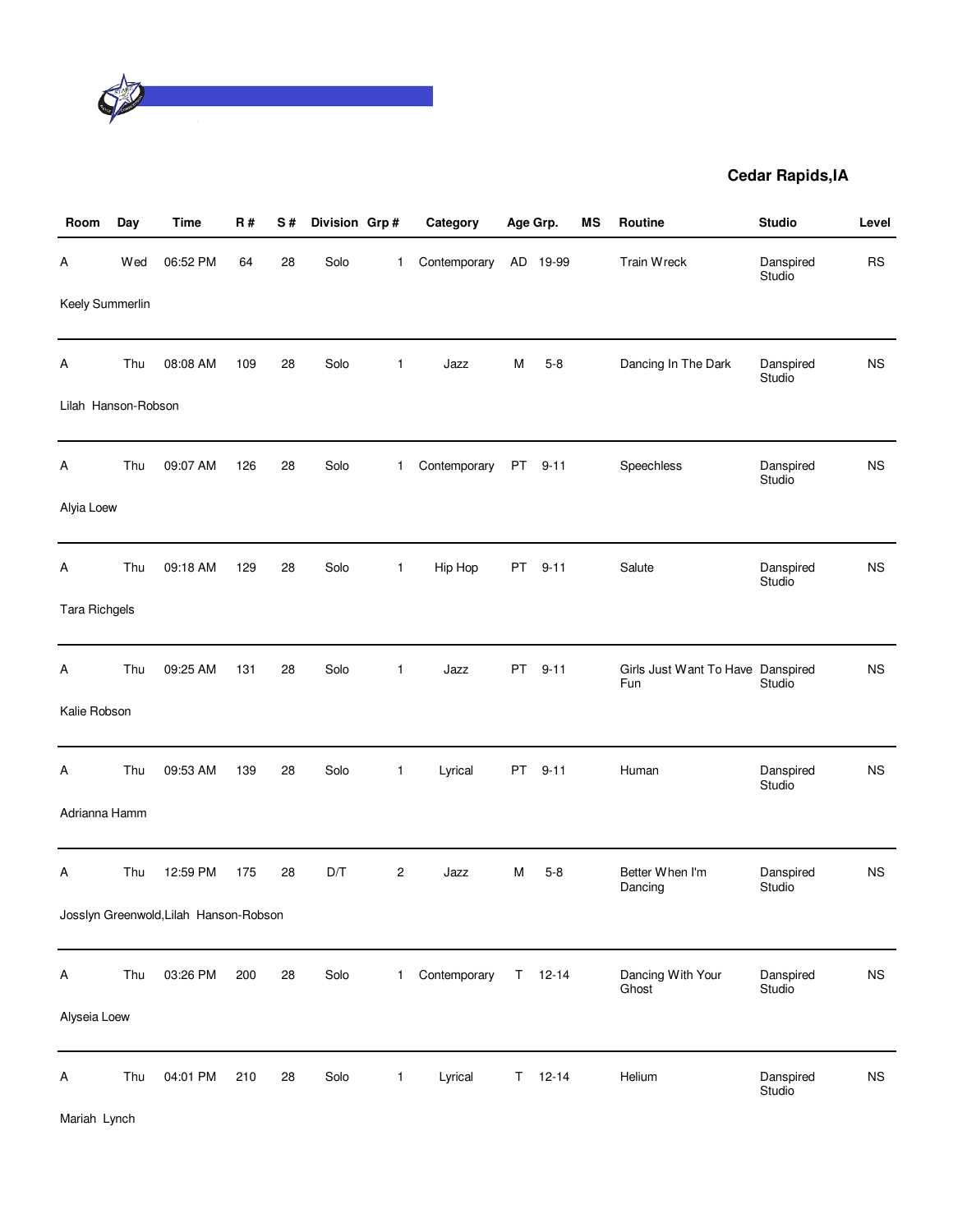

| Room                 | Day | Time                                   | <b>R#</b> | S# | Division Grp# |                | Category     | Age Grp. |               | MS | Routine                                  | <b>Studio</b>       | Level     |
|----------------------|-----|----------------------------------------|-----------|----|---------------|----------------|--------------|----------|---------------|----|------------------------------------------|---------------------|-----------|
| А                    | Wed | 06:52 PM                               | 64        | 28 | Solo          | 1              | Contemporary |          | AD 19-99      |    | Train Wreck                              | Danspired<br>Studio | <b>RS</b> |
| Keely Summerlin      |     |                                        |           |    |               |                |              |          |               |    |                                          |                     |           |
| Α                    | Thu | 08:08 AM                               | 109       | 28 | Solo          | $\mathbf{1}$   | Jazz         | М        | $5 - 8$       |    | Dancing In The Dark                      | Danspired<br>Studio | <b>NS</b> |
| Lilah Hanson-Robson  |     |                                        |           |    |               |                |              |          |               |    |                                          |                     |           |
| Α                    | Thu | 09:07 AM                               | 126       | 28 | Solo          | $\mathbf{1}$   | Contemporary | PT       | $9 - 11$      |    | Speechless                               | Danspired<br>Studio | <b>NS</b> |
| Alyia Loew           |     |                                        |           |    |               |                |              |          |               |    |                                          |                     |           |
| Α                    | Thu | 09:18 AM                               | 129       | 28 | Solo          | $\mathbf{1}$   | Hip Hop      | PT       | $9 - 11$      |    | Salute                                   | Danspired<br>Studio | <b>NS</b> |
| <b>Tara Richgels</b> |     |                                        |           |    |               |                |              |          |               |    |                                          |                     |           |
| Α                    | Thu | 09:25 AM                               | 131       | 28 | Solo          | 1              | Jazz         | PT       | $9 - 11$      |    | Girls Just Want To Have Danspired<br>Fun | Studio              | <b>NS</b> |
| Kalie Robson         |     |                                        |           |    |               |                |              |          |               |    |                                          |                     |           |
| Α                    | Thu | 09:53 AM                               | 139       | 28 | Solo          | $\mathbf{1}$   | Lyrical      | PT       | $9 - 11$      |    | Human                                    | Danspired<br>Studio | <b>NS</b> |
| Adrianna Hamm        |     |                                        |           |    |               |                |              |          |               |    |                                          |                     |           |
| Α                    | Thu | 12:59 PM                               | 175       | 28 | D/T           | 2              | Jazz         | М        | $5-8$         |    | Better When I'm<br>Dancing               | Danspired<br>Studio | <b>NS</b> |
|                      |     | Josslyn Greenwold, Lilah Hanson-Robson |           |    |               |                |              |          |               |    |                                          |                     |           |
| A                    | Thu | 03:26 PM                               | 200       | 28 | Solo          | $\mathbf{1}$   | Contemporary |          | $T = 12 - 14$ |    | Dancing With Your<br>Ghost               | Danspired<br>Studio | <b>NS</b> |
| Alyseia Loew         |     |                                        |           |    |               |                |              |          |               |    |                                          |                     |           |
| Α                    | Thu | 04:01 PM                               | 210       | 28 | Solo          | $\overline{1}$ | Lyrical      | Τ        | $12 - 14$     |    | Helium                                   | Danspired<br>Studio | <b>NS</b> |

Mariah Lynch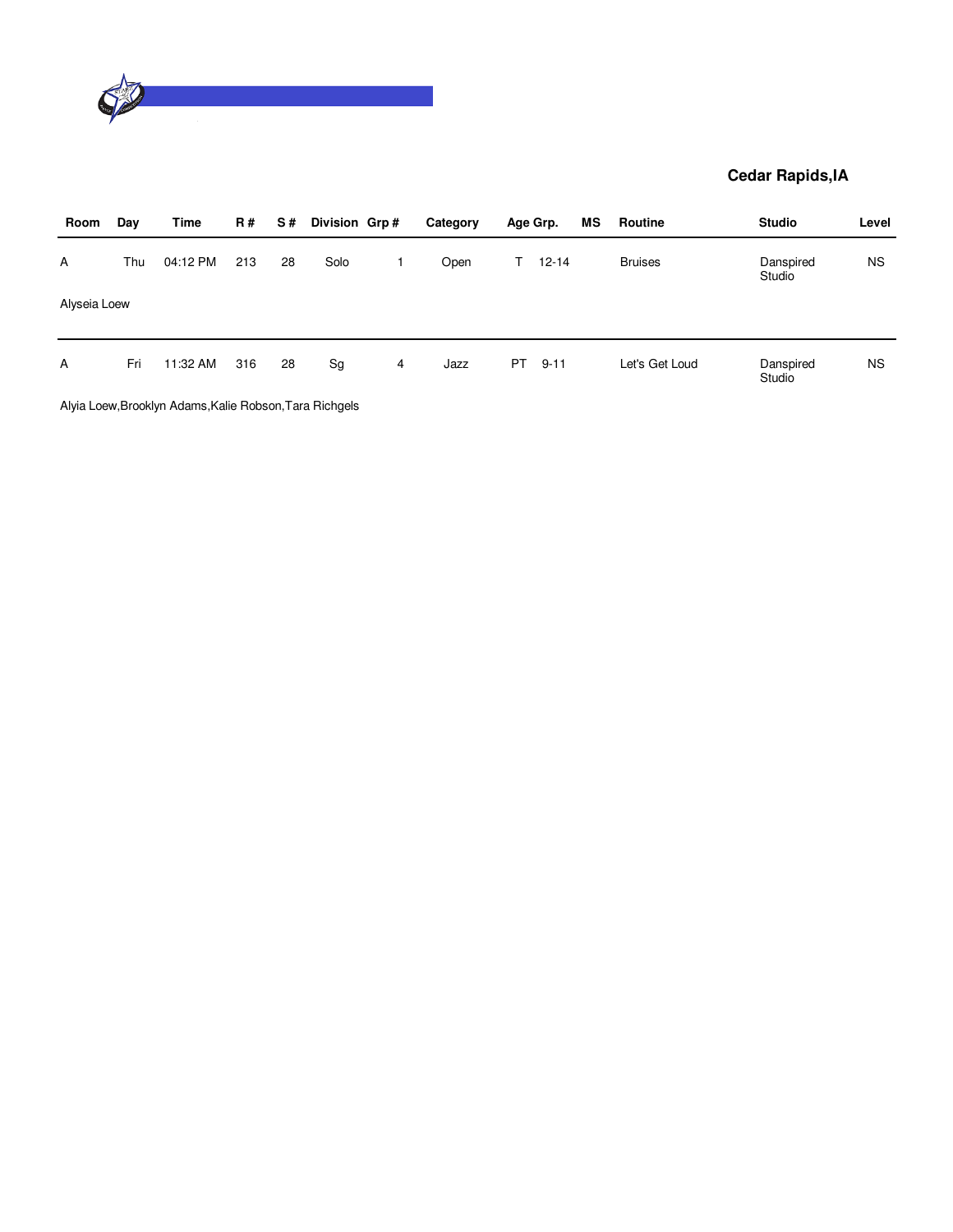

| Room         | Day | Time     | R#  | S# | Division Grp# |   | Category | Age Grp. |           | MS | Routine        | <b>Studio</b>       | Level     |
|--------------|-----|----------|-----|----|---------------|---|----------|----------|-----------|----|----------------|---------------------|-----------|
| A            | Thu | 04:12 PM | 213 | 28 | Solo          |   | Open     | T.       | $12 - 14$ |    | <b>Bruises</b> | Danspired<br>Studio | <b>NS</b> |
| Alyseia Loew |     |          |     |    |               |   |          |          |           |    |                |                     |           |
| $\mathsf{A}$ | Fri | 11:32 AM | 316 | 28 | Sg            | 4 | Jazz     | PT.      | $9 - 11$  |    | Let's Get Loud | Danspired           | <b>NS</b> |
|              |     |          |     |    |               |   |          |          |           |    |                | Studio              |           |

Alyia Loew,Brooklyn Adams,Kalie Robson,Tara Richgels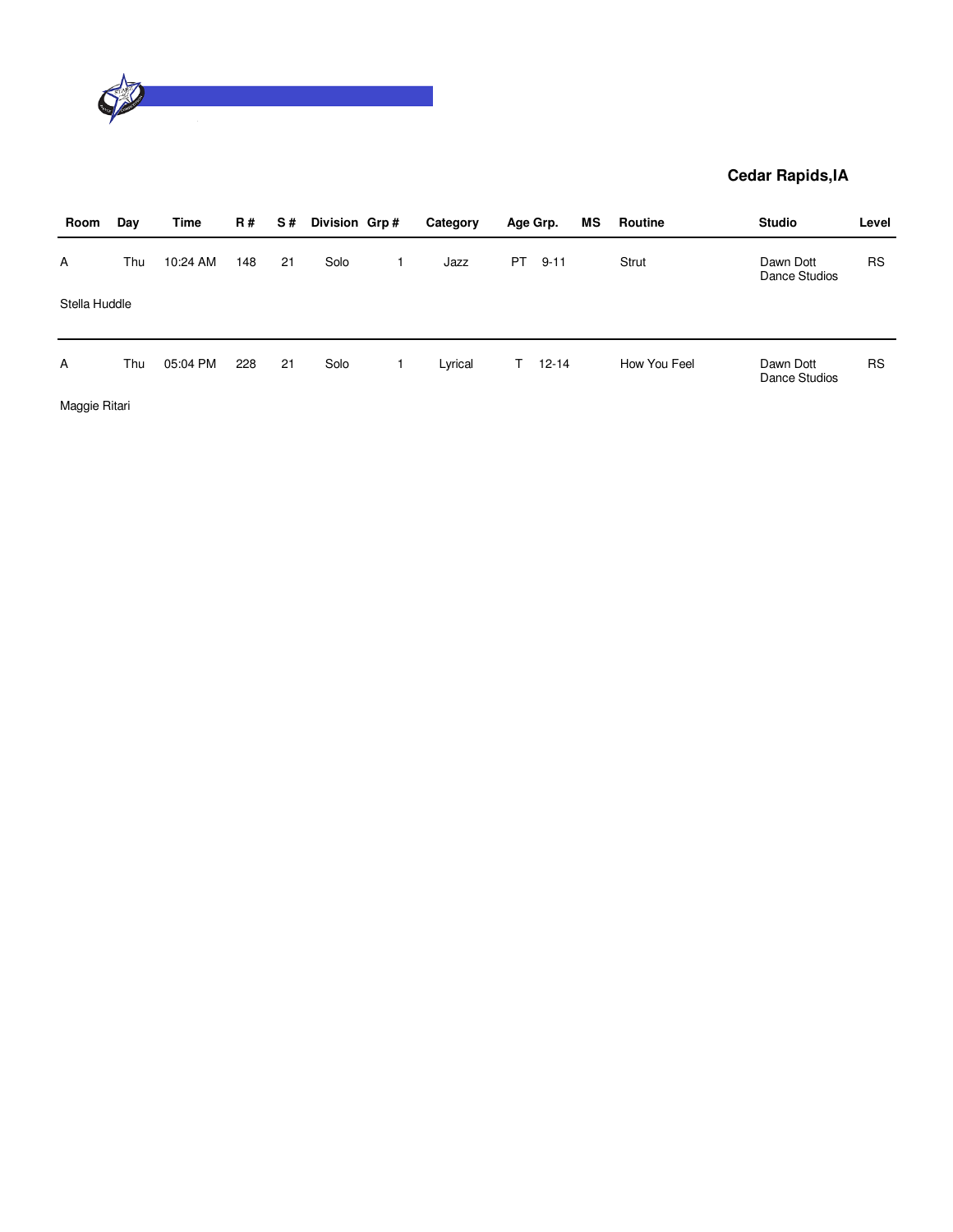

| Room          | Day | Time     | <b>R#</b> | S# | Division Grp# | Category |           | Age Grp.  | ΜS | Routine      | <b>Studio</b>              | Level     |
|---------------|-----|----------|-----------|----|---------------|----------|-----------|-----------|----|--------------|----------------------------|-----------|
| A             | Thu | 10:24 AM | 148       | 21 | Solo          | Jazz     | <b>PT</b> | $9 - 11$  |    | Strut        | Dawn Dott<br>Dance Studios | <b>RS</b> |
| Stella Huddle |     |          |           |    |               |          |           |           |    |              |                            |           |
| $\mathsf{A}$  | Thu | 05:04 PM | 228       | 21 | Solo          | Lyrical  | T.        | $12 - 14$ |    | How You Feel | Dawn Dott                  | <b>RS</b> |
|               |     |          |           |    |               |          |           |           |    |              | Dance Studios              |           |

Maggie Ritari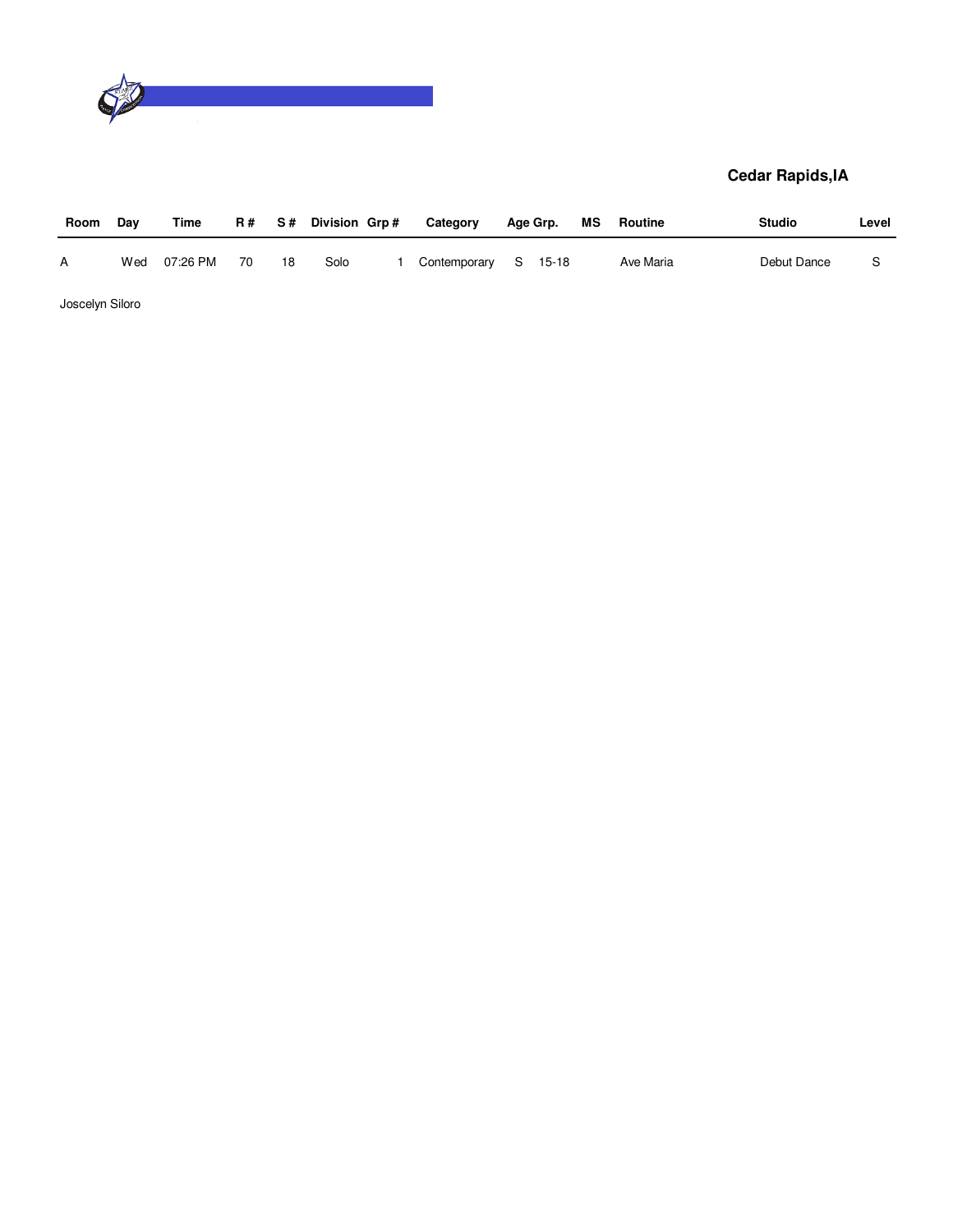

| Room | Day | Time     |    |    | R# S# Division Grp# | Category             | Age Grp. | MS | Routine   | <b>Studio</b> | Level |
|------|-----|----------|----|----|---------------------|----------------------|----------|----|-----------|---------------|-------|
| A    | Wed | 07:26 PM | 70 | 18 | Solo                | Contemporary S 15-18 |          |    | Ave Maria | Debut Dance   |       |

Joscelyn Siloro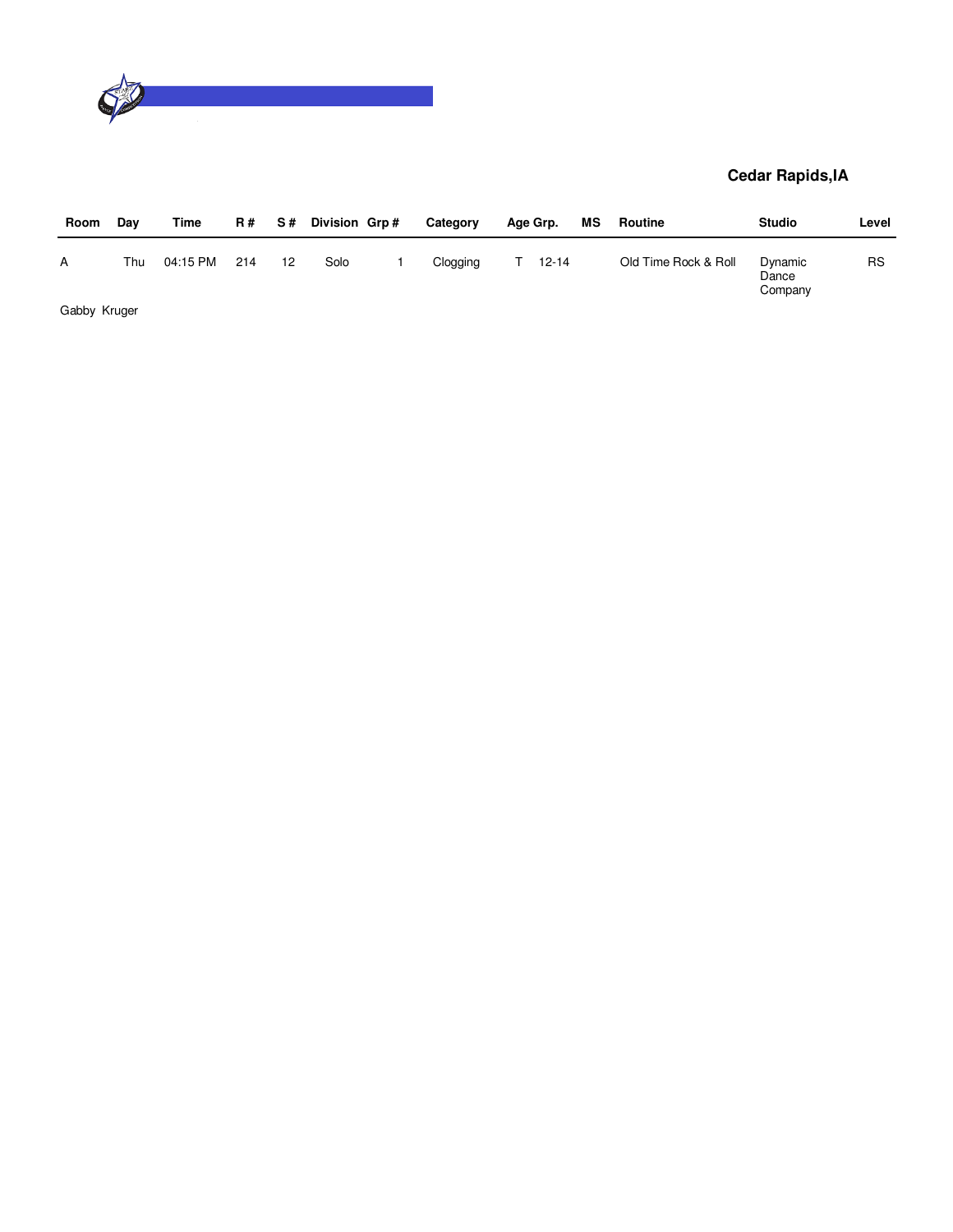

| Room         | Day | Time     | <b>R#</b> | S# | Division Grp# | Category | Age Grp.  | МS | Routine              | <b>Studio</b>               | Level     |
|--------------|-----|----------|-----------|----|---------------|----------|-----------|----|----------------------|-----------------------------|-----------|
| А            | Thu | 04:15 PM | 214       | 12 | Solo          | Clogging | $12 - 14$ |    | Old Time Rock & Roll | Dynamic<br>Dance<br>Company | <b>RS</b> |
| Gabby Kruger |     |          |           |    |               |          |           |    |                      |                             |           |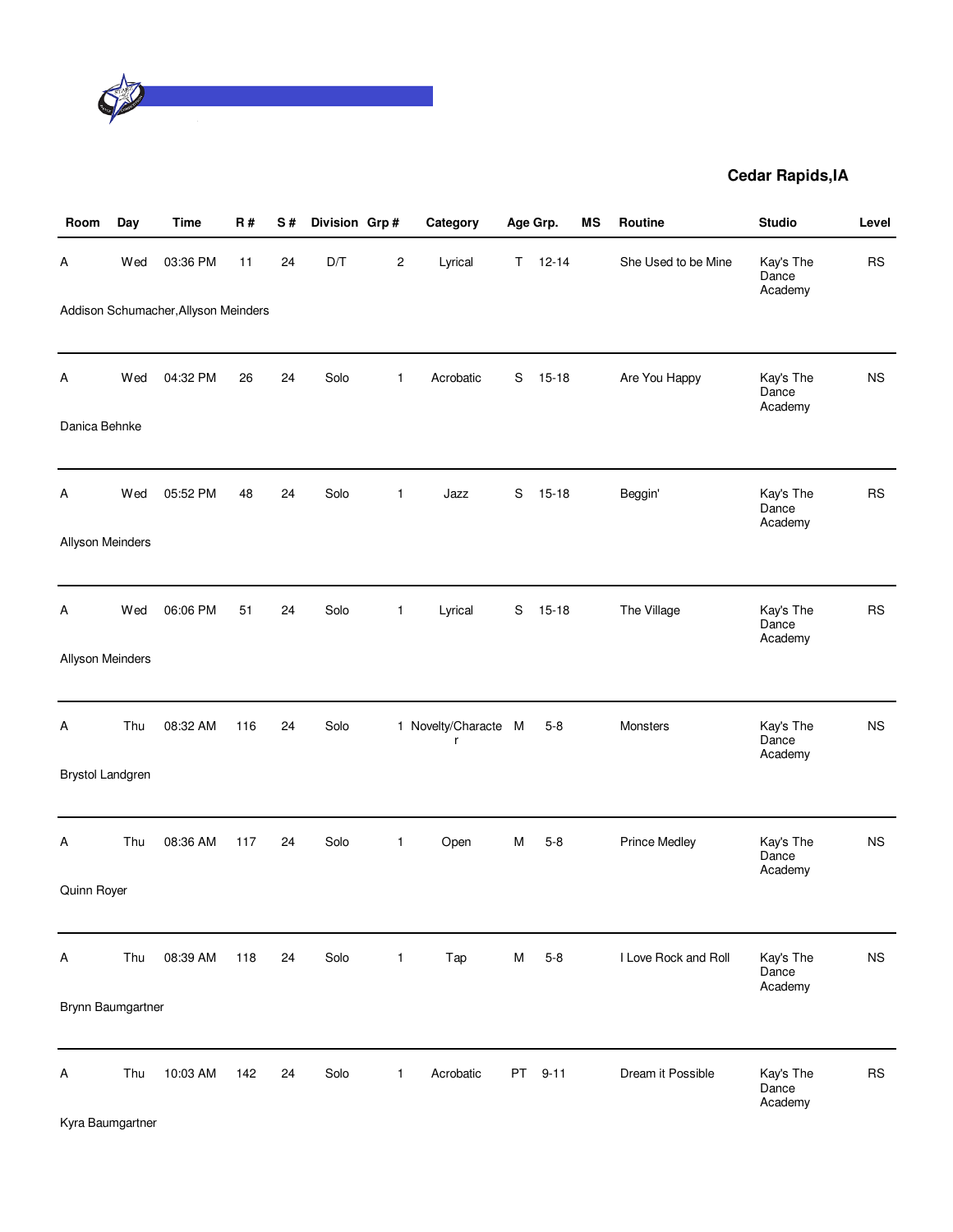

| Room                    | Day | Time                                 | <b>R#</b> | S# | Division Grp# |              | Category                  |           | Age Grp.  | <b>MS</b> | Routine              | <b>Studio</b>                 | Level     |
|-------------------------|-----|--------------------------------------|-----------|----|---------------|--------------|---------------------------|-----------|-----------|-----------|----------------------|-------------------------------|-----------|
| Α                       | Wed | 03:36 PM                             | 11        | 24 | D/T           | 2            | Lyrical                   | Τ         | $12 - 14$ |           | She Used to be Mine  | Kay's The<br>Dance<br>Academy | <b>RS</b> |
|                         |     | Addison Schumacher, Allyson Meinders |           |    |               |              |                           |           |           |           |                      |                               |           |
| Α                       | Wed | 04:32 PM                             | 26        | 24 | Solo          | $\mathbf{1}$ | Acrobatic                 | S         | $15 - 18$ |           | Are You Happy        | Kay's The<br>Dance<br>Academy | <b>NS</b> |
| Danica Behnke           |     |                                      |           |    |               |              |                           |           |           |           |                      |                               |           |
| Α                       | Wed | 05:52 PM                             | 48        | 24 | Solo          | 1            | Jazz                      | S         | $15 - 18$ |           | Beggin'              | Kay's The<br>Dance<br>Academy | <b>RS</b> |
| Allyson Meinders        |     |                                      |           |    |               |              |                           |           |           |           |                      |                               |           |
| Α                       | Wed | 06:06 PM                             | 51        | 24 | Solo          | $\mathbf{1}$ | Lyrical                   | S         | $15 - 18$ |           | The Village          | Kay's The<br>Dance<br>Academy | <b>RS</b> |
| Allyson Meinders        |     |                                      |           |    |               |              |                           |           |           |           |                      |                               |           |
| Α                       | Thu | 08:32 AM                             | 116       | 24 | Solo          |              | 1 Novelty/Characte M<br>r |           | $5 - 8$   |           | Monsters             | Kay's The<br>Dance<br>Academy | <b>NS</b> |
| <b>Brystol Landgren</b> |     |                                      |           |    |               |              |                           |           |           |           |                      |                               |           |
| Α                       | Thu | 08:36 AM                             | 117       | 24 | Solo          | 1            | Open                      | M         | $5 - 8$   |           | <b>Prince Medley</b> | Kay's The<br>Dance<br>Academy | <b>NS</b> |
| Quinn Royer             |     |                                      |           |    |               |              |                           |           |           |           |                      |                               |           |
| Α                       | Thu | 08:39 AM                             | 118       | 24 | Solo          | 1            | Tap                       | M         | $5 - 8$   |           | I Love Rock and Roll | Kay's The<br>Dance<br>Academy | <b>NS</b> |
| Brynn Baumgartner       |     |                                      |           |    |               |              |                           |           |           |           |                      |                               |           |
| Α<br>Kyra Baumgartner   | Thu | 10:03 AM                             | 142       | 24 | Solo          | 1            | Acrobatic                 | <b>PT</b> | $9 - 11$  |           | Dream it Possible    | Kay's The<br>Dance<br>Academy | <b>RS</b> |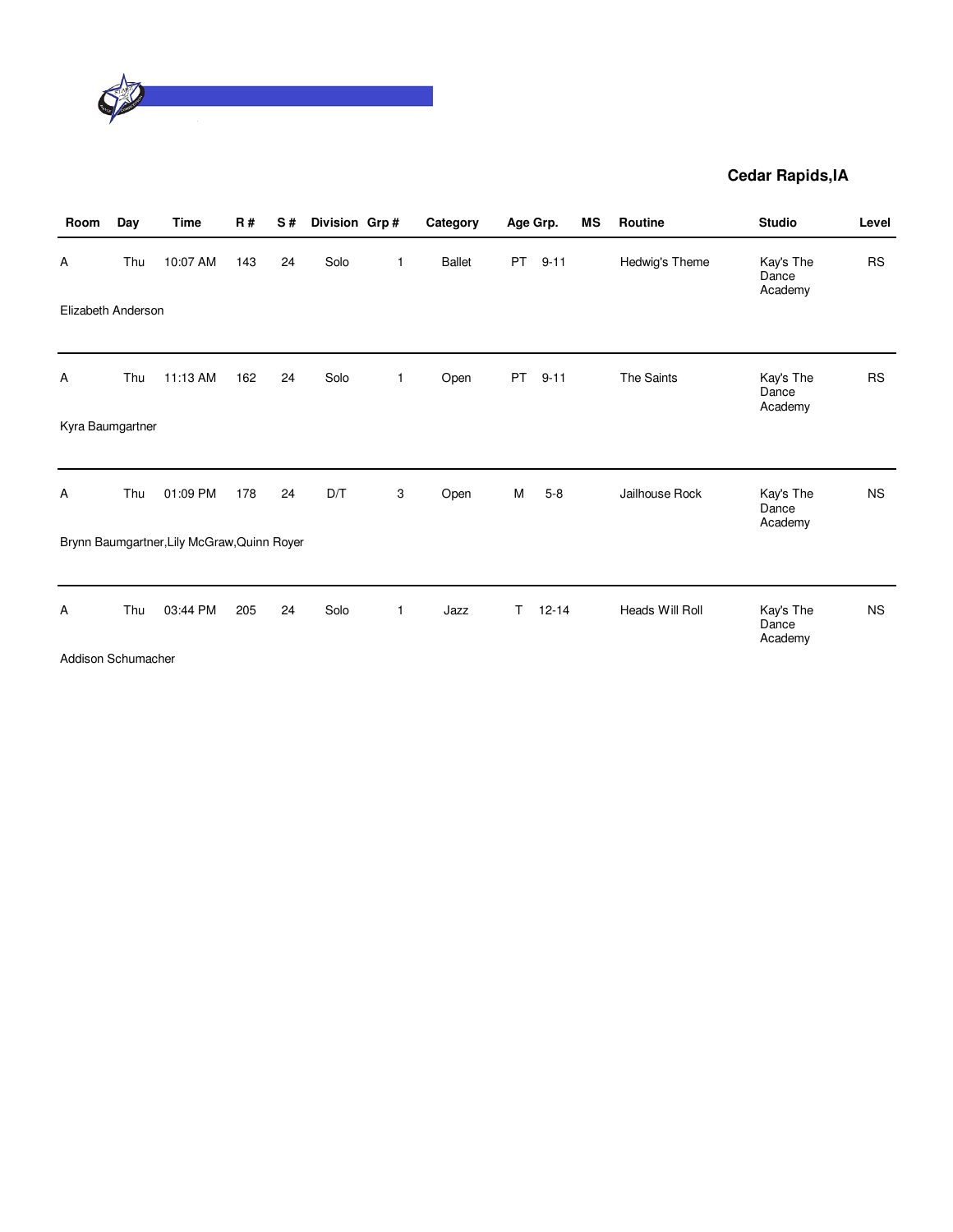

| Room               | Day | <b>Time</b>                                 | R#  | S# | Division Grp# |              | Category      |           | Age Grp.  | <b>MS</b> | Routine         | <b>Studio</b>                 | Level     |
|--------------------|-----|---------------------------------------------|-----|----|---------------|--------------|---------------|-----------|-----------|-----------|-----------------|-------------------------------|-----------|
| Α                  | Thu | 10:07 AM                                    | 143 | 24 | Solo          | $\mathbf{1}$ | <b>Ballet</b> | <b>PT</b> | $9 - 11$  |           | Hedwig's Theme  | Kay's The<br>Dance<br>Academy | <b>RS</b> |
| Elizabeth Anderson |     |                                             |     |    |               |              |               |           |           |           |                 |                               |           |
| Α                  | Thu | 11:13 AM                                    | 162 | 24 | Solo          | $\mathbf 1$  | Open          | <b>PT</b> | $9 - 11$  |           | The Saints      | Kay's The<br>Dance<br>Academy | <b>RS</b> |
| Kyra Baumgartner   |     |                                             |     |    |               |              |               |           |           |           |                 |                               |           |
| Α                  | Thu | 01:09 PM                                    | 178 | 24 | D/T           | 3            | Open          | М         | $5 - 8$   |           | Jailhouse Rock  | Kay's The<br>Dance<br>Academy | <b>NS</b> |
|                    |     | Brynn Baumgartner, Lily McGraw, Quinn Royer |     |    |               |              |               |           |           |           |                 |                               |           |
| A                  | Thu | 03:44 PM                                    | 205 | 24 | Solo          | $\mathbf{1}$ | Jazz          | Τ         | $12 - 14$ |           | Heads Will Roll | Kay's The<br>Dance<br>Academy | <b>NS</b> |
| Addison Schumacher |     |                                             |     |    |               |              |               |           |           |           |                 |                               |           |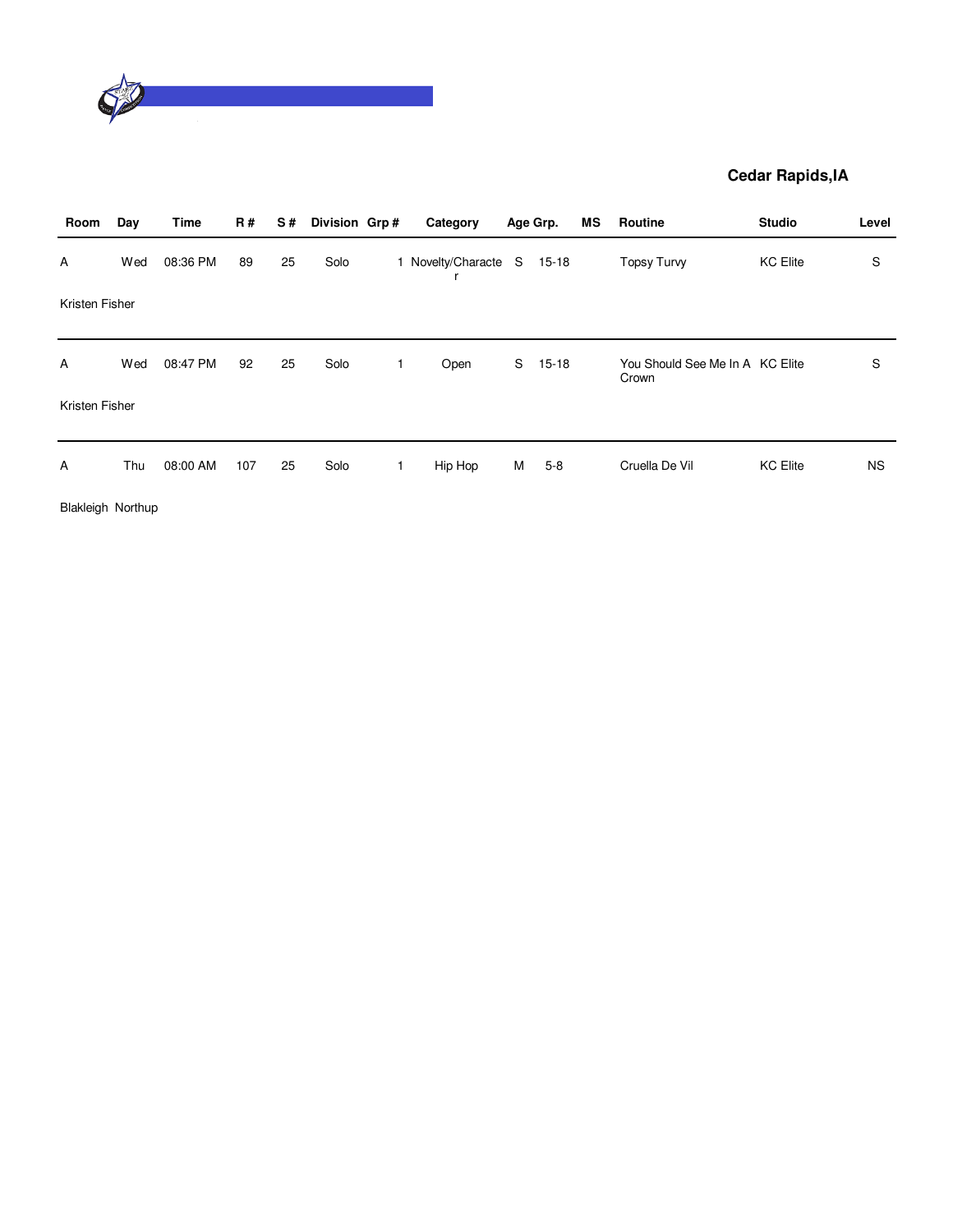

| Room           | Day | <b>Time</b> | <b>R#</b> | S# | Division Grp# | Category                   |   | Age Grp.  | ΜS | Routine                                  | <b>Studio</b>   | Level     |
|----------------|-----|-------------|-----------|----|---------------|----------------------------|---|-----------|----|------------------------------------------|-----------------|-----------|
| Α              | Wed | 08:36 PM    | 89        | 25 | Solo          | 1 Novelty/Characte S 15-18 |   |           |    | <b>Topsy Turvy</b>                       | <b>KC Elite</b> | S         |
| Kristen Fisher |     |             |           |    |               |                            |   |           |    |                                          |                 |           |
| A              | Wed | 08:47 PM    | 92        | 25 | Solo          | Open                       | S | $15 - 18$ |    | You Should See Me In A KC Elite<br>Crown |                 | S         |
| Kristen Fisher |     |             |           |    |               |                            |   |           |    |                                          |                 |           |
| A              | Thu | 08:00 AM    | 107       | 25 | Solo          | Hip Hop                    | М | $5 - 8$   |    | Cruella De Vil                           | <b>KC Elite</b> | <b>NS</b> |

Blakleigh Northup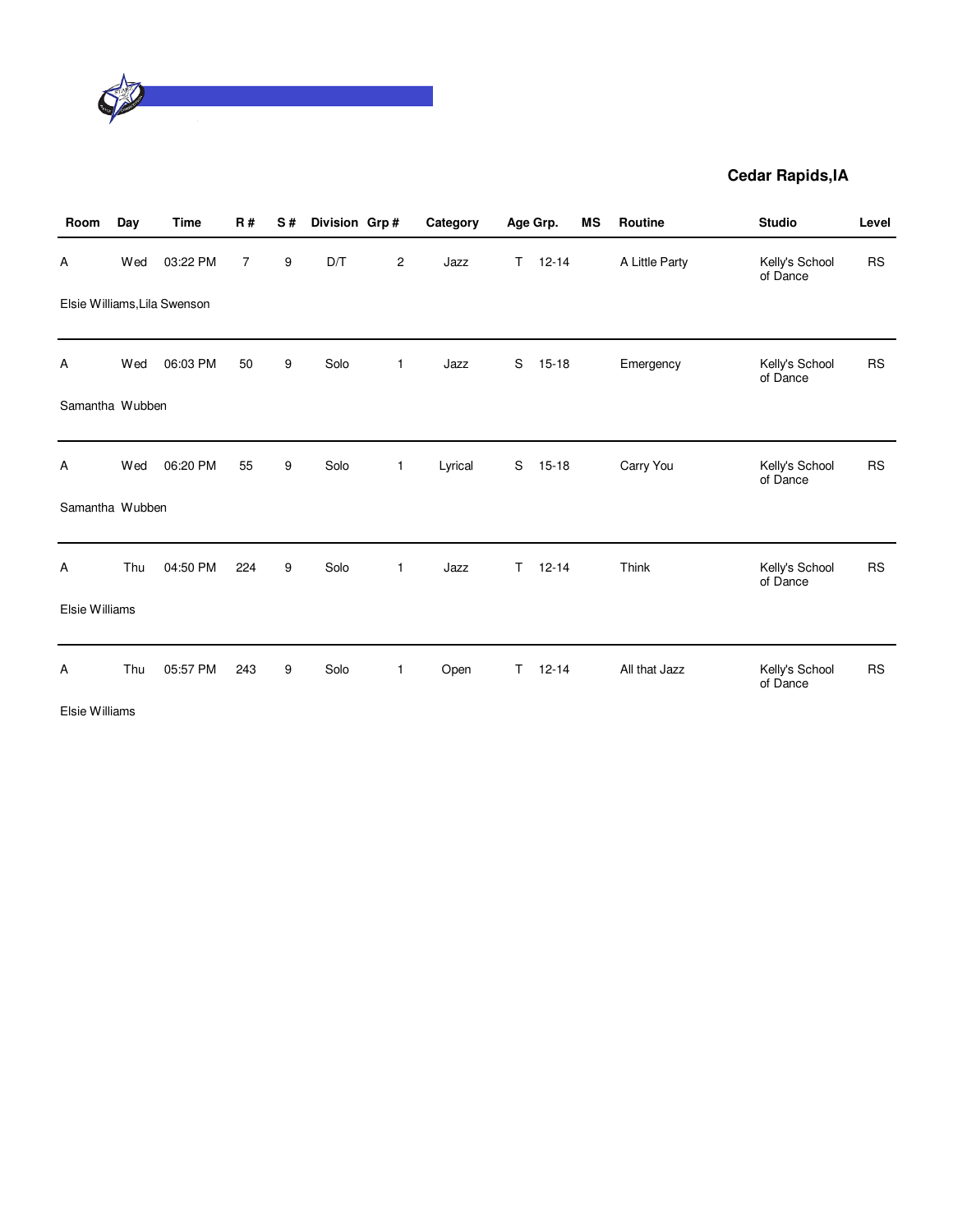

| Room            | Day | <b>Time</b>                  | <b>R#</b> | S# | Division Grp# |                | Category |    | Age Grp.  | MS | <b>Routine</b> | <b>Studio</b>              | Level     |
|-----------------|-----|------------------------------|-----------|----|---------------|----------------|----------|----|-----------|----|----------------|----------------------------|-----------|
| Α               | Wed | 03:22 PM                     | 7         | 9  | D/T           | $\overline{c}$ | Jazz     | T  | $12 - 14$ |    | A Little Party | Kelly's School<br>of Dance | <b>RS</b> |
|                 |     | Elsie Williams, Lila Swenson |           |    |               |                |          |    |           |    |                |                            |           |
| Α               | Wed | 06:03 PM                     | 50        | 9  | Solo          | 1              | Jazz     | S  | $15 - 18$ |    | Emergency      | Kelly's School<br>of Dance | <b>RS</b> |
| Samantha Wubben |     |                              |           |    |               |                |          |    |           |    |                |                            |           |
| A               | Wed | 06:20 PM                     | 55        | 9  | Solo          | $\mathbf{1}$   | Lyrical  | S  | $15 - 18$ |    | Carry You      | Kelly's School<br>of Dance | <b>RS</b> |
| Samantha Wubben |     |                              |           |    |               |                |          |    |           |    |                |                            |           |
| Α               | Thu | 04:50 PM                     | 224       | 9  | Solo          | $\mathbf{1}$   | Jazz     | T. | $12 - 14$ |    | Think          | Kelly's School<br>of Dance | <b>RS</b> |
| Elsie Williams  |     |                              |           |    |               |                |          |    |           |    |                |                            |           |
| Α               | Thu | 05:57 PM                     | 243       | 9  | Solo          | 1              | Open     | T. | $12 - 14$ |    | All that Jazz  | Kelly's School<br>of Dance | <b>RS</b> |

Elsie Williams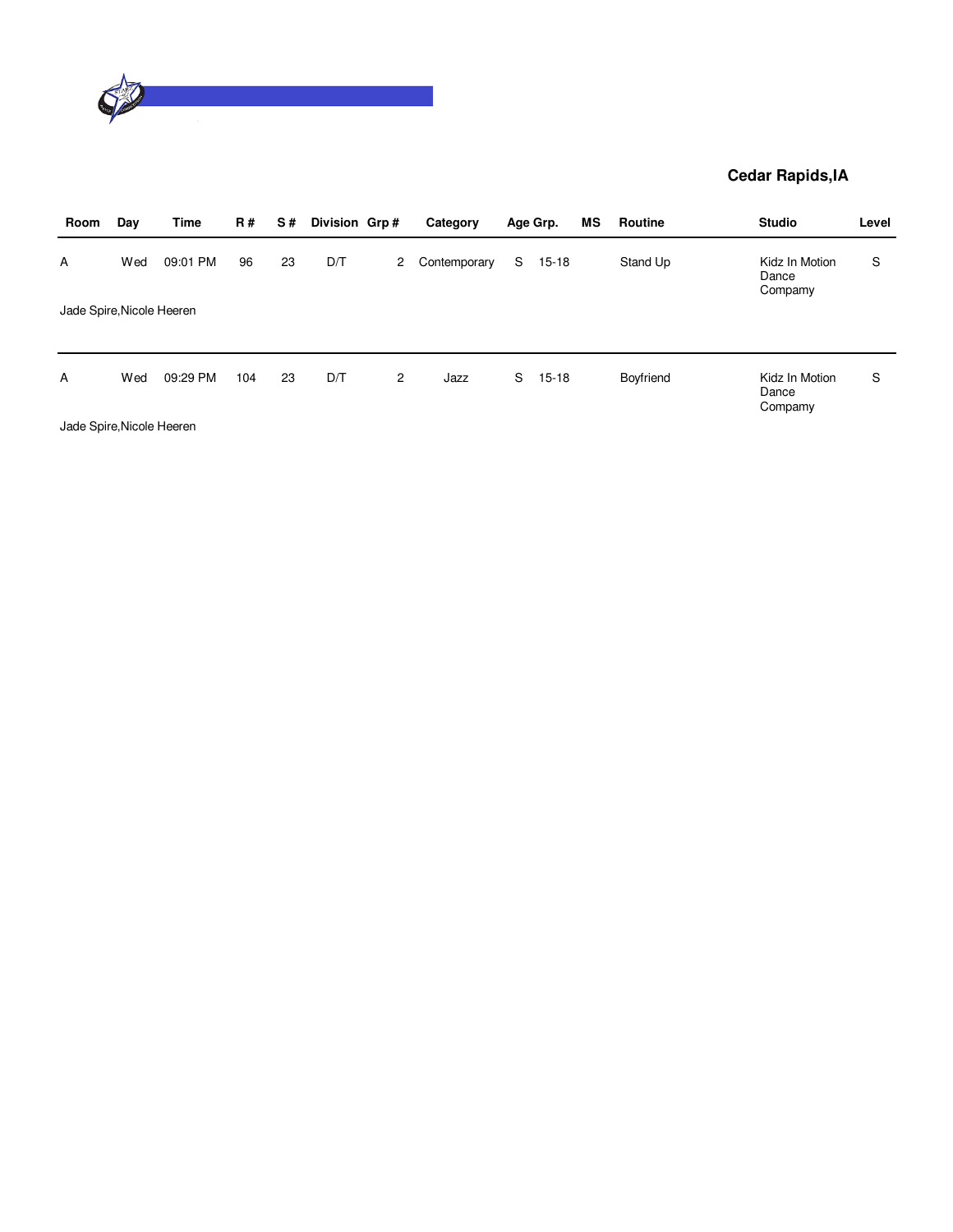

| Room                           | Day | Time     | <b>R#</b> | S# | Division Grp# |                | Category     |    | Age Grp.  | МS | Routine   | <b>Studio</b>                      | Level |
|--------------------------------|-----|----------|-----------|----|---------------|----------------|--------------|----|-----------|----|-----------|------------------------------------|-------|
| A<br>Jade Spire, Nicole Heeren | Wed | 09:01 PM | 96        | 23 | D/T           | 2              | Contemporary | S  | $15 - 18$ |    | Stand Up  | Kidz In Motion<br>Dance<br>Compamy | S     |
|                                |     |          |           |    |               |                |              |    |           |    |           |                                    |       |
| A                              | Wed | 09:29 PM | 104       | 23 | D/T           | $\overline{2}$ | Jazz         | S. | $15 - 18$ |    | Boyfriend | Kidz In Motion<br>Dance<br>Compamy | S     |

Jade Spire,Nicole Heeren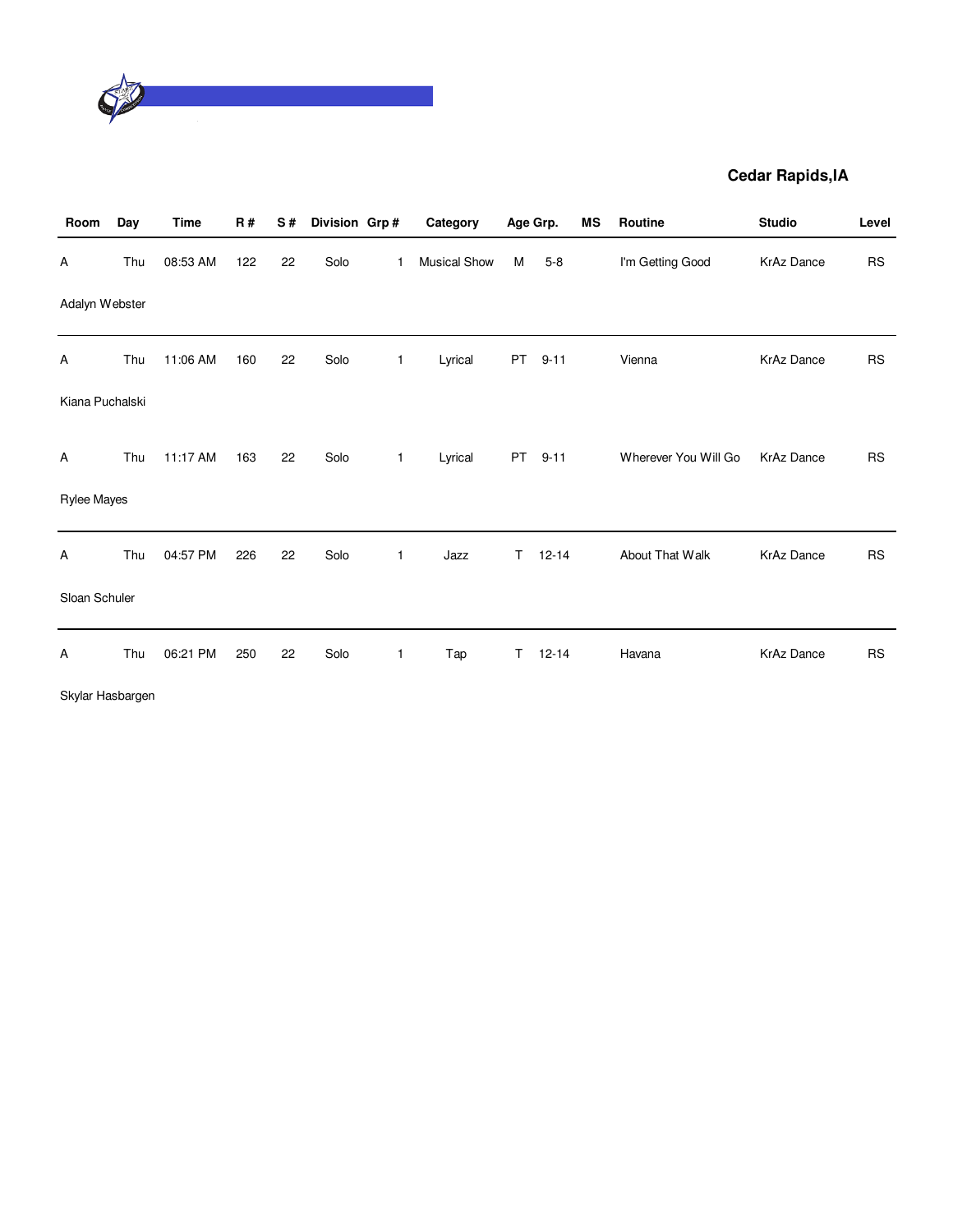

| Room               | Day | <b>Time</b> | R#  | S# | Division Grp# |              | Category     |           | Age Grp.  | <b>MS</b> | Routine              | <b>Studio</b>     | Level     |
|--------------------|-----|-------------|-----|----|---------------|--------------|--------------|-----------|-----------|-----------|----------------------|-------------------|-----------|
| A                  | Thu | 08:53 AM    | 122 | 22 | Solo          | 1            | Musical Show | M         | $5 - 8$   |           | I'm Getting Good     | <b>KrAz Dance</b> | <b>RS</b> |
| Adalyn Webster     |     |             |     |    |               |              |              |           |           |           |                      |                   |           |
| Α                  | Thu | 11:06 AM    | 160 | 22 | Solo          | $\mathbf{1}$ | Lyrical      | <b>PT</b> | $9 - 11$  |           | Vienna               | <b>KrAz Dance</b> | <b>RS</b> |
| Kiana Puchalski    |     |             |     |    |               |              |              |           |           |           |                      |                   |           |
| Α                  | Thu | 11:17 AM    | 163 | 22 | Solo          | 1            | Lyrical      | <b>PT</b> | $9 - 11$  |           | Wherever You Will Go | <b>KrAz Dance</b> | <b>RS</b> |
| <b>Rylee Mayes</b> |     |             |     |    |               |              |              |           |           |           |                      |                   |           |
| A                  | Thu | 04:57 PM    | 226 | 22 | Solo          | 1            | Jazz         | T.        | $12 - 14$ |           | About That Walk      | <b>KrAz Dance</b> | <b>RS</b> |
| Sloan Schuler      |     |             |     |    |               |              |              |           |           |           |                      |                   |           |
| Α                  | Thu | 06:21 PM    | 250 | 22 | Solo          | 1            | Tap          | T         | $12 - 14$ |           | Havana               | <b>KrAz Dance</b> | <b>RS</b> |
| Skylar Hasbargen   |     |             |     |    |               |              |              |           |           |           |                      |                   |           |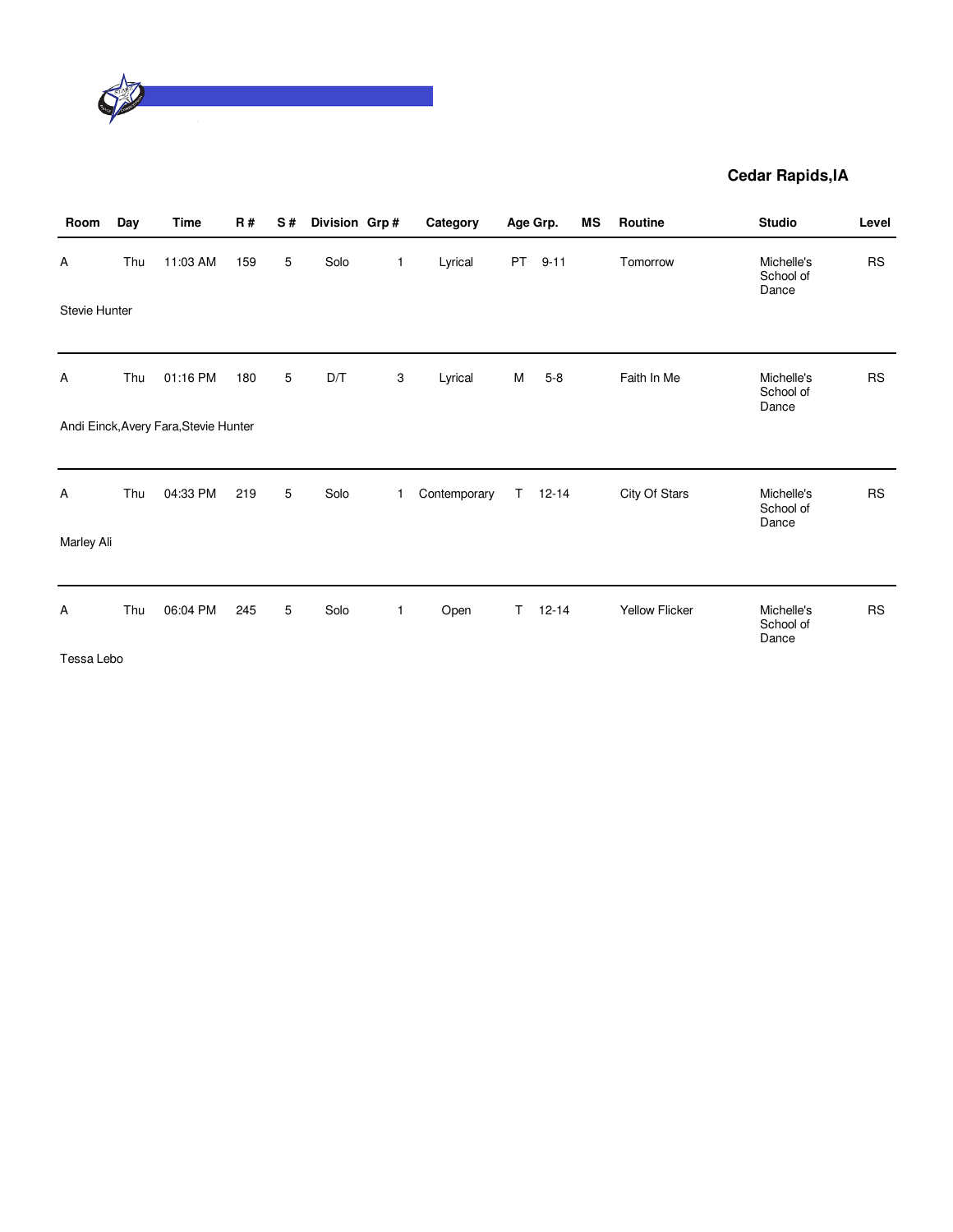

| 11:03 AM<br>159 | $5\phantom{.0}$                                                           | Solo |             |              |    |           |                |                                  |           |
|-----------------|---------------------------------------------------------------------------|------|-------------|--------------|----|-----------|----------------|----------------------------------|-----------|
|                 |                                                                           |      | $\mathbf 1$ | Lyrical      | PT | $9 - 11$  | Tomorrow       | Michelle's<br>School of<br>Dance | <b>RS</b> |
|                 |                                                                           |      |             |              |    |           |                |                                  |           |
| 180             | $5\phantom{.0}$                                                           | D/T  | 3           | Lyrical      | M  | $5-8$     | Faith In Me    | Michelle's<br>School of<br>Dance | <b>RS</b> |
|                 |                                                                           |      |             |              |    |           |                |                                  |           |
| 219             | 5                                                                         | Solo | 1           | Contemporary | T. | $12 - 14$ | City Of Stars  | Michelle's<br>School of          | <b>RS</b> |
|                 |                                                                           |      |             |              |    |           |                |                                  |           |
| 245             | 5                                                                         | Solo | $\mathbf 1$ | Open         | T. | $12 - 14$ | Yellow Flicker | Michelle's<br>School of<br>Dance | <b>RS</b> |
|                 | 01:16 PM<br>Andi Einck, Avery Fara, Stevie Hunter<br>04:33 PM<br>06:04 PM |      |             |              |    |           |                |                                  | Dance     |

Tessa Lebo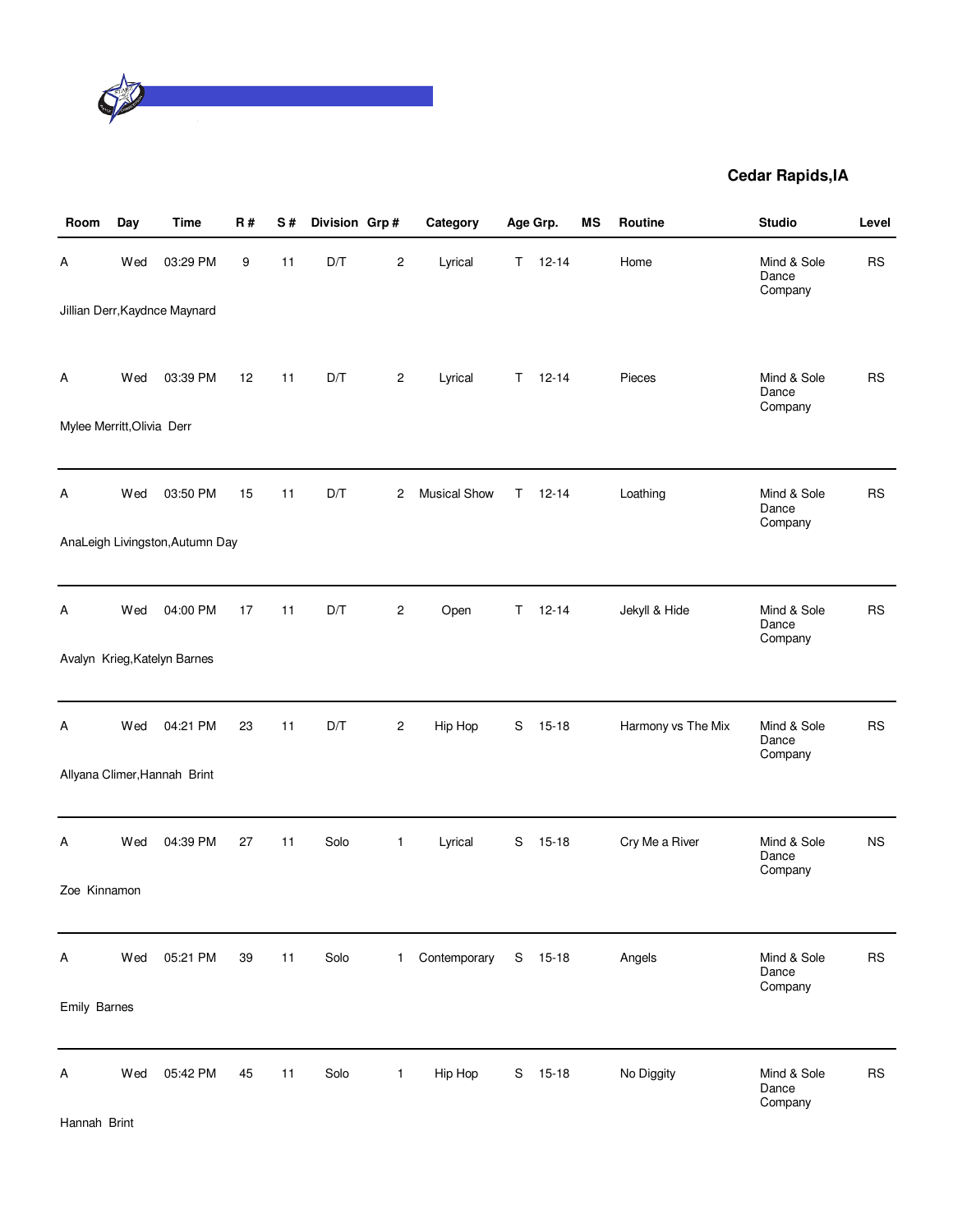

| Room                       | Day | <b>Time</b>                     | <b>R#</b> | S# | Division Grp# |                | Category            |    | Age Grp.  | MS | Routine            | <b>Studio</b>                   | Level     |
|----------------------------|-----|---------------------------------|-----------|----|---------------|----------------|---------------------|----|-----------|----|--------------------|---------------------------------|-----------|
| А                          | Wed | 03:29 PM                        | 9         | 11 | D/T           | 2              | Lyrical             | Τ  | $12 - 14$ |    | Home               | Mind & Sole<br>Dance<br>Company | <b>RS</b> |
|                            |     | Jillian Derr, Kaydnce Maynard   |           |    |               |                |                     |    |           |    |                    |                                 |           |
| Α                          | Wed | 03:39 PM                        | 12        | 11 | D/T           | $\overline{c}$ | Lyrical             | T. | $12 - 14$ |    | Pieces             | Mind & Sole<br>Dance            | <b>RS</b> |
| Mylee Merritt, Olivia Derr |     |                                 |           |    |               |                |                     |    |           |    |                    | Company                         |           |
|                            |     |                                 |           |    |               |                |                     |    |           |    |                    |                                 |           |
| Α                          | Wed | 03:50 PM                        | 15        | 11 | D/T           | 2              | <b>Musical Show</b> | T. | $12 - 14$ |    | Loathing           | Mind & Sole<br>Dance<br>Company | <b>RS</b> |
|                            |     | AnaLeigh Livingston, Autumn Day |           |    |               |                |                     |    |           |    |                    |                                 |           |
|                            |     |                                 |           |    |               |                |                     |    |           |    |                    |                                 |           |
| Α                          | Wed | 04:00 PM                        | 17        | 11 | D/T           | $\overline{c}$ | Open                | T. | $12 - 14$ |    | Jekyll & Hide      | Mind & Sole<br>Dance<br>Company | <b>RS</b> |
|                            |     | Avalyn Krieg, Katelyn Barnes    |           |    |               |                |                     |    |           |    |                    |                                 |           |
|                            |     |                                 |           |    |               |                |                     |    |           |    |                    |                                 |           |
| Α                          | Wed | 04:21 PM                        | 23        | 11 | D/T           | 2              | Hip Hop             | S  | $15 - 18$ |    | Harmony vs The Mix | Mind & Sole<br>Dance<br>Company | <b>RS</b> |
|                            |     | Allyana Climer, Hannah Brint    |           |    |               |                |                     |    |           |    |                    |                                 |           |
|                            |     |                                 |           |    |               |                |                     |    |           |    |                    |                                 |           |
| Α                          | Wed | 04:39 PM                        | 27        | 11 | Solo          | 1              | Lyrical             | S  | $15 - 18$ |    | Cry Me a River     | Mind & Sole<br>Dance<br>Company | <b>NS</b> |
| Zoe Kinnamon               |     |                                 |           |    |               |                |                     |    |           |    |                    |                                 |           |
|                            |     |                                 |           |    |               |                |                     |    |           |    |                    |                                 |           |
| Α                          | Wed | 05:21 PM                        | 39        | 11 | Solo          | $\mathbf{1}$   | Contemporary        | S  | $15 - 18$ |    | Angels             | Mind & Sole<br>Dance<br>Company | <b>RS</b> |
| Emily Barnes               |     |                                 |           |    |               |                |                     |    |           |    |                    |                                 |           |
| Α                          | Wed | 05:42 PM                        | 45        | 11 | Solo          | $\mathbf{1}$   | Hip Hop             | S  | $15 - 18$ |    | No Diggity         | Mind & Sole<br>Dance<br>Company | RS        |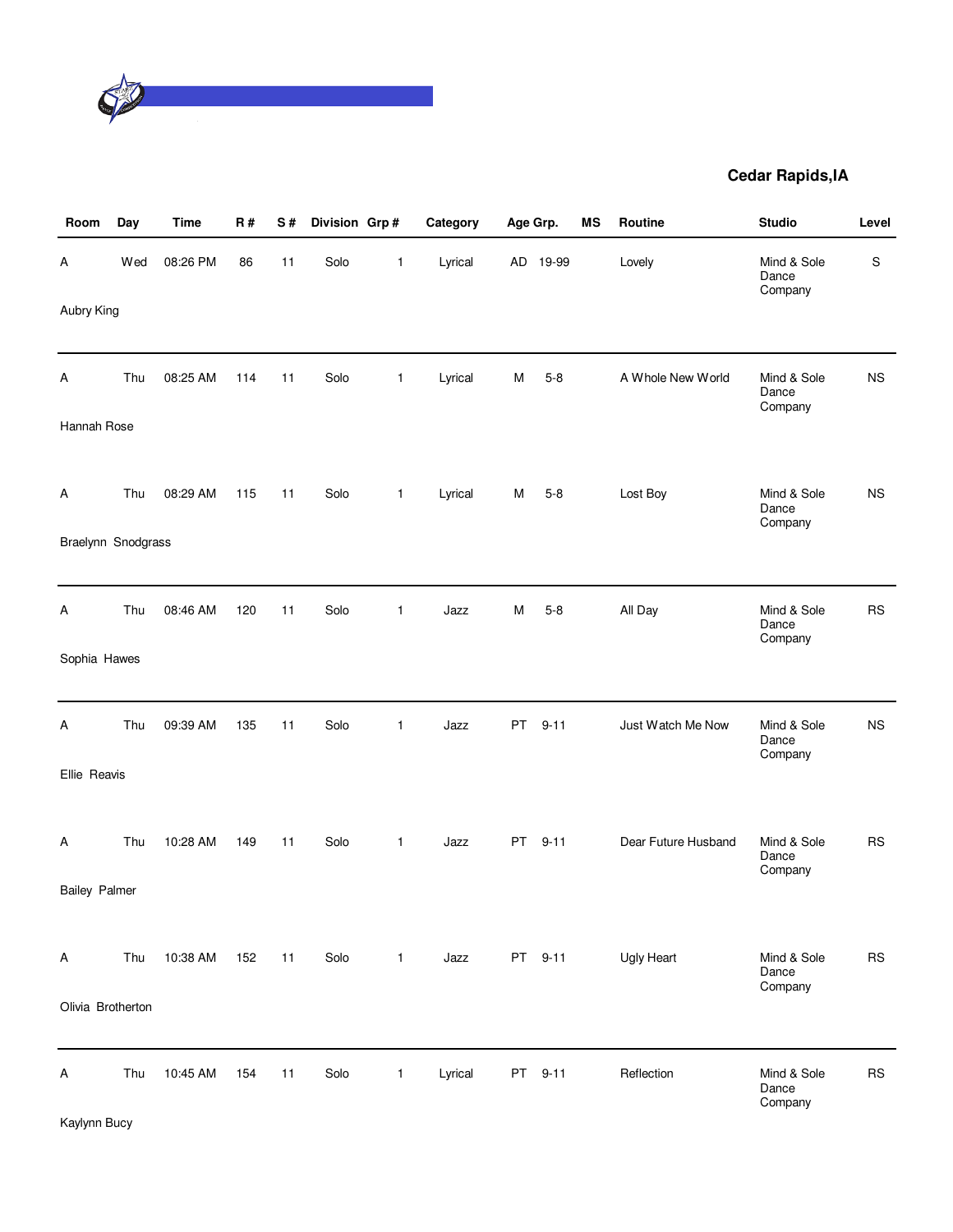

| Room                 | Day | <b>Time</b> | <b>R#</b> | S# | Division Grp# |              | Category | Age Grp.  |          | <b>MS</b> | Routine             | <b>Studio</b>                   | Level         |
|----------------------|-----|-------------|-----------|----|---------------|--------------|----------|-----------|----------|-----------|---------------------|---------------------------------|---------------|
| Α                    | Wed | 08:26 PM    | 86        | 11 | Solo          | 1            | Lyrical  |           | AD 19-99 |           | Lovely              | Mind & Sole<br>Dance<br>Company | ${\mathbb S}$ |
| Aubry King           |     |             |           |    |               |              |          |           |          |           |                     |                                 |               |
| Α                    | Thu | 08:25 AM    | 114       | 11 | Solo          | $\mathbf{1}$ | Lyrical  | М         | $5 - 8$  |           | A Whole New World   | Mind & Sole<br>Dance<br>Company | <b>NS</b>     |
| Hannah Rose          |     |             |           |    |               |              |          |           |          |           |                     |                                 |               |
| Α                    | Thu | 08:29 AM    | 115       | 11 | Solo          | $\mathbf{1}$ | Lyrical  | M         | $5 - 8$  |           | Lost Boy            | Mind & Sole<br>Dance<br>Company | <b>NS</b>     |
| Braelynn Snodgrass   |     |             |           |    |               |              |          |           |          |           |                     |                                 |               |
| A                    | Thu | 08:46 AM    | 120       | 11 | Solo          | 1            | Jazz     | м         | $5 - 8$  |           | All Day             | Mind & Sole<br>Dance<br>Company | <b>RS</b>     |
| Sophia Hawes         |     |             |           |    |               |              |          |           |          |           |                     |                                 |               |
| A                    | Thu | 09:39 AM    | 135       | 11 | Solo          | 1            | Jazz     | PT        | $9 - 11$ |           | Just Watch Me Now   | Mind & Sole<br>Dance<br>Company | <b>NS</b>     |
| Ellie Reavis         |     |             |           |    |               |              |          |           |          |           |                     |                                 |               |
| Α                    | Thu | 10:28 AM    | 149       | 11 | Solo          | $\mathbf{1}$ | Jazz     | <b>PT</b> | $9 - 11$ |           | Dear Future Husband | Mind & Sole<br>Dance<br>Company | <b>RS</b>     |
| <b>Bailey Palmer</b> |     |             |           |    |               |              |          |           |          |           |                     |                                 |               |
| A                    | Thu | 10:38 AM    | 152       | 11 | Solo          | $\mathbf{1}$ | Jazz     |           | PT 9-11  |           | Ugly Heart          | Mind & Sole<br>Dance<br>Company | <b>RS</b>     |
| Olivia Brotherton    |     |             |           |    |               |              |          |           |          |           |                     |                                 |               |
| Α<br>Kaylynn Bucy    | Thu | 10:45 AM    | 154       | 11 | Solo          | 1            | Lyrical  | PT        | $9 - 11$ |           | Reflection          | Mind & Sole<br>Dance<br>Company | <b>RS</b>     |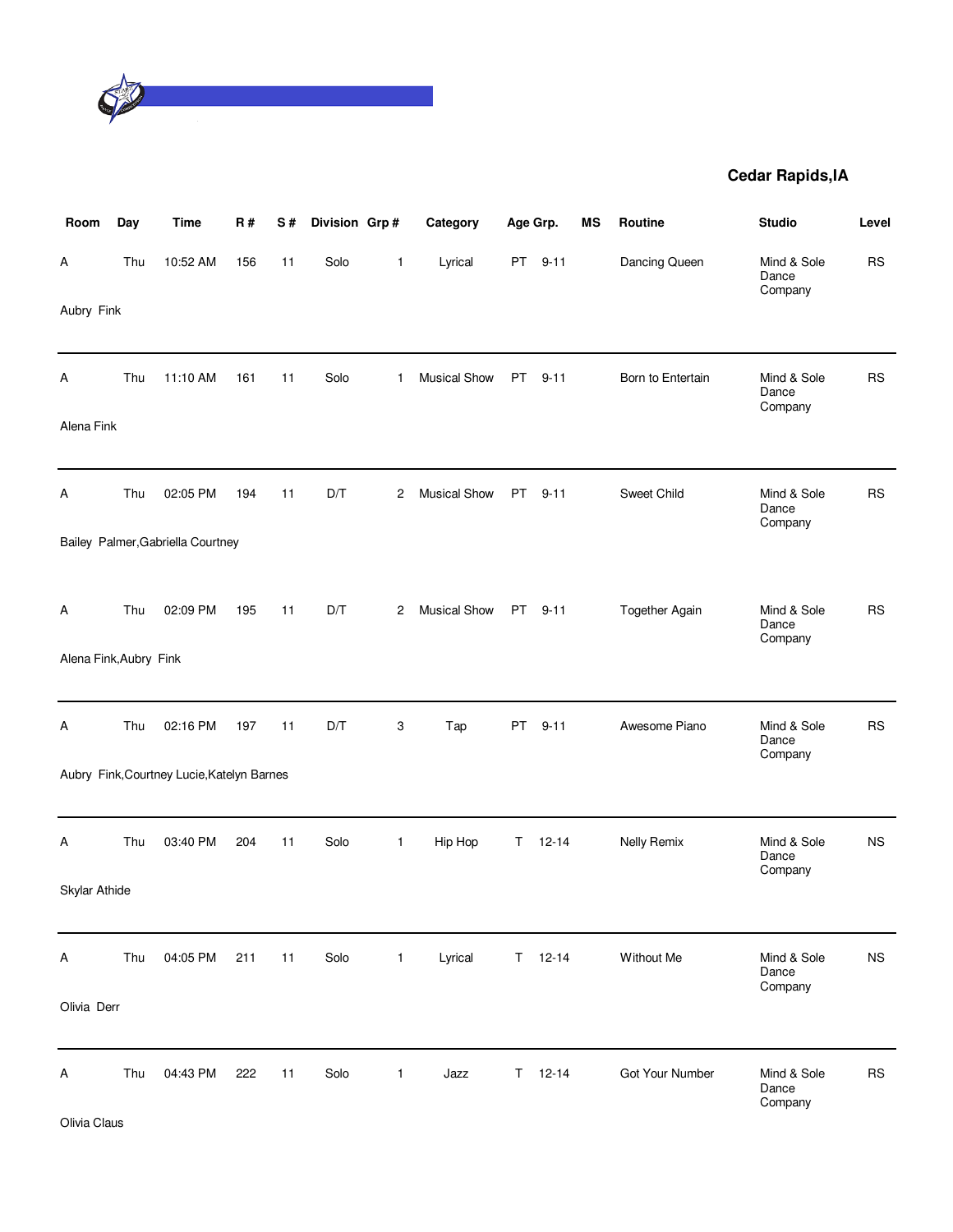

| Room                   | Day | <b>Time</b>                                | R#  | S# | Division Grp# |              | Category            |           | Age Grp.      | MS | Routine            | <b>Studio</b>                   | Level     |
|------------------------|-----|--------------------------------------------|-----|----|---------------|--------------|---------------------|-----------|---------------|----|--------------------|---------------------------------|-----------|
| Α                      | Thu | 10:52 AM                                   | 156 | 11 | Solo          | 1            | Lyrical             | PT        | $9 - 11$      |    | Dancing Queen      | Mind & Sole<br>Dance<br>Company | <b>RS</b> |
| Aubry Fink             |     |                                            |     |    |               |              |                     |           |               |    |                    |                                 |           |
| A                      | Thu | 11:10 AM                                   | 161 | 11 | Solo          | $\mathbf{1}$ | <b>Musical Show</b> | <b>PT</b> | $9 - 11$      |    | Born to Entertain  | Mind & Sole<br>Dance<br>Company | <b>RS</b> |
| Alena Fink             |     |                                            |     |    |               |              |                     |           |               |    |                    |                                 |           |
| Α                      | Thu | 02:05 PM                                   | 194 | 11 | D/T           | 2            | <b>Musical Show</b> | PT.       | $9 - 11$      |    | Sweet Child        | Mind & Sole<br>Dance<br>Company | <b>RS</b> |
|                        |     | Bailey Palmer, Gabriella Courtney          |     |    |               |              |                     |           |               |    |                    |                                 |           |
| A                      | Thu | 02:09 PM                                   | 195 | 11 | D/T           | 2            | <b>Musical Show</b> | PT        | $9 - 11$      |    | Together Again     | Mind & Sole<br>Dance<br>Company | <b>RS</b> |
| Alena Fink, Aubry Fink |     |                                            |     |    |               |              |                     |           |               |    |                    |                                 |           |
| Α                      | Thu | 02:16 PM                                   | 197 | 11 | D/T           | 3            | Tap                 | PT        | $9 - 11$      |    | Awesome Piano      | Mind & Sole<br>Dance<br>Company | <b>RS</b> |
|                        |     | Aubry Fink, Courtney Lucie, Katelyn Barnes |     |    |               |              |                     |           |               |    |                    |                                 |           |
| Α                      | Thu | 03:40 PM                                   | 204 | 11 | Solo          | 1            | Hip Hop             | Τ         | $12 - 14$     |    | <b>Nelly Remix</b> | Mind & Sole<br>Dance<br>Company | <b>NS</b> |
| Skylar Athide          |     |                                            |     |    |               |              |                     |           |               |    |                    |                                 |           |
| A                      | Thu | 04:05 PM                                   | 211 | 11 | Solo          | 1            | Lyrical             |           | $T = 12 - 14$ |    | Without Me         | Mind & Sole<br>Dance<br>Company | <b>NS</b> |
| Olivia Derr            |     |                                            |     |    |               |              |                     |           |               |    |                    |                                 |           |
| Α                      | Thu | 04:43 PM                                   | 222 | 11 | Solo          | $\mathbf{1}$ | Jazz                | T.        | $12 - 14$     |    | Got Your Number    | Mind & Sole<br>Dance<br>Company | <b>RS</b> |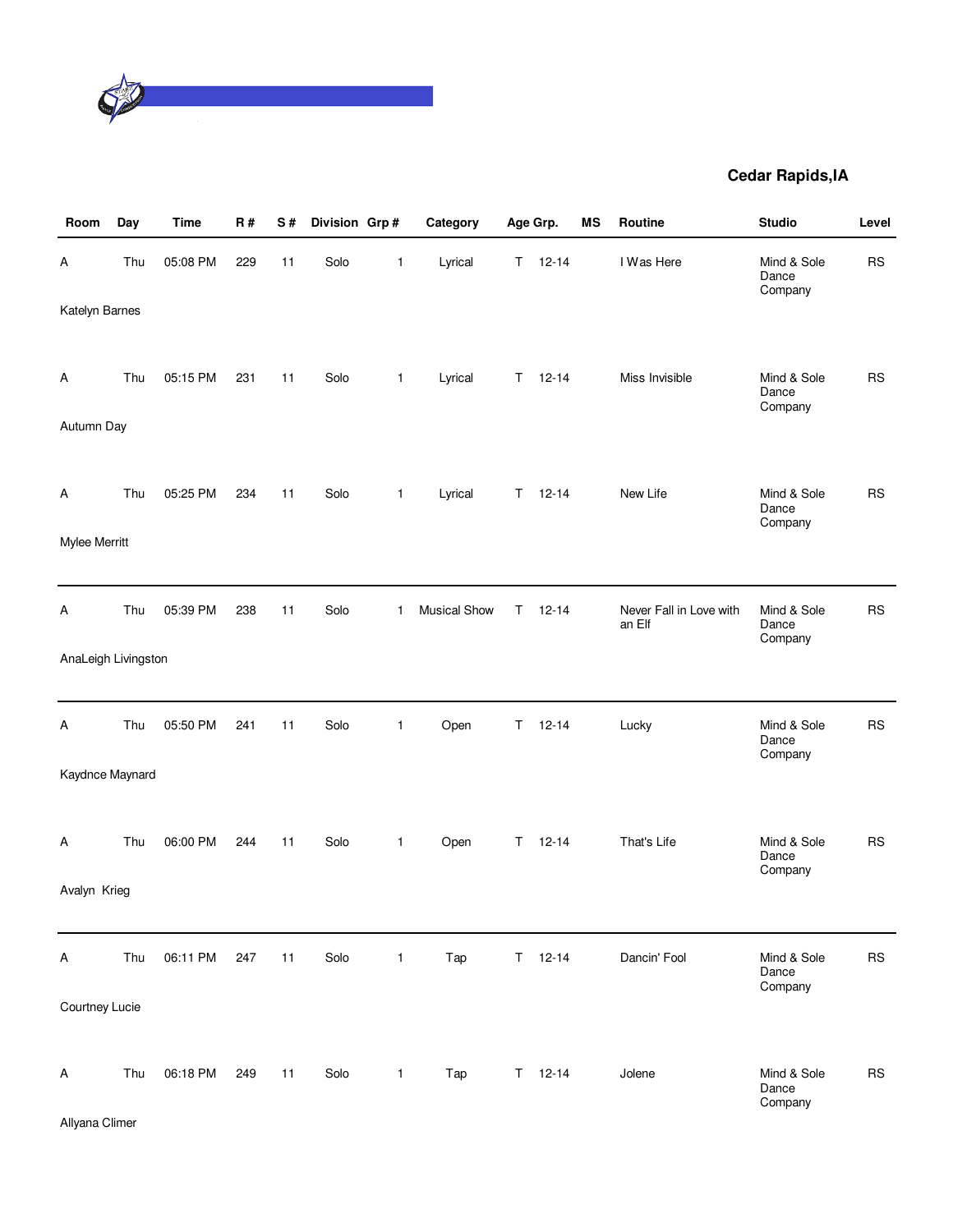

| Room                | Day | <b>Time</b> | <b>R#</b> | $\mathbf S$ # | Division Grp# |              | Category            |    | Age Grp.      | <b>MS</b> | Routine                           | <b>Studio</b>                   | Level     |
|---------------------|-----|-------------|-----------|---------------|---------------|--------------|---------------------|----|---------------|-----------|-----------------------------------|---------------------------------|-----------|
| Α                   | Thu | 05:08 PM    | 229       | 11            | Solo          | 1            | Lyrical             | T. | $12 - 14$     |           | I Was Here                        | Mind & Sole<br>Dance<br>Company | <b>RS</b> |
| Katelyn Barnes      |     |             |           |               |               |              |                     |    |               |           |                                   |                                 |           |
| Α                   | Thu | 05:15 PM    | 231       | 11            | Solo          | 1            | Lyrical             | T. | $12 - 14$     |           | Miss Invisible                    | Mind & Sole<br>Dance            | <b>RS</b> |
| Autumn Day          |     |             |           |               |               |              |                     |    |               |           |                                   | Company                         |           |
| A                   | Thu | 05:25 PM    | 234       | 11            | Solo          | 1            | Lyrical             | T. | $12 - 14$     |           | New Life                          | Mind & Sole                     | <b>RS</b> |
|                     |     |             |           |               |               |              |                     |    |               |           |                                   | Dance<br>Company                |           |
| Mylee Merritt       |     |             |           |               |               |              |                     |    |               |           |                                   |                                 |           |
| Α                   | Thu | 05:39 PM    | 238       | 11            | Solo          | $\mathbf{1}$ | <b>Musical Show</b> | T. | $12 - 14$     |           | Never Fall in Love with<br>an Elf | Mind & Sole<br>Dance<br>Company | <b>RS</b> |
| AnaLeigh Livingston |     |             |           |               |               |              |                     |    |               |           |                                   |                                 |           |
| A                   | Thu | 05:50 PM    | 241       | 11            | Solo          | 1            | Open                | Τ  | $12 - 14$     |           | Lucky                             | Mind & Sole<br>Dance<br>Company | <b>RS</b> |
| Kaydnce Maynard     |     |             |           |               |               |              |                     |    |               |           |                                   |                                 |           |
| Α                   | Thu | 06:00 PM    | 244       | 11            | Solo          | 1            | Open                | T. | $12 - 14$     |           | That's Life                       | Mind & Sole<br>Dance<br>Company | <b>RS</b> |
| Avalyn Krieg        |     |             |           |               |               |              |                     |    |               |           |                                   |                                 |           |
| A                   | Thu | 06:11 PM    | 247       | 11            | Solo          | $\mathbf{1}$ | Tap                 |    | $T = 12-14$   |           | Dancin' Fool                      | Mind & Sole                     | <b>RS</b> |
|                     |     |             |           |               |               |              |                     |    |               |           |                                   | Dance<br>Company                |           |
| Courtney Lucie      |     |             |           |               |               |              |                     |    |               |           |                                   |                                 |           |
| A                   | Thu | 06:18 PM    | 249       | 11            | Solo          | $\mathbf{1}$ | Tap                 |    | $T = 12 - 14$ |           | Jolene                            | Mind & Sole<br>Dance<br>Company | <b>RS</b> |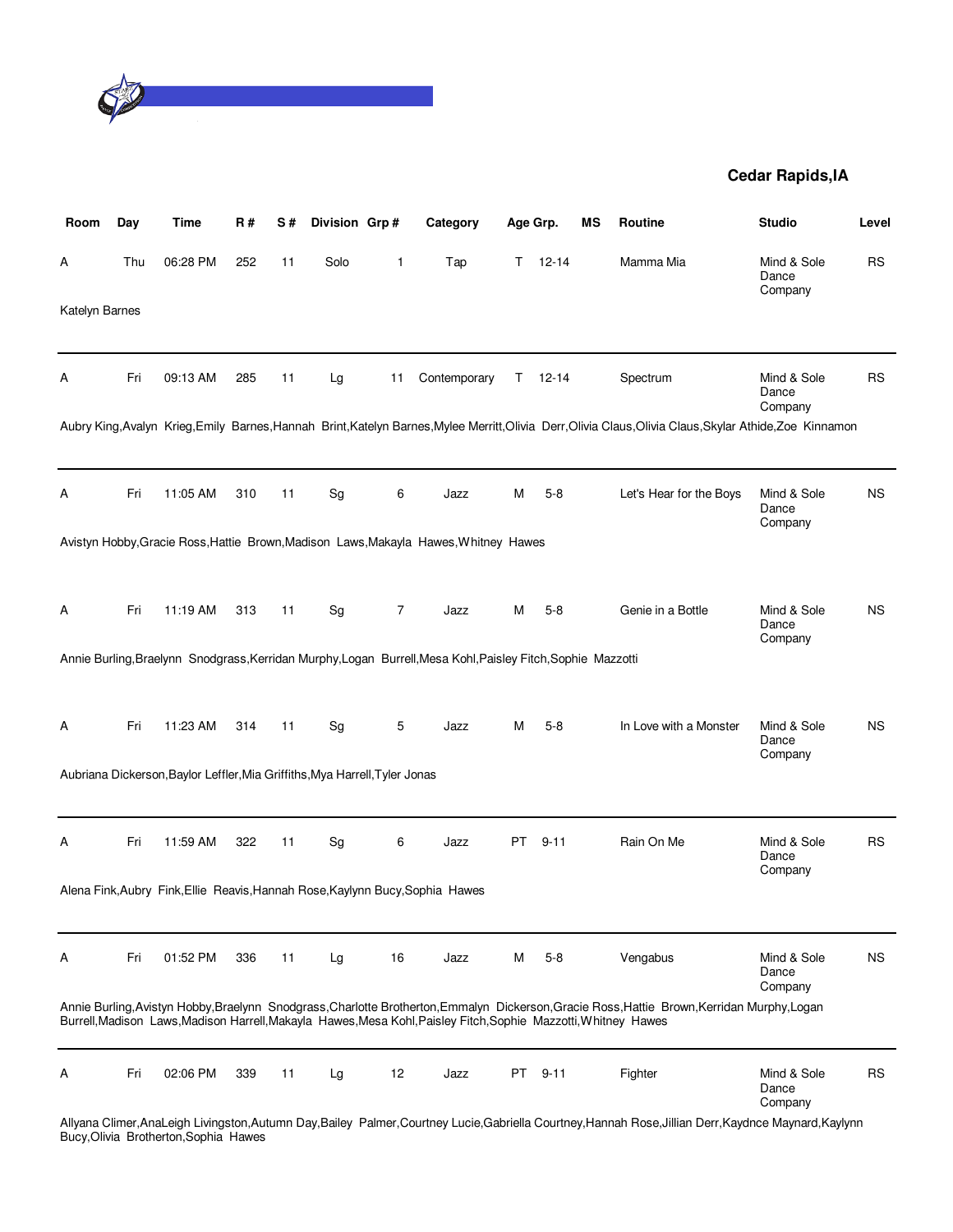

| Room           | Day | Time                                                                        | R#  | S# | Division Grp# |                | Category                                                                                                        |    | Age Grp.  | ΜS | Routine                                                                                                                                                   | <b>Studio</b>                   | Level     |
|----------------|-----|-----------------------------------------------------------------------------|-----|----|---------------|----------------|-----------------------------------------------------------------------------------------------------------------|----|-----------|----|-----------------------------------------------------------------------------------------------------------------------------------------------------------|---------------------------------|-----------|
| A              | Thu | 06:28 PM                                                                    | 252 | 11 | Solo          | 1              | Tap                                                                                                             | T. | $12 - 14$ |    | Mamma Mia                                                                                                                                                 | Mind & Sole<br>Dance<br>Company | RS        |
| Katelyn Barnes |     |                                                                             |     |    |               |                |                                                                                                                 |    |           |    |                                                                                                                                                           |                                 |           |
| А              | Fri | 09:13 AM                                                                    | 285 | 11 | Lg            | 11             | Contemporary                                                                                                    | T. | 12-14     |    | Spectrum                                                                                                                                                  | Mind & Sole<br>Dance<br>Company | RS        |
|                |     |                                                                             |     |    |               |                |                                                                                                                 |    |           |    | Aubry King, Avalyn Krieg, Emily Barnes, Hannah Brint, Katelyn Barnes, Mylee Merritt, Olivia Derr, Olivia Claus, Olivia Claus, Skylar Athide, Zoe Kinnamon |                                 |           |
| Α              | Fri | 11:05 AM                                                                    | 310 | 11 | Sg            | 6              | Jazz                                                                                                            | Μ  | $5-8$     |    | Let's Hear for the Boys                                                                                                                                   | Mind & Sole<br>Dance<br>Company | <b>NS</b> |
|                |     |                                                                             |     |    |               |                | Avistyn Hobby, Gracie Ross, Hattie Brown, Madison Laws, Makayla Hawes, Whitney Hawes                            |    |           |    |                                                                                                                                                           |                                 |           |
| A              | Fri | 11:19 AM                                                                    | 313 | 11 | Sg            | $\overline{7}$ | Jazz                                                                                                            | м  | $5-8$     |    | Genie in a Bottle                                                                                                                                         | Mind & Sole<br>Dance<br>Company | <b>NS</b> |
|                |     |                                                                             |     |    |               |                | Annie Burling, Braelynn Snodgrass, Kerridan Murphy, Logan Burrell, Mesa Kohl, Paisley Fitch, Sophie Mazzotti    |    |           |    |                                                                                                                                                           |                                 |           |
| A              | Fri | 11:23 AM                                                                    | 314 | 11 | Sg            | 5              | Jazz                                                                                                            | м  | $5 - 8$   |    | In Love with a Monster                                                                                                                                    | Mind & Sole<br>Dance<br>Company | <b>NS</b> |
|                |     | Aubriana Dickerson, Baylor Leffler, Mia Griffiths, Mya Harrell, Tyler Jonas |     |    |               |                |                                                                                                                 |    |           |    |                                                                                                                                                           |                                 |           |
| А              | Fri | 11:59 AM                                                                    | 322 | 11 | Sg            | 6              | Jazz                                                                                                            | PT | $9 - 11$  |    | Rain On Me                                                                                                                                                | Mind & Sole<br>Dance<br>Company | RS        |
|                |     |                                                                             |     |    |               |                | Alena Fink, Aubry Fink, Ellie Reavis, Hannah Rose, Kaylynn Bucy, Sophia Hawes                                   |    |           |    |                                                                                                                                                           |                                 |           |
| Α              | Fri | 01:52 PM                                                                    | 336 | 11 | Lg            | 16             | Jazz                                                                                                            | м  | $5-8$     |    | Vengabus                                                                                                                                                  | Mind & Sole<br>Dance<br>Company | <b>NS</b> |
|                |     |                                                                             |     |    |               |                | Burrell, Madison Laws, Madison Harrell, Makayla Hawes, Mesa Kohl, Paisley Fitch, Sophie Mazzotti, Whitney Hawes |    |           |    | Annie Burling, Avistyn Hobby, Braelynn Snodgrass, Charlotte Brotherton, Emmalyn Dickerson, Gracie Ross, Hattie Brown, Kerridan Murphy, Logan              |                                 |           |
| Α              | Fri | 02:06 PM                                                                    | 339 | 11 | Lg            | 12             | Jazz                                                                                                            | PT | $9 - 11$  |    | Fighter                                                                                                                                                   | Mind & Sole<br>Dance<br>Company | <b>RS</b> |
|                |     |                                                                             |     |    |               |                |                                                                                                                 |    |           |    | Allyana Climer, AnaLeigh Livingston, Autumn Day, Bailey Palmer, Courtney Lucie, Gabriella Courtney, Hannah Rose, Jillian Derr, Kaydnce Maynard, Kaylynn   |                                 |           |

Bucy,Olivia Brotherton,Sophia Hawes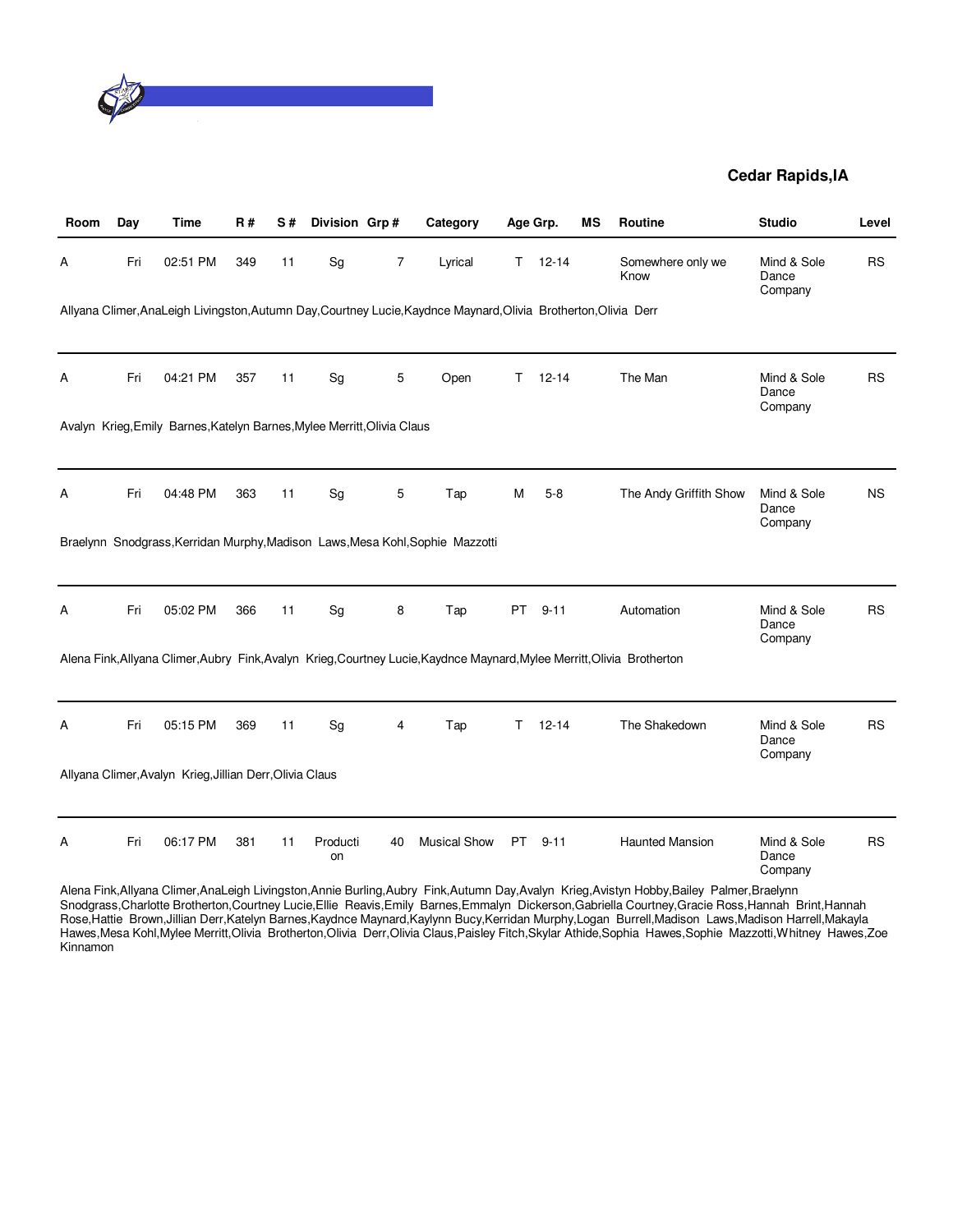

| Room | Day | <b>Time</b>                                                             | <b>R#</b> | S# | Division Grp#  |    | Category                                                                                                                |           | Age Grp.  | ΜS | Routine                   | <b>Studio</b>                   | Level     |
|------|-----|-------------------------------------------------------------------------|-----------|----|----------------|----|-------------------------------------------------------------------------------------------------------------------------|-----------|-----------|----|---------------------------|---------------------------------|-----------|
| A    | Fri | 02:51 PM                                                                | 349       | 11 | Sg             | 7  | Lyrical                                                                                                                 | T.        | $12 - 14$ |    | Somewhere only we<br>Know | Mind & Sole<br>Dance<br>Company | <b>RS</b> |
|      |     |                                                                         |           |    |                |    | Allyana Climer, AnaLeigh Livingston, Autumn Day, Courtney Lucie, Kaydnce Maynard, Olivia Brotherton, Olivia Derr        |           |           |    |                           |                                 |           |
| Α    | Fri | 04:21 PM                                                                | 357       | 11 | Sg             | 5  | Open                                                                                                                    | T         | $12 - 14$ |    | The Man                   | Mind & Sole<br>Dance<br>Company | <b>RS</b> |
|      |     | Avalyn Krieg, Emily Barnes, Katelyn Barnes, Mylee Merritt, Olivia Claus |           |    |                |    |                                                                                                                         |           |           |    |                           |                                 |           |
|      |     |                                                                         |           |    |                |    |                                                                                                                         |           |           |    |                           |                                 |           |
| Α    | Fri | 04:48 PM                                                                | 363       | 11 | Sg             | 5  | Tap                                                                                                                     | M         | $5 - 8$   |    | The Andy Griffith Show    | Mind & Sole<br>Dance<br>Company | <b>NS</b> |
|      |     |                                                                         |           |    |                |    | Braelynn Snodgrass, Kerridan Murphy, Madison Laws, Mesa Kohl, Sophie Mazzotti                                           |           |           |    |                           |                                 |           |
|      |     |                                                                         |           |    |                |    |                                                                                                                         |           |           |    |                           |                                 |           |
| Α    | Fri | 05:02 PM                                                                | 366       | 11 | Sg             | 8  | Tap                                                                                                                     | <b>PT</b> | $9 - 11$  |    | Automation                | Mind & Sole<br>Dance<br>Company | <b>RS</b> |
|      |     |                                                                         |           |    |                |    | Alena Fink, Allyana Climer, Aubry Fink, Avalyn Krieg, Courtney Lucie, Kaydnce Maynard, Mylee Merritt, Olivia Brotherton |           |           |    |                           |                                 |           |
|      |     |                                                                         |           |    |                |    |                                                                                                                         |           |           |    |                           |                                 |           |
| Α    | Fri | 05:15 PM                                                                | 369       | 11 | Sg             | 4  | Tap                                                                                                                     | т         | $12 - 14$ |    | The Shakedown             | Mind & Sole<br>Dance<br>Company | <b>RS</b> |
|      |     | Allyana Climer, Avalyn Krieg, Jillian Derr, Olivia Claus                |           |    |                |    |                                                                                                                         |           |           |    |                           |                                 |           |
|      |     |                                                                         |           |    |                |    |                                                                                                                         |           |           |    |                           |                                 |           |
| Α    | Fri | 06:17 PM                                                                | 381       | 11 | Producti<br>on | 40 | <b>Musical Show</b>                                                                                                     | <b>PT</b> | $9 - 11$  |    | <b>Haunted Mansion</b>    | Mind & Sole<br>Dance<br>Company | <b>RS</b> |

Alena Fink,Allyana Climer,AnaLeigh Livingston,Annie Burling,Aubry Fink,Autumn Day,Avalyn Krieg,Avistyn Hobby,Bailey Palmer,Braelynn Snodgrass,Charlotte Brotherton,Courtney Lucie,Ellie Reavis,Emily Barnes,Emmalyn Dickerson,Gabriella Courtney,Gracie Ross,Hannah Brint,Hannah Rose,Hattie Brown,Jillian Derr,Katelyn Barnes,Kaydnce Maynard,Kaylynn Bucy,Kerridan Murphy,Logan Burrell,Madison Laws,Madison Harrell,Makayla Hawes,Mesa Kohl,Mylee Merritt,Olivia Brotherton,Olivia Derr,Olivia Claus,Paisley Fitch,Skylar Athide,Sophia Hawes,Sophie Mazzotti,Whitney Hawes,Zoe Kinnamon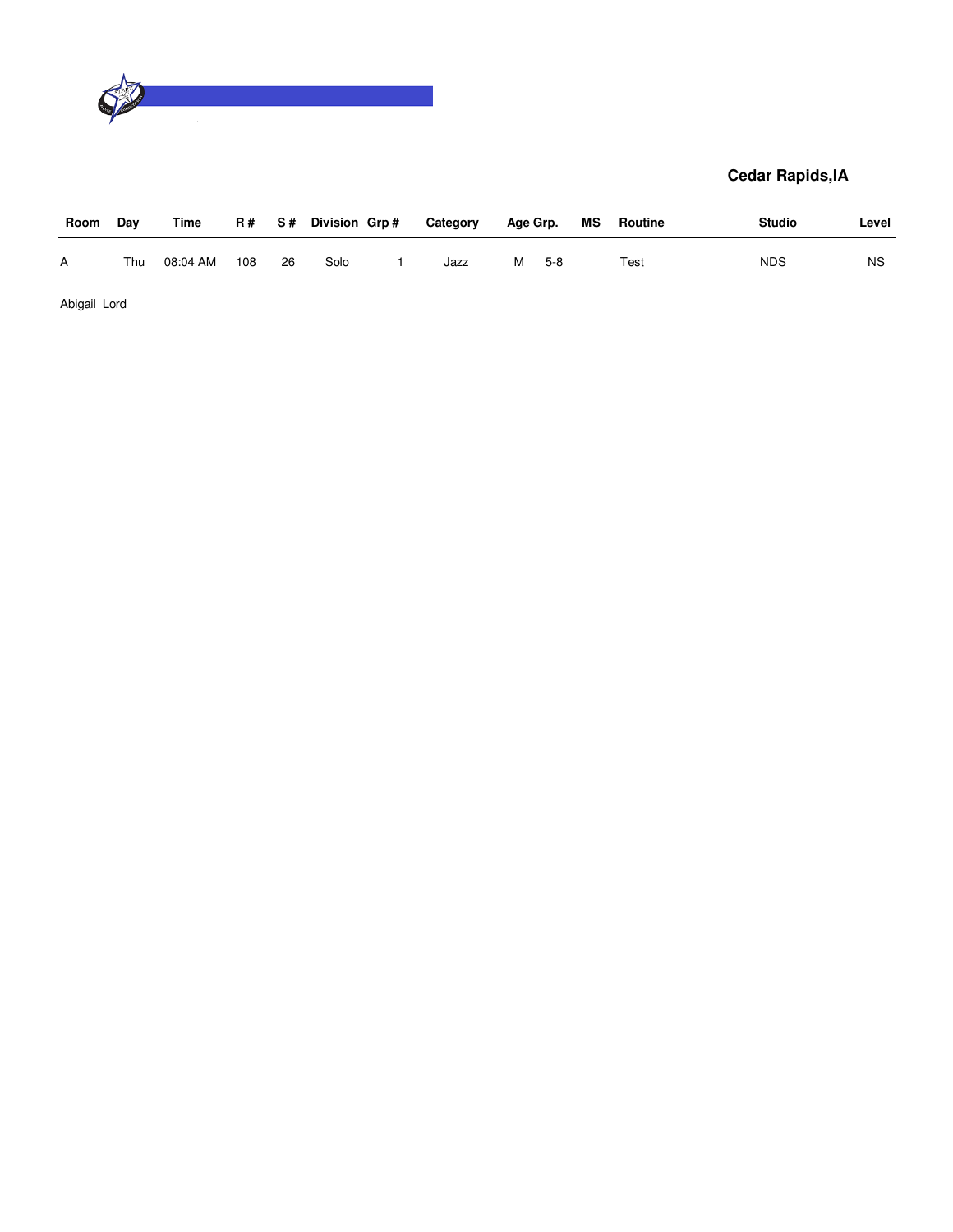

| Room | Day | Time     |     |    | R# S# Division Grp# | Category | Age Grp. |     | MS | Routine | <b>Studio</b> | Level     |
|------|-----|----------|-----|----|---------------------|----------|----------|-----|----|---------|---------------|-----------|
| A    | Thu | 08:04 AM | 108 | 26 | Solo                | Jazz     | M        | 5-8 |    | Test    | <b>NDS</b>    | <b>NS</b> |

Abigail Lord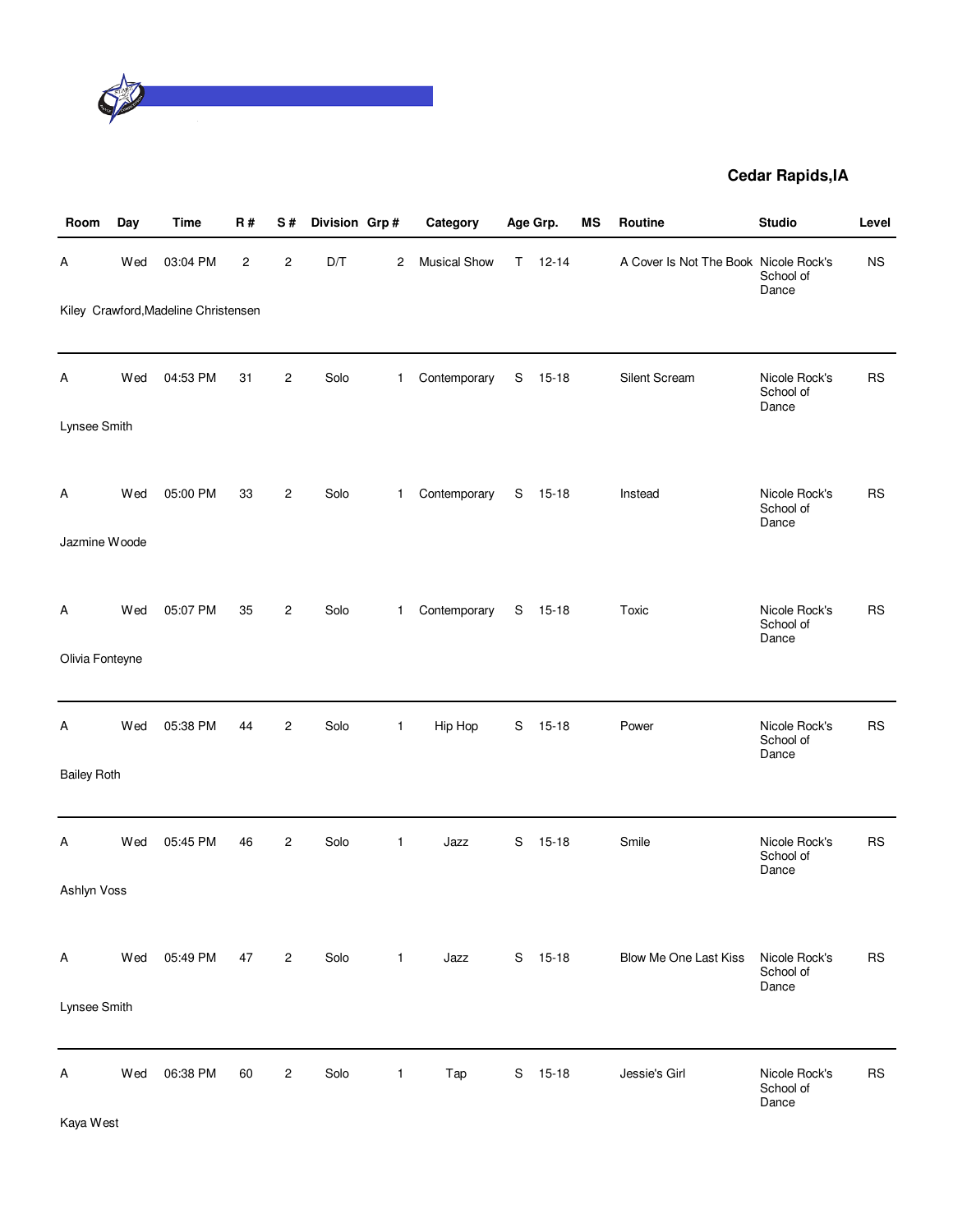

| Room               | Day | <b>Time</b>                          | <b>R#</b>               | S#             | Division Grp# |              | Category            |    | Age Grp.  | <b>MS</b> | <b>Routine</b>                        | <b>Studio</b>                       | Level     |
|--------------------|-----|--------------------------------------|-------------------------|----------------|---------------|--------------|---------------------|----|-----------|-----------|---------------------------------------|-------------------------------------|-----------|
| A                  | Wed | 03:04 PM                             | $\overline{\mathbf{c}}$ | $\overline{c}$ | D/T           | 2            | <b>Musical Show</b> | T. | $12 - 14$ |           | A Cover Is Not The Book Nicole Rock's | School of<br>Dance                  | <b>NS</b> |
|                    |     | Kiley Crawford, Madeline Christensen |                         |                |               |              |                     |    |           |           |                                       |                                     |           |
| Α                  | Wed | 04:53 PM                             | 31                      | 2              | Solo          | $\mathbf{1}$ | Contemporary        | S  | $15-18$   |           | Silent Scream                         | Nicole Rock's<br>School of<br>Dance | <b>RS</b> |
| Lynsee Smith       |     |                                      |                         |                |               |              |                     |    |           |           |                                       |                                     |           |
| A                  | Wed | 05:00 PM                             | 33                      | $\overline{c}$ | Solo          | $\mathbf{1}$ | Contemporary        | S  | $15-18$   |           | Instead                               | Nicole Rock's<br>School of<br>Dance | <b>RS</b> |
| Jazmine Woode      |     |                                      |                         |                |               |              |                     |    |           |           |                                       |                                     |           |
| Α                  | Wed | 05:07 PM                             | 35                      | $\overline{2}$ | Solo          | $\mathbf 1$  | Contemporary        | S  | $15 - 18$ |           | Toxic                                 | Nicole Rock's<br>School of<br>Dance | <b>RS</b> |
| Olivia Fonteyne    |     |                                      |                         |                |               |              |                     |    |           |           |                                       |                                     |           |
| Α                  | Wed | 05:38 PM                             | 44                      | $\overline{c}$ | Solo          | $\mathbf{1}$ | Hip Hop             | S  | $15 - 18$ |           | Power                                 | Nicole Rock's<br>School of<br>Dance | <b>RS</b> |
| <b>Bailey Roth</b> |     |                                      |                         |                |               |              |                     |    |           |           |                                       |                                     |           |
| Α                  | Wed | 05:45 PM                             | 46                      | 2              | Solo          | 1            | Jazz                | S  | $15-18$   |           | Smile                                 | Nicole Rock's<br>School of<br>Dance | <b>RS</b> |
| Ashlyn Voss        |     |                                      |                         |                |               |              |                     |    |           |           |                                       |                                     |           |
| Α                  | Wed | 05:49 PM                             | 47                      | $\overline{c}$ | Solo          | $\mathbf{1}$ | Jazz                | S  | $15 - 18$ |           | <b>Blow Me One Last Kiss</b>          | Nicole Rock's<br>School of<br>Dance | <b>RS</b> |
| Lynsee Smith       |     |                                      |                         |                |               |              |                     |    |           |           |                                       |                                     |           |
| A                  | Wed | 06:38 PM                             | 60                      | $\overline{c}$ | Solo          | 1            | Tap                 | S  | $15-18$   |           | Jessie's Girl                         | Nicole Rock's<br>School of<br>Dance | <b>RS</b> |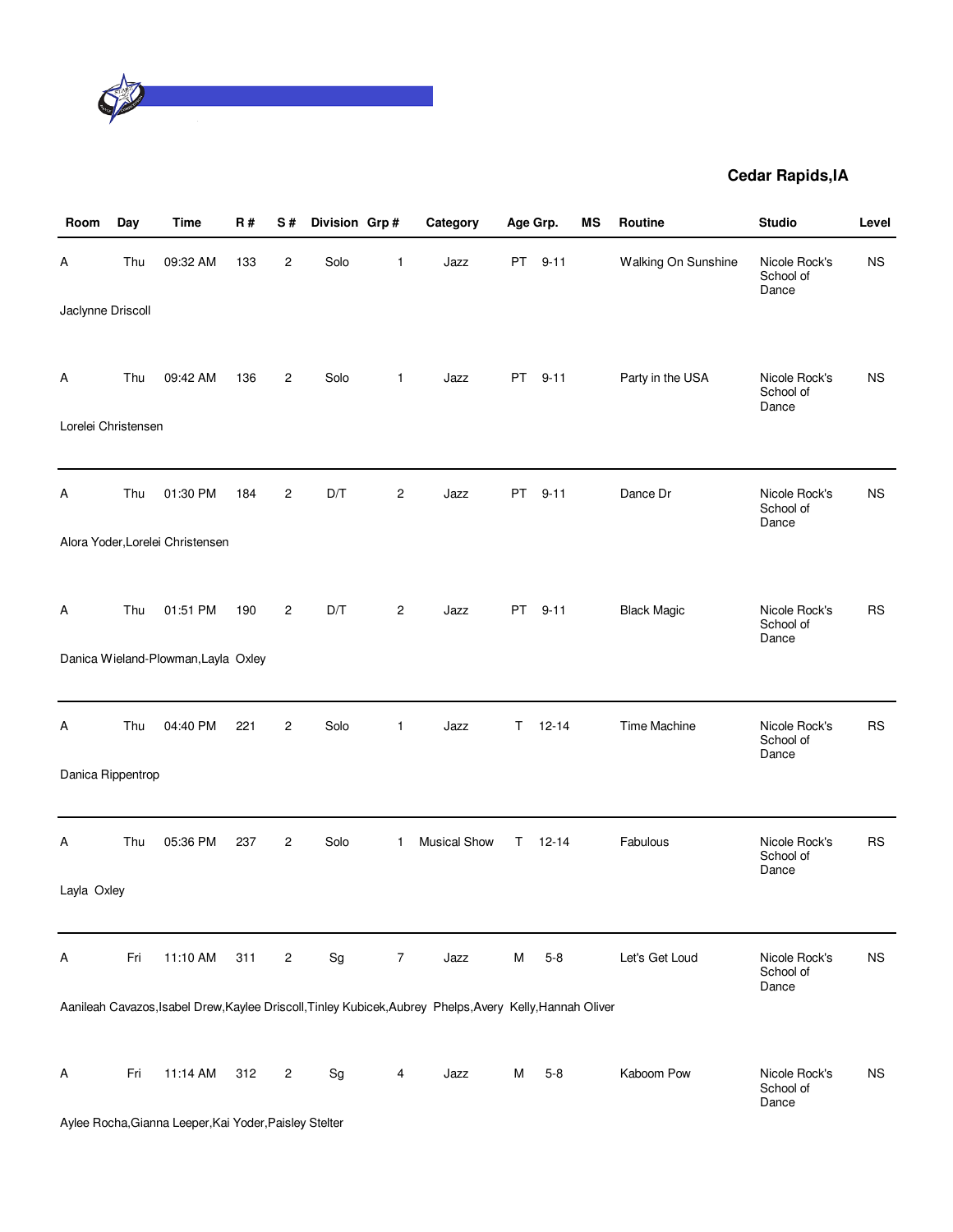

| Room                | Day | <b>Time</b>                                            | R#  | S#             | Division Grp#                |                | Category                                                                                                  |     | Age Grp.  | <b>MS</b> | Routine             | <b>Studio</b>                       | Level     |
|---------------------|-----|--------------------------------------------------------|-----|----------------|------------------------------|----------------|-----------------------------------------------------------------------------------------------------------|-----|-----------|-----------|---------------------|-------------------------------------|-----------|
| A                   | Thu | 09:32 AM                                               | 133 | 2              | Solo                         | 1              | Jazz                                                                                                      |     | PT 9-11   |           | Walking On Sunshine | Nicole Rock's<br>School of<br>Dance | <b>NS</b> |
| Jaclynne Driscoll   |     |                                                        |     |                |                              |                |                                                                                                           |     |           |           |                     |                                     |           |
| A                   | Thu | 09:42 AM                                               | 136 | $\overline{c}$ | Solo                         | 1              | Jazz                                                                                                      | PT  | $9 - 11$  |           | Party in the USA    | Nicole Rock's<br>School of<br>Dance | <b>NS</b> |
| Lorelei Christensen |     |                                                        |     |                |                              |                |                                                                                                           |     |           |           |                     |                                     |           |
|                     |     |                                                        |     |                |                              |                |                                                                                                           |     |           |           |                     |                                     |           |
| Α                   | Thu | 01:30 PM                                               | 184 | 2              | D/T                          | $\overline{c}$ | Jazz                                                                                                      | PT. | $9 - 11$  |           | Dance Dr            | Nicole Rock's<br>School of<br>Dance | ΝS        |
|                     |     | Alora Yoder, Lorelei Christensen                       |     |                |                              |                |                                                                                                           |     |           |           |                     |                                     |           |
|                     |     |                                                        |     |                |                              |                |                                                                                                           |     |           |           |                     |                                     |           |
| A                   | Thu | 01:51 PM                                               | 190 | $\overline{c}$ | D/T                          | $\overline{c}$ | Jazz                                                                                                      |     | PT 9-11   |           | <b>Black Magic</b>  | Nicole Rock's<br>School of<br>Dance | <b>RS</b> |
|                     |     | Danica Wieland-Plowman, Layla Oxley                    |     |                |                              |                |                                                                                                           |     |           |           |                     |                                     |           |
|                     |     |                                                        |     |                |                              |                |                                                                                                           |     |           |           |                     |                                     |           |
| A                   | Thu | 04:40 PM                                               | 221 | $\mathbf{2}$   | Solo                         | $\mathbf{1}$   | Jazz                                                                                                      | T.  | $12 - 14$ |           | Time Machine        | Nicole Rock's<br>School of<br>Dance | <b>RS</b> |
| Danica Rippentrop   |     |                                                        |     |                |                              |                |                                                                                                           |     |           |           |                     |                                     |           |
| А                   | Thu | 05:36 PM                                               | 237 | $\overline{c}$ | Solo                         | $\mathbf 1$    | <b>Musical Show</b>                                                                                       | T.  | $12 - 14$ |           | Fabulous            | Nicole Rock's                       | <b>RS</b> |
|                     |     |                                                        |     |                |                              |                |                                                                                                           |     |           |           |                     | School of<br>Dance                  |           |
| Layla Oxley         |     |                                                        |     |                |                              |                |                                                                                                           |     |           |           |                     |                                     |           |
| A                   | Fri | 11:10 AM                                               | 311 | $\overline{c}$ | Sg                           | $\overline{7}$ | Jazz                                                                                                      | M   | $5 - 8$   |           | Let's Get Loud      | Nicole Rock's                       | <b>NS</b> |
|                     |     |                                                        |     |                |                              |                |                                                                                                           |     |           |           |                     | School of<br>Dance                  |           |
|                     |     |                                                        |     |                |                              |                | Aanileah Cavazos, Isabel Drew, Kaylee Driscoll, Tinley Kubicek, Aubrey Phelps, Avery Kelly, Hannah Oliver |     |           |           |                     |                                     |           |
| Α                   | Fri | 11:14 AM                                               | 312 | 2              | $\operatorname{\mathsf{Sg}}$ | 4              | Jazz                                                                                                      | м   | $5 - 8$   |           | Kaboom Pow          | Nicole Rock's                       | <b>NS</b> |
|                     |     |                                                        |     |                |                              |                |                                                                                                           |     |           |           |                     | School of<br>Dance                  |           |
|                     |     | Aylee Rocha, Gianna Leeper, Kai Yoder, Paisley Stelter |     |                |                              |                |                                                                                                           |     |           |           |                     |                                     |           |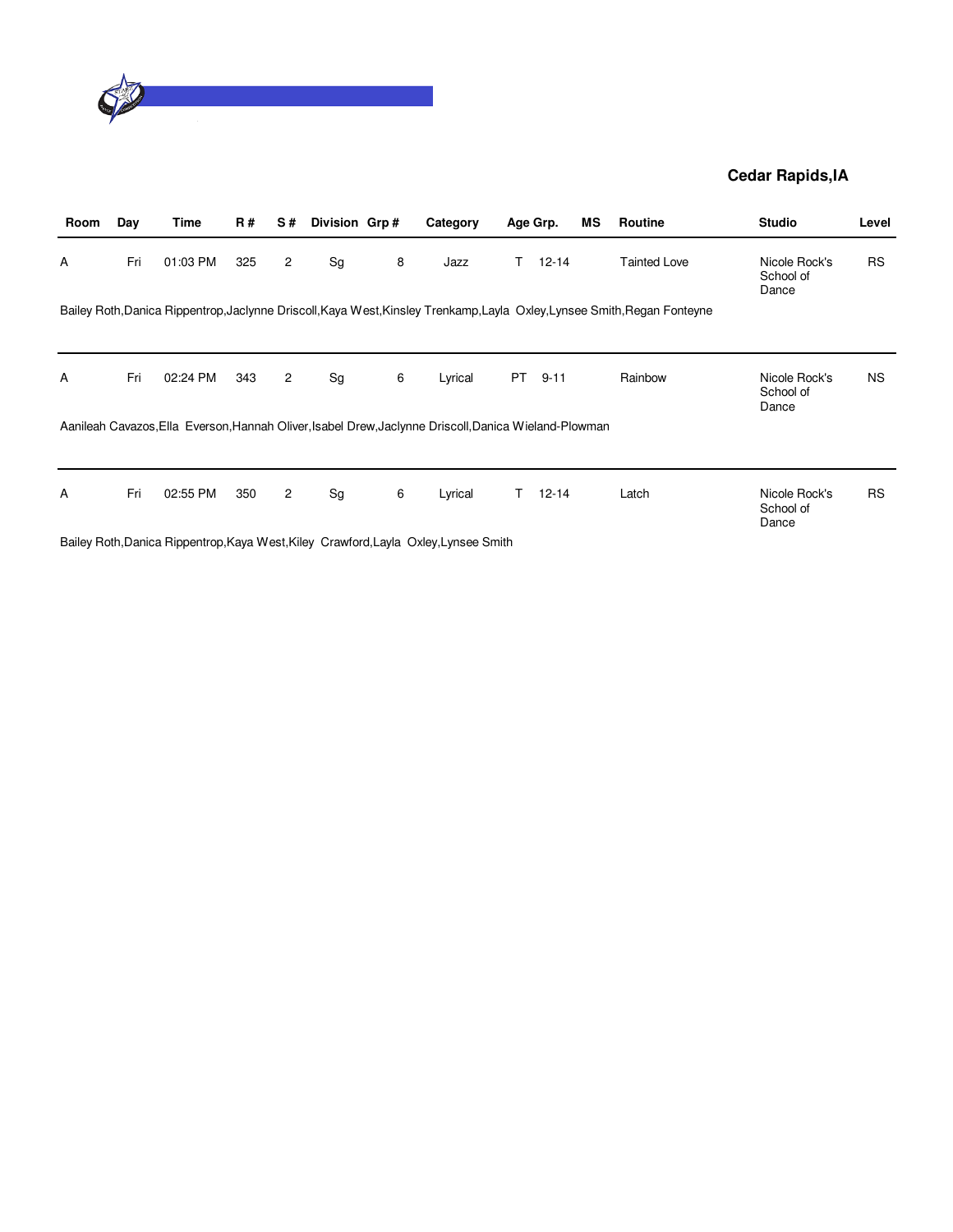

| Room | Day | Time     | <b>R#</b> | S#             | Division Grp# |   | Category                                                                                              |     | Age Grp.  | ΜS | Routine                                                                                                                   | <b>Studio</b>                       | Level     |
|------|-----|----------|-----------|----------------|---------------|---|-------------------------------------------------------------------------------------------------------|-----|-----------|----|---------------------------------------------------------------------------------------------------------------------------|-------------------------------------|-----------|
| A    | Fri | 01:03 PM | 325       | $\overline{2}$ | Sg            | 8 | Jazz                                                                                                  | T.  | $12 - 14$ |    | <b>Tainted Love</b>                                                                                                       | Nicole Rock's<br>School of<br>Dance | <b>RS</b> |
|      |     |          |           |                |               |   |                                                                                                       |     |           |    | Bailey Roth, Danica Rippentrop, Jaclynne Driscoll, Kaya West, Kinsley Trenkamp, Layla Oxley, Lynsee Smith, Regan Fonteyne |                                     |           |
|      |     |          |           |                |               |   |                                                                                                       |     |           |    |                                                                                                                           |                                     |           |
| A    | Fri | 02:24 PM | 343       | $\overline{2}$ | Sg            | 6 | Lyrical                                                                                               | PT. | $9 - 11$  |    | Rainbow                                                                                                                   | Nicole Rock's<br>School of<br>Dance | <b>NS</b> |
|      |     |          |           |                |               |   | Aanileah Cavazos, Ella Everson, Hannah Oliver, Isabel Drew, Jaclynne Driscoll, Danica Wieland-Plowman |     |           |    |                                                                                                                           |                                     |           |
|      |     |          |           |                |               |   |                                                                                                       |     |           |    |                                                                                                                           |                                     |           |
| A    | Fri | 02:55 PM | 350       | $\overline{2}$ | Sg            | 6 | Lyrical                                                                                               | T.  | $12 - 14$ |    | Latch                                                                                                                     | Nicole Rock's<br>School of<br>Dance | <b>RS</b> |

Bailey Roth,Danica Rippentrop,Kaya West,Kiley Crawford,Layla Oxley,Lynsee Smith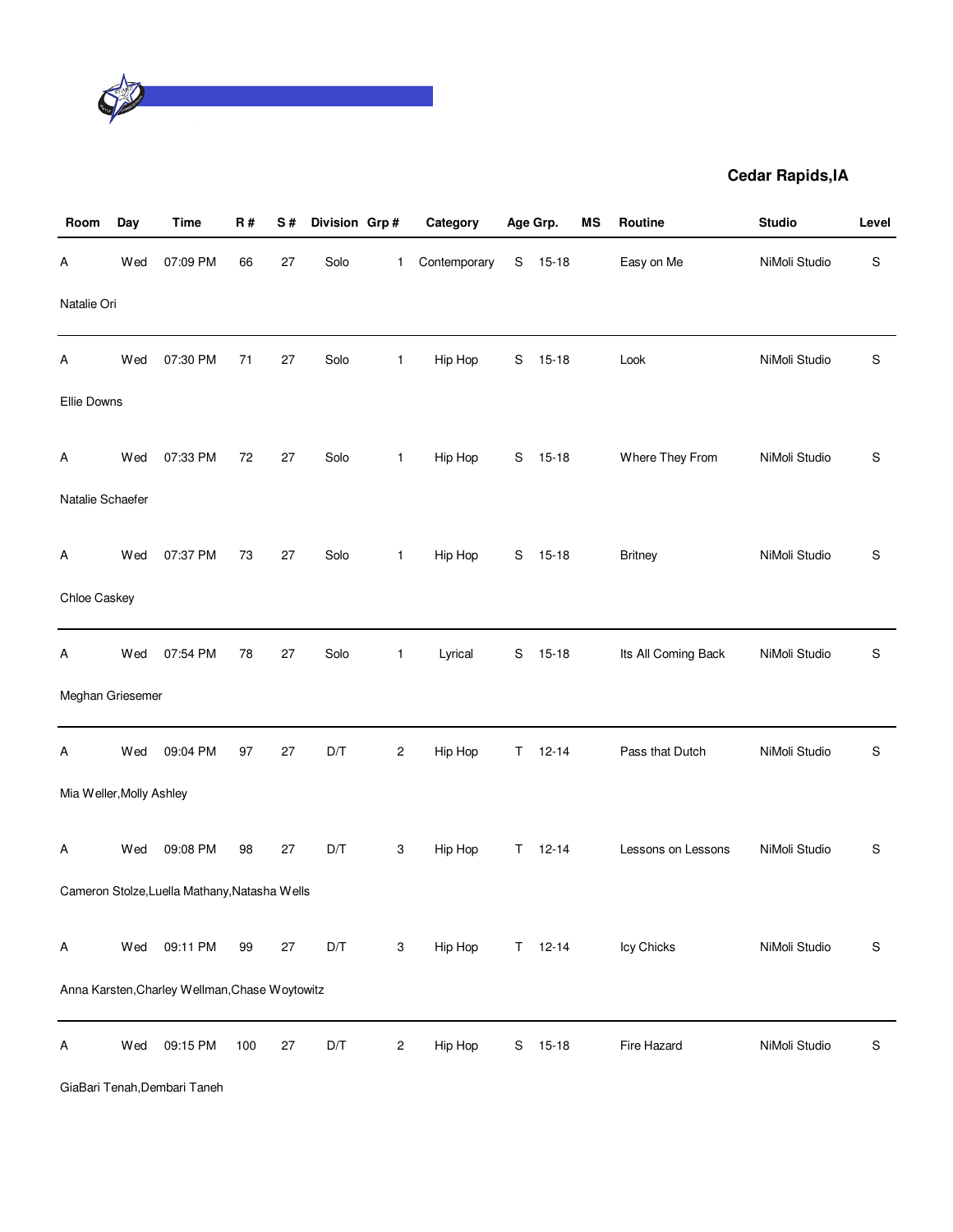

| Room                     | Day | <b>Time</b>                                    | <b>R#</b> | S# | Division Grp# |                | Category     |    | Age Grp.      | ΜS | Routine             | <b>Studio</b> | Level       |
|--------------------------|-----|------------------------------------------------|-----------|----|---------------|----------------|--------------|----|---------------|----|---------------------|---------------|-------------|
| Α                        | Wed | 07:09 PM                                       | 66        | 27 | Solo          | $\mathbf{1}$   | Contemporary | S  | $15 - 18$     |    | Easy on Me          | NiMoli Studio | S           |
| Natalie Ori              |     |                                                |           |    |               |                |              |    |               |    |                     |               |             |
| Α                        | Wed | 07:30 PM                                       | 71        | 27 | Solo          | 1              | Hip Hop      | S  | $15 - 18$     |    | Look                | NiMoli Studio | S           |
| Ellie Downs              |     |                                                |           |    |               |                |              |    |               |    |                     |               |             |
| A                        | Wed | 07:33 PM                                       | 72        | 27 | Solo          | $\mathbf{1}$   | Hip Hop      | S  | $15-18$       |    | Where They From     | NiMoli Studio | S           |
| Natalie Schaefer         |     |                                                |           |    |               |                |              |    |               |    |                     |               |             |
| A                        | Wed | 07:37 PM                                       | 73        | 27 | Solo          | $\mathbf{1}$   | Hip Hop      | S  | $15 - 18$     |    | <b>Britney</b>      | NiMoli Studio | S           |
| Chloe Caskey             |     |                                                |           |    |               |                |              |    |               |    |                     |               |             |
| Α                        | Wed | 07:54 PM                                       | 78        | 27 | Solo          | $\mathbf{1}$   | Lyrical      | S  | $15 - 18$     |    | Its All Coming Back | NiMoli Studio | S           |
| Meghan Griesemer         |     |                                                |           |    |               |                |              |    |               |    |                     |               |             |
| Α                        | Wed | 09:04 PM                                       | 97        | 27 | D/T           | $\overline{c}$ | Hip Hop      | T. | $12 - 14$     |    | Pass that Dutch     | NiMoli Studio | S           |
| Mia Weller, Molly Ashley |     |                                                |           |    |               |                |              |    |               |    |                     |               |             |
| Α                        | Wed | 09:08 PM                                       | 98        | 27 | D/T           | 3              | Hip Hop      | T. | $12 - 14$     |    | Lessons on Lessons  | NiMoli Studio | S           |
|                          |     | Cameron Stolze, Luella Mathany, Natasha Wells  |           |    |               |                |              |    |               |    |                     |               |             |
| Α                        | Wed | 09:11 PM                                       | 99        | 27 | D/T           | 3              | Hip Hop      |    | $T = 12 - 14$ |    | Icy Chicks          | NiMoli Studio | S           |
|                          |     | Anna Karsten, Charley Wellman, Chase Woytowitz |           |    |               |                |              |    |               |    |                     |               |             |
| Α                        | Wed | 09:15 PM                                       | 100       | 27 | D/T           | $\sqrt{2}$     | Hip Hop      | S  | $15 - 18$     |    | Fire Hazard         | NiMoli Studio | $\mathbf S$ |

GiaBari Tenah,Dembari Taneh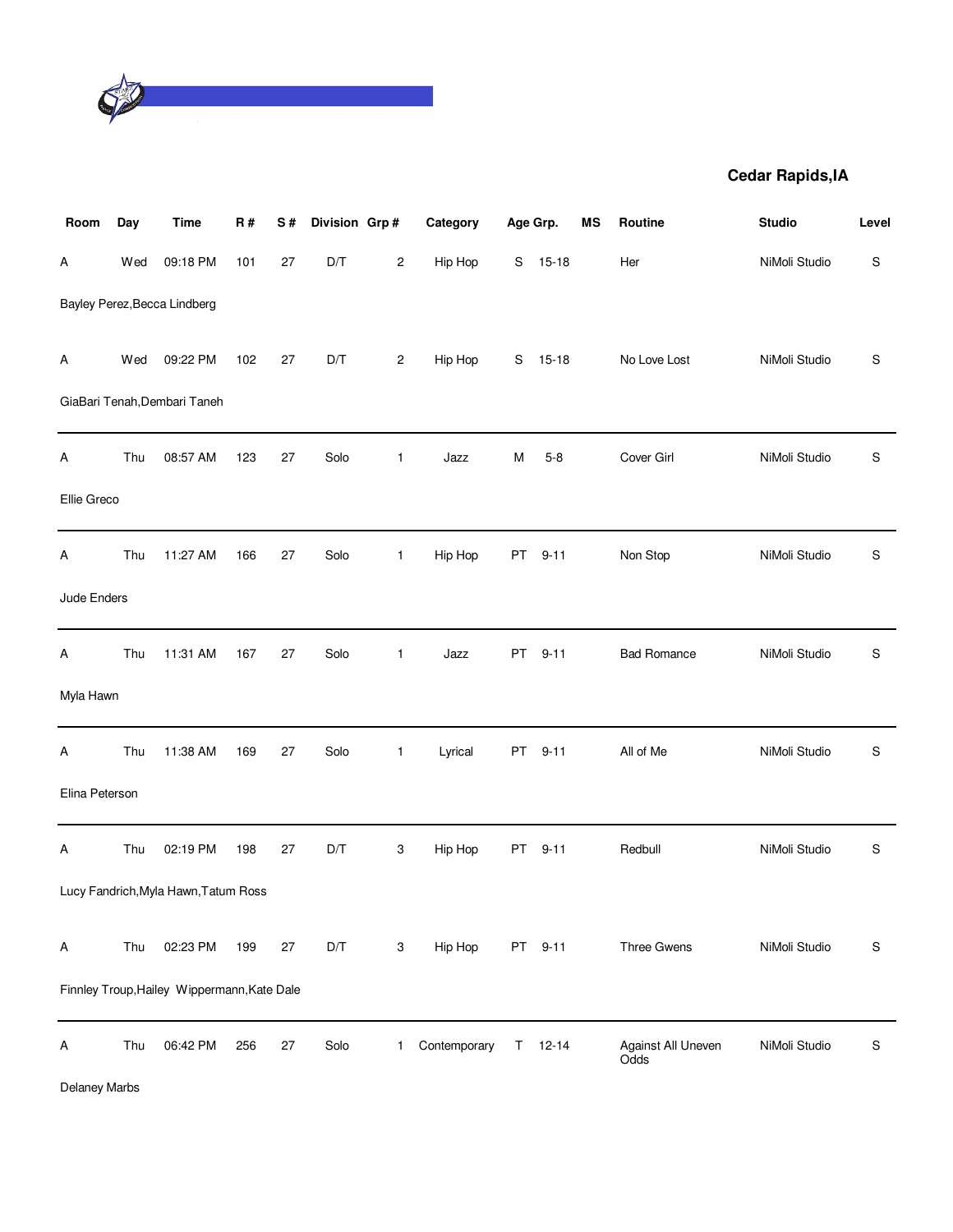

| Room           | Day | <b>Time</b>                                 | R#  | S#     | Division Grp# |                         | Category     |    | Age Grp.  | ΜS | <b>Routine</b>             | <b>Studio</b> | Level         |
|----------------|-----|---------------------------------------------|-----|--------|---------------|-------------------------|--------------|----|-----------|----|----------------------------|---------------|---------------|
| Α              | Wed | 09:18 PM                                    | 101 | 27     | D/T           | $\overline{\mathbf{c}}$ | Hip Hop      | S  | $15 - 18$ |    | Her                        | NiMoli Studio | ${\sf S}$     |
|                |     | Bayley Perez, Becca Lindberg                |     |        |               |                         |              |    |           |    |                            |               |               |
| Α              | Wed | 09:22 PM                                    | 102 | 27     | D/T           | $\overline{c}$          | Hip Hop      | S  | $15 - 18$ |    | No Love Lost               | NiMoli Studio | S             |
|                |     | GiaBari Tenah, Dembari Taneh                |     |        |               |                         |              |    |           |    |                            |               |               |
| Α              | Thu | 08:57 AM                                    | 123 | 27     | Solo          | $\mathbf{1}$            | Jazz         | M  | $5 - 8$   |    | Cover Girl                 | NiMoli Studio | ${\sf S}$     |
| Ellie Greco    |     |                                             |     |        |               |                         |              |    |           |    |                            |               |               |
| Α              | Thu | 11:27 AM                                    | 166 | 27     | Solo          | $\mathbf{1}$            | Hip Hop      | PT | $9 - 11$  |    | Non Stop                   | NiMoli Studio | S             |
| Jude Enders    |     |                                             |     |        |               |                         |              |    |           |    |                            |               |               |
| Α              | Thu | 11:31 AM                                    | 167 | 27     | Solo          | 1                       | Jazz         | PT | $9 - 11$  |    | <b>Bad Romance</b>         | NiMoli Studio | ${\mathbb S}$ |
| Myla Hawn      |     |                                             |     |        |               |                         |              |    |           |    |                            |               |               |
| Α              | Thu | 11:38 AM                                    | 169 | 27     | Solo          | $\mathbf{1}$            | Lyrical      | PT | $9 - 11$  |    | All of Me                  | NiMoli Studio | $\mathsf S$   |
| Elina Peterson |     |                                             |     |        |               |                         |              |    |           |    |                            |               |               |
| Α              | Thu | 02:19 PM                                    | 198 | 27     | D/T           | 3                       | Hip Hop      | PT | $9 - 11$  |    | Redbull                    | NiMoli Studio | S             |
|                |     | Lucy Fandrich, Myla Hawn, Tatum Ross        |     |        |               |                         |              |    |           |    |                            |               |               |
| Α              | Thu | 02:23 PM                                    | 199 | 27     | D/T           | 3                       | Hip Hop      |    | PT 9-11   |    | Three Gwens                | NiMoli Studio | ${\mathbb S}$ |
|                |     | Finnley Troup, Hailey Wippermann, Kate Dale |     |        |               |                         |              |    |           |    |                            |               |               |
| Α              | Thu | 06:42 PM                                    | 256 | $27\,$ | Solo          | 1                       | Contemporary | T. | $12 - 14$ |    | Against All Uneven<br>Odds | NiMoli Studio | ${\sf S}$     |

Delaney Marbs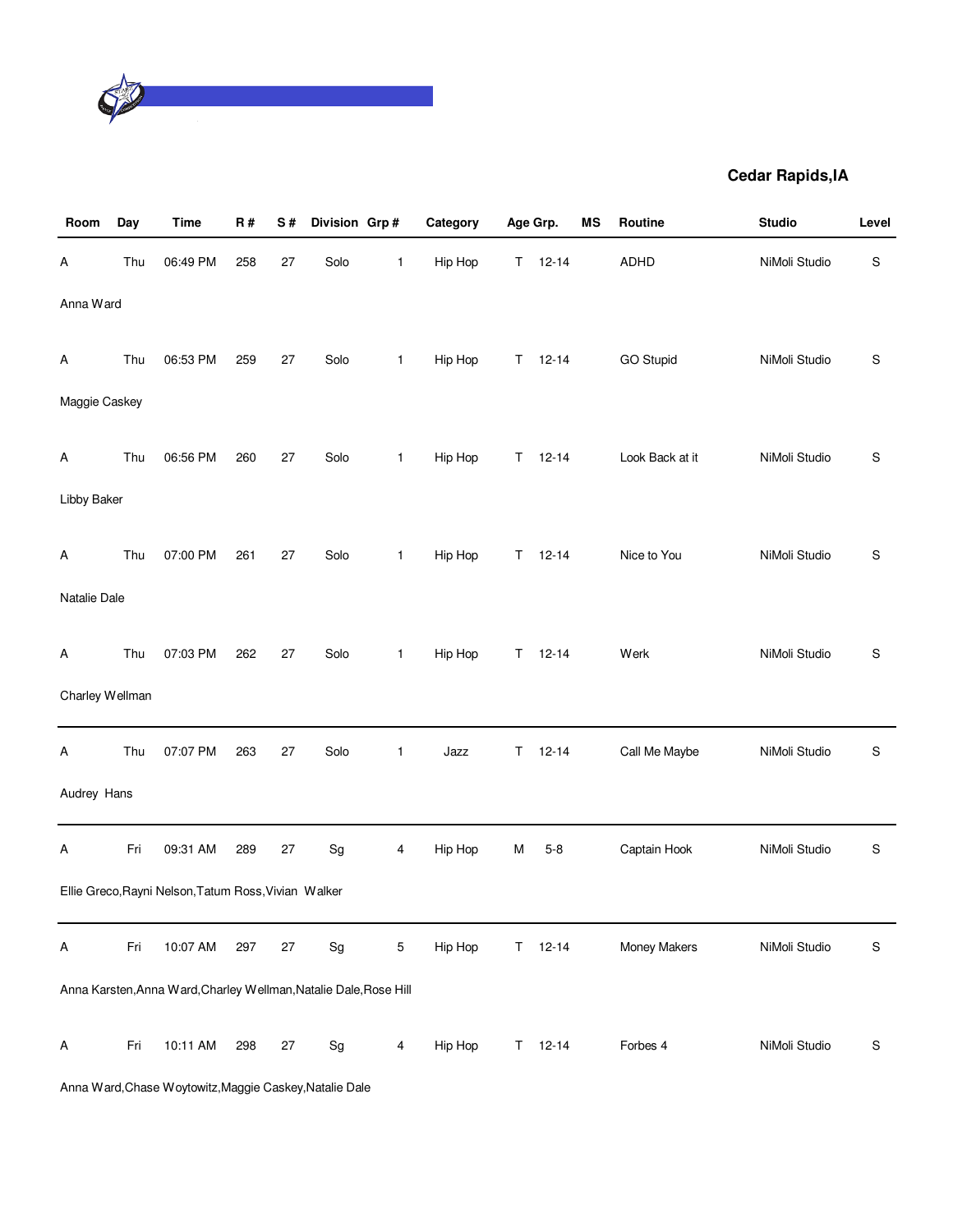

| Room            | Day | Time                                                              | R#  | S#     | Division Grp#                |                | Category | Age Grp. |               | MS | Routine          | <b>Studio</b> | Level         |
|-----------------|-----|-------------------------------------------------------------------|-----|--------|------------------------------|----------------|----------|----------|---------------|----|------------------|---------------|---------------|
| Α               | Thu | 06:49 PM                                                          | 258 | 27     | Solo                         | 1              | Hip Hop  | T.       | $12 - 14$     |    | ADHD             | NiMoli Studio | $\mathbb S$   |
| Anna Ward       |     |                                                                   |     |        |                              |                |          |          |               |    |                  |               |               |
| Α               | Thu | 06:53 PM                                                          | 259 | 27     | Solo                         | 1              | Hip Hop  | T.       | $12 - 14$     |    | <b>GO Stupid</b> | NiMoli Studio | ${\mathbb S}$ |
| Maggie Caskey   |     |                                                                   |     |        |                              |                |          |          |               |    |                  |               |               |
| Α               | Thu | 06:56 PM                                                          | 260 | 27     | Solo                         | 1              | Hip Hop  | T.       | $12 - 14$     |    | Look Back at it  | NiMoli Studio | S             |
| Libby Baker     |     |                                                                   |     |        |                              |                |          |          |               |    |                  |               |               |
| Α               | Thu | 07:00 PM                                                          | 261 | 27     | Solo                         | 1              | Hip Hop  | T.       | $12 - 14$     |    | Nice to You      | NiMoli Studio | ${\mathbb S}$ |
| Natalie Dale    |     |                                                                   |     |        |                              |                |          |          |               |    |                  |               |               |
| Α               | Thu | 07:03 PM                                                          | 262 | 27     | Solo                         | $\mathbf{1}$   | Hip Hop  | T.       | $12 - 14$     |    | Werk             | NiMoli Studio | ${\mathbb S}$ |
| Charley Wellman |     |                                                                   |     |        |                              |                |          |          |               |    |                  |               |               |
| Α               | Thu | 07:07 PM                                                          | 263 | 27     | Solo                         | $\mathbf{1}$   | Jazz     | Т        | $12 - 14$     |    | Call Me Maybe    | NiMoli Studio | S             |
| Audrey Hans     |     |                                                                   |     |        |                              |                |          |          |               |    |                  |               |               |
| Α               | Fri | 09:31 AM                                                          | 289 | $27\,$ | $\operatorname{\mathsf{Sg}}$ | 4              | Hip Hop  | М        | $5 - 8$       |    | Captain Hook     | NiMoli Studio | S             |
|                 |     | Ellie Greco, Rayni Nelson, Tatum Ross, Vivian Walker              |     |        |                              |                |          |          |               |    |                  |               |               |
| A               | Fri | 10:07 AM                                                          | 297 | $27\,$ | $\operatorname{\mathsf{Sg}}$ | 5              | Hip Hop  | T.       | $12 - 14$     |    | Money Makers     | NiMoli Studio | $\mathbb S$   |
|                 |     | Anna Karsten, Anna Ward, Charley Wellman, Natalie Dale, Rose Hill |     |        |                              |                |          |          |               |    |                  |               |               |
| Α               | Fri | 10:11 AM                                                          | 298 | 27     | $\operatorname{\mathsf{Sg}}$ | $\overline{4}$ | Hip Hop  |          | $T = 12 - 14$ |    | Forbes 4         | NiMoli Studio | $\mathbb S$   |

Anna Ward,Chase Woytowitz,Maggie Caskey,Natalie Dale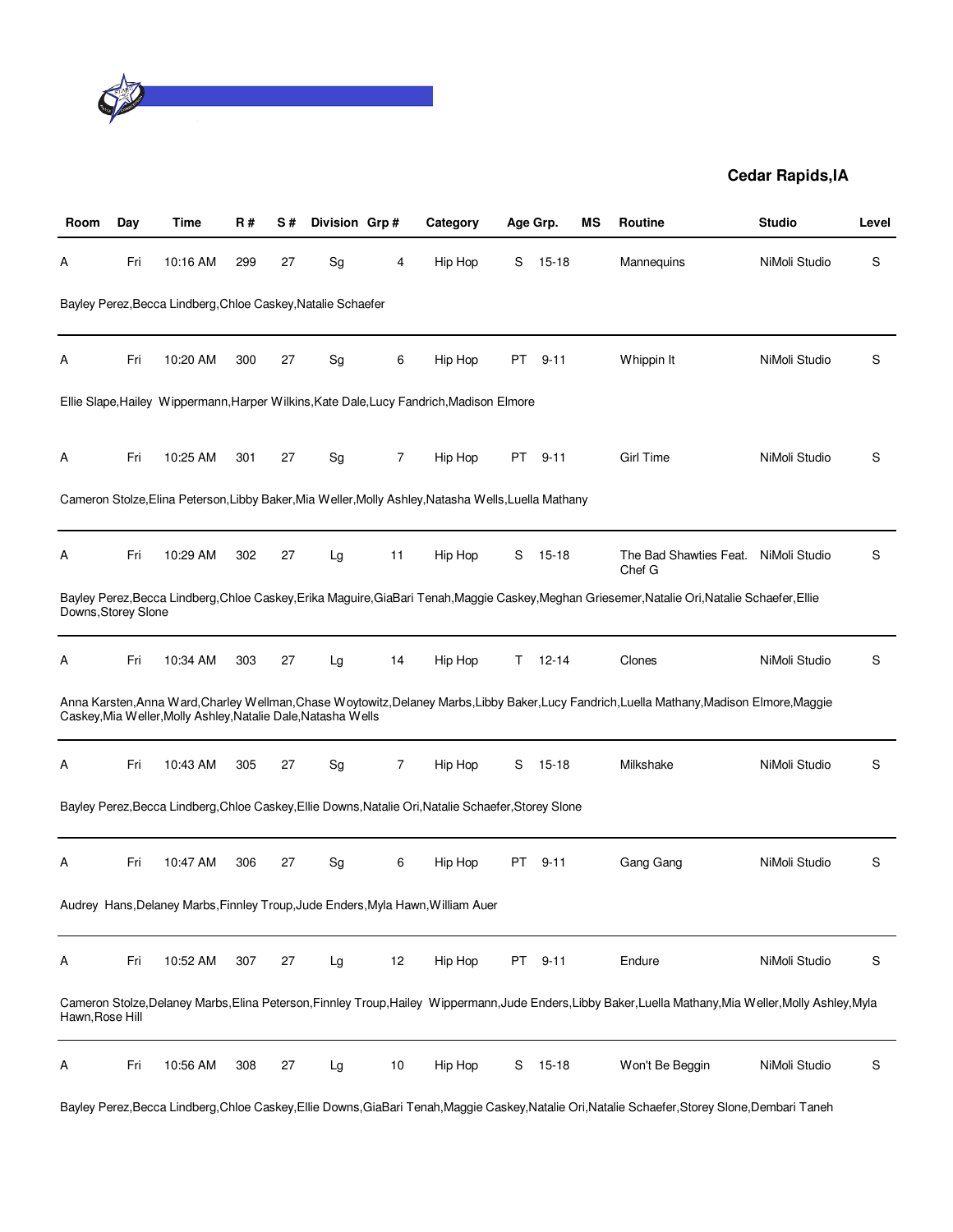

| Room                | Day | Time                                                          | <b>R#</b> | S# | Division Grp#                |    | Category                                                                                             | Age Grp.  |           | ΜS | Routine                                                                                                                                                   | <b>Studio</b> | Level |
|---------------------|-----|---------------------------------------------------------------|-----------|----|------------------------------|----|------------------------------------------------------------------------------------------------------|-----------|-----------|----|-----------------------------------------------------------------------------------------------------------------------------------------------------------|---------------|-------|
| A                   | Fri | 10:16 AM                                                      | 299       | 27 | Sg                           | 4  | Hip Hop                                                                                              | S         | $15 - 18$ |    | Mannequins                                                                                                                                                | NiMoli Studio | S     |
|                     |     | Bayley Perez, Becca Lindberg, Chloe Caskey, Natalie Schaefer  |           |    |                              |    |                                                                                                      |           |           |    |                                                                                                                                                           |               |       |
| Α                   | Fri | 10:20 AM                                                      | 300       | 27 | Sg                           | 6  | Hip Hop                                                                                              | PT        | $9 - 11$  |    | Whippin It                                                                                                                                                | NiMoli Studio | S     |
|                     |     |                                                               |           |    |                              |    | Ellie Slape, Hailey Wippermann, Harper Wilkins, Kate Dale, Lucy Fandrich, Madison Elmore             |           |           |    |                                                                                                                                                           |               |       |
| Α                   | Fri | 10:25 AM                                                      | 301       | 27 | Sg                           | 7  | Hip Hop                                                                                              |           | PT 9-11   |    | <b>Girl Time</b>                                                                                                                                          | NiMoli Studio | S     |
|                     |     |                                                               |           |    |                              |    | Cameron Stolze, Elina Peterson, Libby Baker, Mia Weller, Molly Ashley, Natasha Wells, Luella Mathany |           |           |    |                                                                                                                                                           |               |       |
| Α                   | Fri | 10:29 AM                                                      | 302       | 27 | Lg                           | 11 | Hip Hop                                                                                              | S         | $15 - 18$ |    | The Bad Shawties Feat.<br>Chef G                                                                                                                          | NiMoli Studio | S     |
| Downs, Storey Slone |     |                                                               |           |    |                              |    |                                                                                                      |           |           |    | Bayley Perez, Becca Lindberg, Chloe Caskey, Erika Maguire, GiaBari Tenah, Maggie Caskey, Meghan Griesemer, Natalie Ori, Natalie Schaefer, Ellie           |               |       |
| Α                   | Fri | 10:34 AM                                                      | 303       | 27 | Lg                           | 14 | Hip Hop                                                                                              | T.        | $12 - 14$ |    | Clones                                                                                                                                                    | NiMoli Studio | S     |
|                     |     | Caskey, Mia Weller, Molly Ashley, Natalie Dale, Natasha Wells |           |    |                              |    |                                                                                                      |           |           |    | Anna Karsten, Anna Ward, Charley Wellman, Chase Woytowitz, Delaney Marbs, Libby Baker, Lucy Fandrich, Luella Mathany, Madison Elmore, Maggie              |               |       |
| Α                   | Fri | 10:43 AM                                                      | 305       | 27 | $\operatorname{\mathsf{Sg}}$ | 7  | Hip Hop                                                                                              | S         | $15 - 18$ |    | Milkshake                                                                                                                                                 | NiMoli Studio | S     |
|                     |     |                                                               |           |    |                              |    | Bayley Perez, Becca Lindberg, Chloe Caskey, Ellie Downs, Natalie Ori, Natalie Schaefer, Storey Slone |           |           |    |                                                                                                                                                           |               |       |
| Α                   | Fri | 10:47 AM                                                      | 306       | 27 | Sg                           | 6  | Hip Hop                                                                                              | PT        | $9 - 11$  |    | Gang Gang                                                                                                                                                 | NiMoli Studio | S     |
|                     |     |                                                               |           |    |                              |    | Audrey Hans, Delaney Marbs, Finnley Troup, Jude Enders, Myla Hawn, William Auer                      |           |           |    |                                                                                                                                                           |               |       |
| A                   | Fri | 10:52 AM                                                      | 307       | 27 | Lg                           | 12 | Hip Hop                                                                                              | <b>PT</b> | $9 - 11$  |    | Endure                                                                                                                                                    | NiMoli Studio | S     |
| Hawn, Rose Hill     |     |                                                               |           |    |                              |    |                                                                                                      |           |           |    | Cameron Stolze, Delaney Marbs, Elina Peterson, Finnley Troup, Hailey Wippermann, Jude Enders, Libby Baker, Luella Mathany, Mia Weller, Molly Ashley, Myla |               |       |
| A                   | Fri | 10:56 AM                                                      | 308       | 27 | Lg                           | 10 | Hip Hop                                                                                              | S         | 15-18     |    | Won't Be Beggin                                                                                                                                           | NiMoli Studio | S     |

Bayley Perez,Becca Lindberg,Chloe Caskey,Ellie Downs,GiaBari Tenah,Maggie Caskey,Natalie Ori,Natalie Schaefer,Storey Slone,Dembari Taneh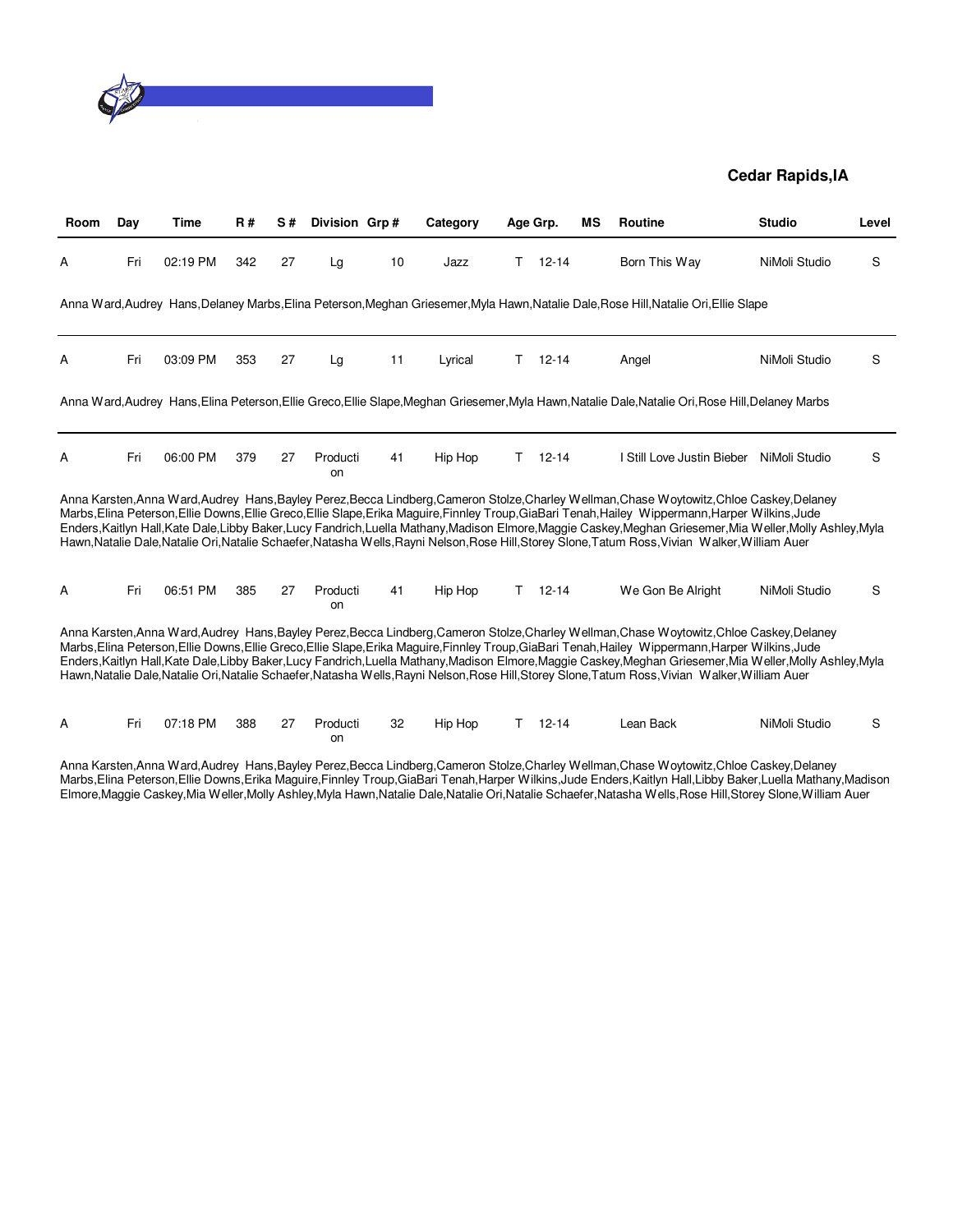

| Room | Day | Time     | <b>R#</b> | S# | Division Grp#  |    | Category |    | Age Grp.  | ΜS | <b>Routine</b>                                                                                                                                                                                                                                                                                                                                                                                                                                                                                                                                                                                              | <b>Studio</b> | Level |
|------|-----|----------|-----------|----|----------------|----|----------|----|-----------|----|-------------------------------------------------------------------------------------------------------------------------------------------------------------------------------------------------------------------------------------------------------------------------------------------------------------------------------------------------------------------------------------------------------------------------------------------------------------------------------------------------------------------------------------------------------------------------------------------------------------|---------------|-------|
| A    | Fri | 02:19 PM | 342       | 27 | Lg             | 10 | Jazz     | Τ  | $12 - 14$ |    | Born This Way                                                                                                                                                                                                                                                                                                                                                                                                                                                                                                                                                                                               | NiMoli Studio | S     |
|      |     |          |           |    |                |    |          |    |           |    | Anna Ward, Audrey Hans, Delaney Marbs, Elina Peterson, Meghan Griesemer, Myla Hawn, Natalie Dale, Rose Hill, Natalie Ori, Ellie Slape                                                                                                                                                                                                                                                                                                                                                                                                                                                                       |               |       |
| Α    | Fri | 03:09 PM | 353       | 27 | Lg             | 11 | Lyrical  | т  | $12 - 14$ |    | Angel                                                                                                                                                                                                                                                                                                                                                                                                                                                                                                                                                                                                       | NiMoli Studio | S     |
|      |     |          |           |    |                |    |          |    |           |    | Anna Ward,Audrey Hans,Elina Peterson,Ellie Greco,Ellie Slape,Meghan Griesemer,Myla Hawn,Natalie Dale,Natalie Ori,Rose Hill,Delaney Marbs                                                                                                                                                                                                                                                                                                                                                                                                                                                                    |               |       |
| Α    | Fri | 06:00 PM | 379       | 27 | Producti<br>on | 41 | Hip Hop  | Τ  | $12 - 14$ |    | I Still Love Justin Bieber                                                                                                                                                                                                                                                                                                                                                                                                                                                                                                                                                                                  | NiMoli Studio | S     |
|      |     |          |           |    |                |    |          |    |           |    | Anna Karsten, Anna Ward, Audrey Hans, Bayley Perez, Becca Lindberg, Cameron Stolze, Charley Wellman, Chase Woytowitz, Chloe Caskey, Delaney<br>Marbs, Elina Peterson, Ellie Downs, Ellie Greco, Ellie Slape, Erika Maguire, Finnley Troup, GiaBari Tenah, Hailey Wippermann, Harper Wilkins, Jude<br>Enders, Kaitlyn Hall, Kate Dale, Libby Baker, Lucy Fandrich, Luella Mathany, Madison Elmore, Maggie Caskey, Meghan Griesemer, Mia Weller, Molly Ashley, Myla<br>Hawn,Natalie Dale,Natalie Ori,Natalie Schaefer,Natasha Wells,Rayni Nelson,Rose Hill,Storey Slone,Tatum Ross,Vivian Walker,William Auer |               |       |
| A    | Fri | 06:51 PM | 385       | 27 | Producti<br>on | 41 | Hip Hop  | T. | $12 - 14$ |    | We Gon Be Alright                                                                                                                                                                                                                                                                                                                                                                                                                                                                                                                                                                                           | NiMoli Studio | S     |
|      |     |          |           |    |                |    |          |    |           |    | Anna Karsten, Anna Ward, Audrey Hans, Bayley Perez, Becca Lindberg, Cameron Stolze, Charley Wellman, Chase Woytowitz, Chloe Caskey, Delaney<br>Marbs, Elina Peterson, Ellie Downs, Ellie Greco, Ellie Slape, Erika Maguire, Finnley Troup, GiaBari Tenah, Hailey Wippermann, Harper Wilkins, Jude<br>Enders, Kaitlyn Hall, Kate Dale, Libby Baker, Lucy Fandrich, Luella Mathany, Madison Elmore, Maggie Caskey, Meghan Griesemer, Mia Weller, Molly Ashley, Myla<br>Hawn,Natalie Dale,Natalie Ori,Natalie Schaefer,Natasha Wells,Rayni Nelson,Rose Hill,Storey Slone,Tatum Ross,Vivian Walker,William Auer |               |       |
| A    | Fri | 07:18 PM | 388       | 27 | Producti<br>on | 32 | Hip Hop  | т  | $12 - 14$ |    | Lean Back                                                                                                                                                                                                                                                                                                                                                                                                                                                                                                                                                                                                   | NiMoli Studio | S     |

Anna Karsten,Anna Ward,Audrey Hans,Bayley Perez,Becca Lindberg,Cameron Stolze,Charley Wellman,Chase Woytowitz,Chloe Caskey,Delaney Marbs,Elina Peterson,Ellie Downs,Erika Maguire,Finnley Troup,GiaBari Tenah,Harper Wilkins,Jude Enders,Kaitlyn Hall,Libby Baker,Luella Mathany,Madison Elmore,Maggie Caskey,Mia Weller,Molly Ashley,Myla Hawn,Natalie Dale,Natalie Ori,Natalie Schaefer,Natasha Wells,Rose Hill,Storey Slone,William Auer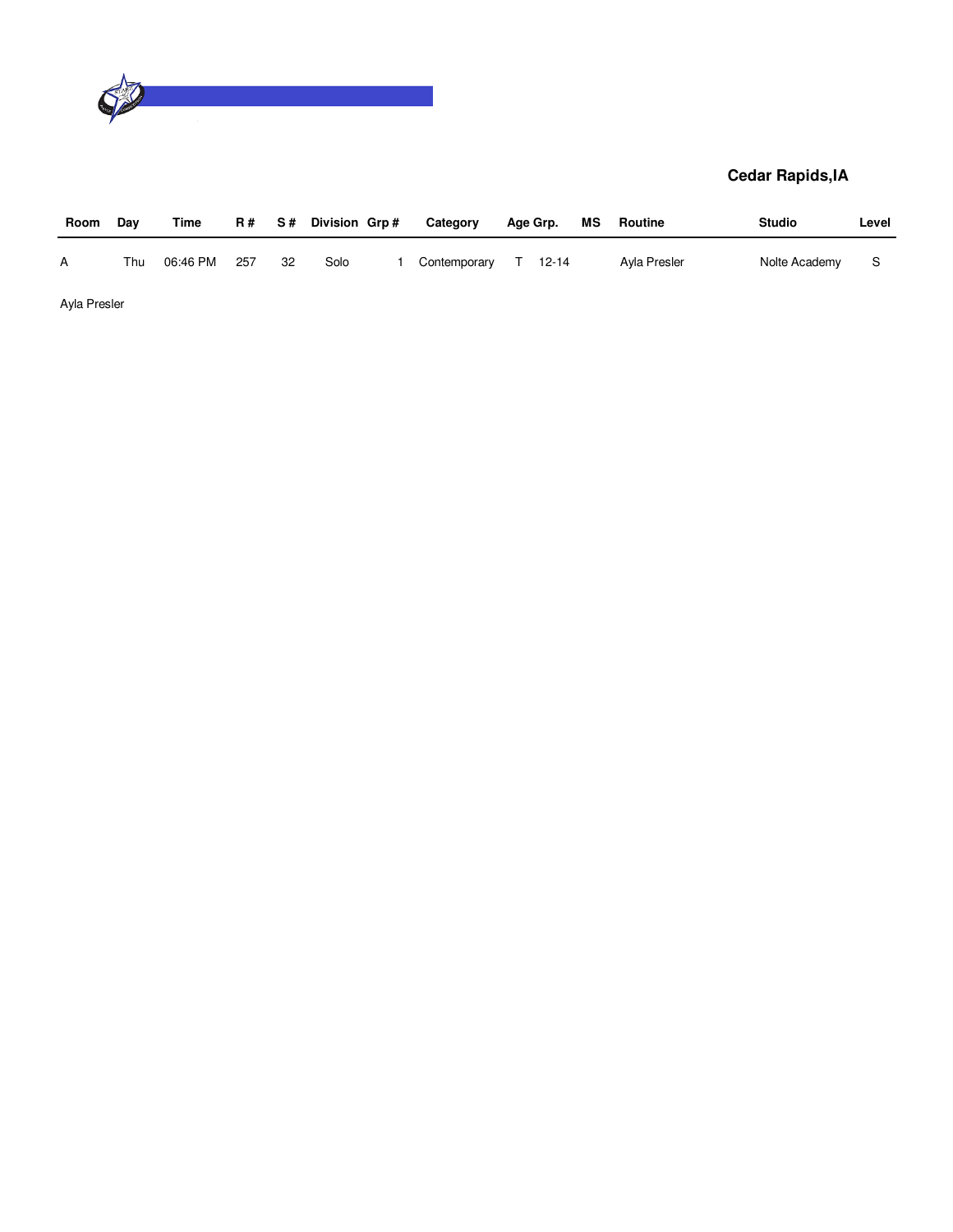

| Room         | Dav | Time     | R # | S# . | Division Grp# | Category     |    | Age Grp.  | МS | Routine      | <b>Studio</b> | Level |
|--------------|-----|----------|-----|------|---------------|--------------|----|-----------|----|--------------|---------------|-------|
| A            | Thu | 06:46 PM | 257 | 32   | Solo          | Contemporary | T. | $12 - 14$ |    | Ayla Presler | Nolte Academy | -S    |
| Ayla Presler |     |          |     |      |               |              |    |           |    |              |               |       |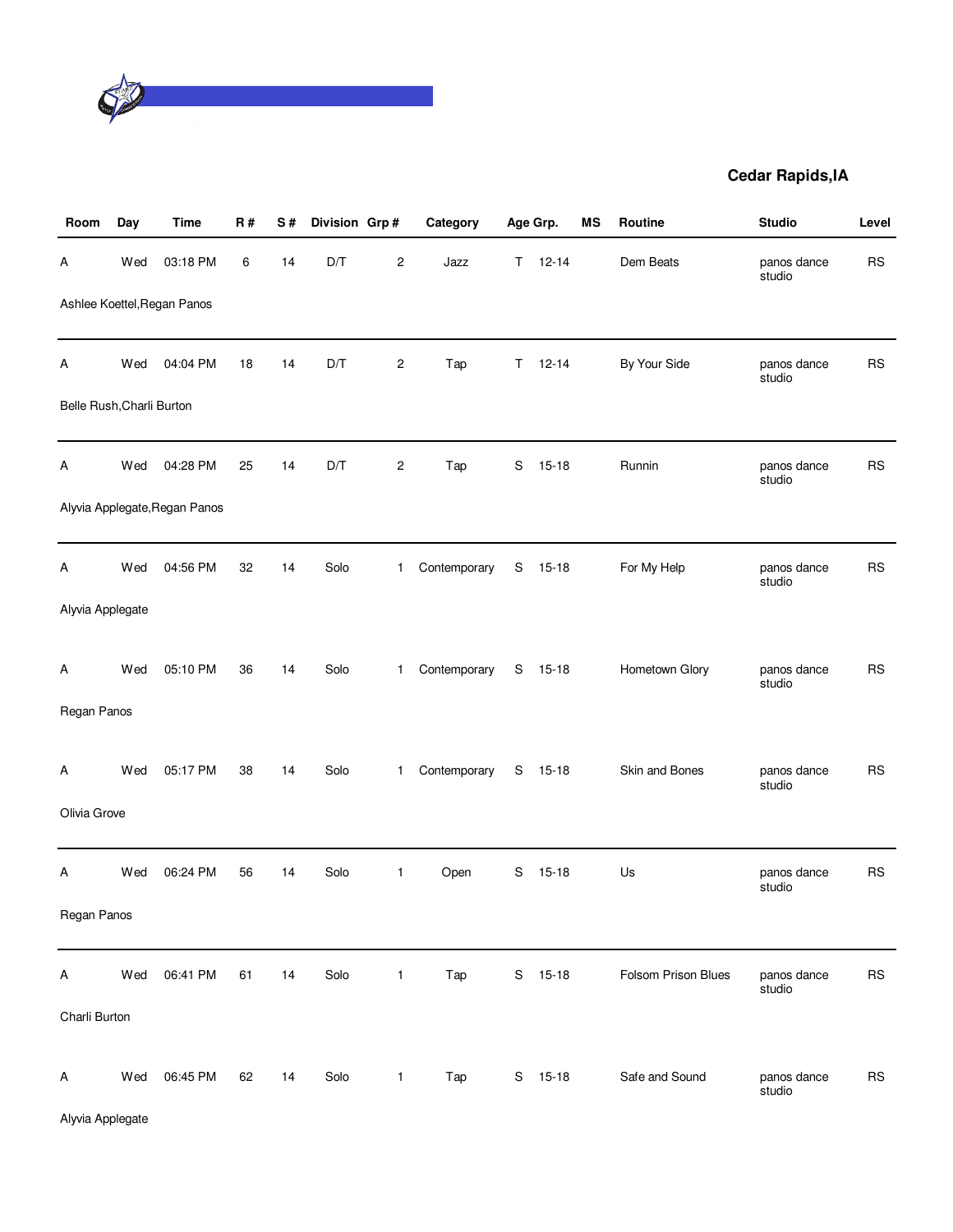

| Room                      | Day | <b>Time</b>                   | R# | S# | Division Grp# |                         | Category     |    | Age Grp.  | MS | Routine             | <b>Studio</b>         | Level     |
|---------------------------|-----|-------------------------------|----|----|---------------|-------------------------|--------------|----|-----------|----|---------------------|-----------------------|-----------|
| Α                         | Wed | 03:18 PM                      | 6  | 14 | D/T           | $\overline{\mathbf{c}}$ | Jazz         | T. | $12 - 14$ |    | Dem Beats           | panos dance<br>studio | <b>RS</b> |
|                           |     | Ashlee Koettel, Regan Panos   |    |    |               |                         |              |    |           |    |                     |                       |           |
| Α                         | Wed | 04:04 PM                      | 18 | 14 | D/T           | $\overline{c}$          | Tap          | Τ  | $12 - 14$ |    | By Your Side        | panos dance<br>studio | <b>RS</b> |
| Belle Rush, Charli Burton |     |                               |    |    |               |                         |              |    |           |    |                     |                       |           |
| А                         | Wed | 04:28 PM                      | 25 | 14 | D/T           | 2                       | Tap          | S  | $15 - 18$ |    | Runnin              | panos dance<br>studio | <b>RS</b> |
|                           |     | Alyvia Applegate, Regan Panos |    |    |               |                         |              |    |           |    |                     |                       |           |
| Α                         | Wed | 04:56 PM                      | 32 | 14 | Solo          | $\mathbf{1}$            | Contemporary | S  | $15 - 18$ |    | For My Help         | panos dance<br>studio | <b>RS</b> |
| Alyvia Applegate          |     |                               |    |    |               |                         |              |    |           |    |                     |                       |           |
| A                         | Wed | 05:10 PM                      | 36 | 14 | Solo          | $\mathbf{1}$            | Contemporary |    | S 15-18   |    | Hometown Glory      | panos dance<br>studio | <b>RS</b> |
| Regan Panos               |     |                               |    |    |               |                         |              |    |           |    |                     |                       |           |
| Α                         | Wed | 05:17 PM                      | 38 | 14 | Solo          | $\mathbf{1}$            | Contemporary |    | S 15-18   |    | Skin and Bones      | panos dance<br>studio | <b>RS</b> |
| Olivia Grove              |     |                               |    |    |               |                         |              |    |           |    |                     |                       |           |
| Α                         | Wed | 06:24 PM                      | 56 | 14 | Solo          | $\mathbf{1}$            | Open         | S  | $15 - 18$ |    | Us                  | panos dance<br>studio | <b>RS</b> |
| Regan Panos               |     |                               |    |    |               |                         |              |    |           |    |                     |                       |           |
| Α                         | Wed | 06:41 PM                      | 61 | 14 | Solo          | $\mathbf{1}$            | Tap          | S  | $15 - 18$ |    | Folsom Prison Blues | panos dance<br>studio | <b>RS</b> |
| Charli Burton             |     |                               |    |    |               |                         |              |    |           |    |                     |                       |           |
| Α                         | Wed | 06:45 PM                      | 62 | 14 | Solo          | $\mathbf{1}$            | Tap          |    | S 15-18   |    | Safe and Sound      | panos dance<br>studio | <b>RS</b> |

Alyvia Applegate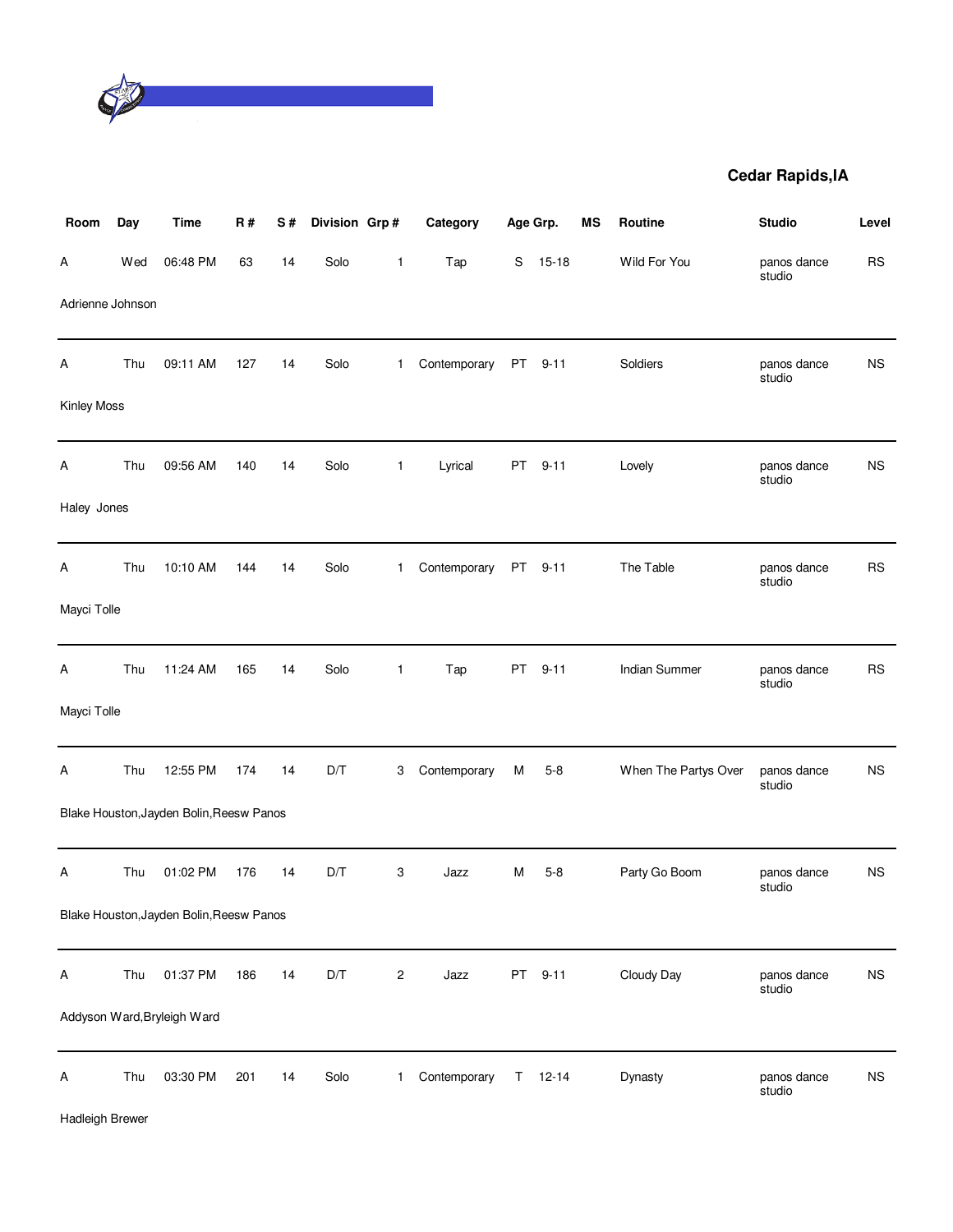

| Room             | Day | <b>Time</b>                              | R#  | S# | Division Grp# |              | Category     | Age Grp. |           | <b>MS</b> | Routine              | <b>Studio</b>         | Level     |
|------------------|-----|------------------------------------------|-----|----|---------------|--------------|--------------|----------|-----------|-----------|----------------------|-----------------------|-----------|
| А                | Wed | 06:48 PM                                 | 63  | 14 | Solo          | $\mathbf{1}$ | Tap          | S        | $15 - 18$ |           | Wild For You         | panos dance<br>studio | <b>RS</b> |
| Adrienne Johnson |     |                                          |     |    |               |              |              |          |           |           |                      |                       |           |
| Α                | Thu | 09:11 AM                                 | 127 | 14 | Solo          | $\mathbf 1$  | Contemporary | PT       | $9 - 11$  |           | Soldiers             | panos dance<br>studio | <b>NS</b> |
| Kinley Moss      |     |                                          |     |    |               |              |              |          |           |           |                      |                       |           |
| A                | Thu | 09:56 AM                                 | 140 | 14 | Solo          | 1            | Lyrical      | PT       | $9 - 11$  |           | Lovely               | panos dance<br>studio | <b>NS</b> |
| Haley Jones      |     |                                          |     |    |               |              |              |          |           |           |                      |                       |           |
| А                | Thu | 10:10 AM                                 | 144 | 14 | Solo          | $\mathbf{1}$ | Contemporary | PT       | $9 - 11$  |           | The Table            | panos dance<br>studio | <b>RS</b> |
| Mayci Tolle      |     |                                          |     |    |               |              |              |          |           |           |                      |                       |           |
| A                | Thu | 11:24 AM                                 | 165 | 14 | Solo          | 1            | Tap          | PT       | $9 - 11$  |           | Indian Summer        | panos dance<br>studio | <b>RS</b> |
| Mayci Tolle      |     |                                          |     |    |               |              |              |          |           |           |                      |                       |           |
| Α                | Thu | 12:55 PM                                 | 174 | 14 | D/T           | 3            | Contemporary | M        | $5 - 8$   |           | When The Partys Over | panos dance<br>studio | <b>NS</b> |
|                  |     | Blake Houston, Jayden Bolin, Reesw Panos |     |    |               |              |              |          |           |           |                      |                       |           |
| Α                | Thu | 01:02 PM                                 | 176 | 14 | D/T           | 3            | Jazz         | М        | $5 - 8$   |           | Party Go Boom        | panos dance<br>studio | <b>NS</b> |
|                  |     | Blake Houston, Jayden Bolin, Reesw Panos |     |    |               |              |              |          |           |           |                      |                       |           |
| Α                | Thu | 01:37 PM                                 | 186 | 14 | D/T           | 2            | Jazz         | PT       | $9 - 11$  |           | Cloudy Day           | panos dance<br>studio | <b>NS</b> |
|                  |     | Addyson Ward, Bryleigh Ward              |     |    |               |              |              |          |           |           |                      |                       |           |
| Α                | Thu | 03:30 PM                                 | 201 | 14 | Solo          | $\mathbf{1}$ | Contemporary | Τ        | $12 - 14$ |           | Dynasty              | panos dance<br>studio | <b>NS</b> |

Hadleigh Brewer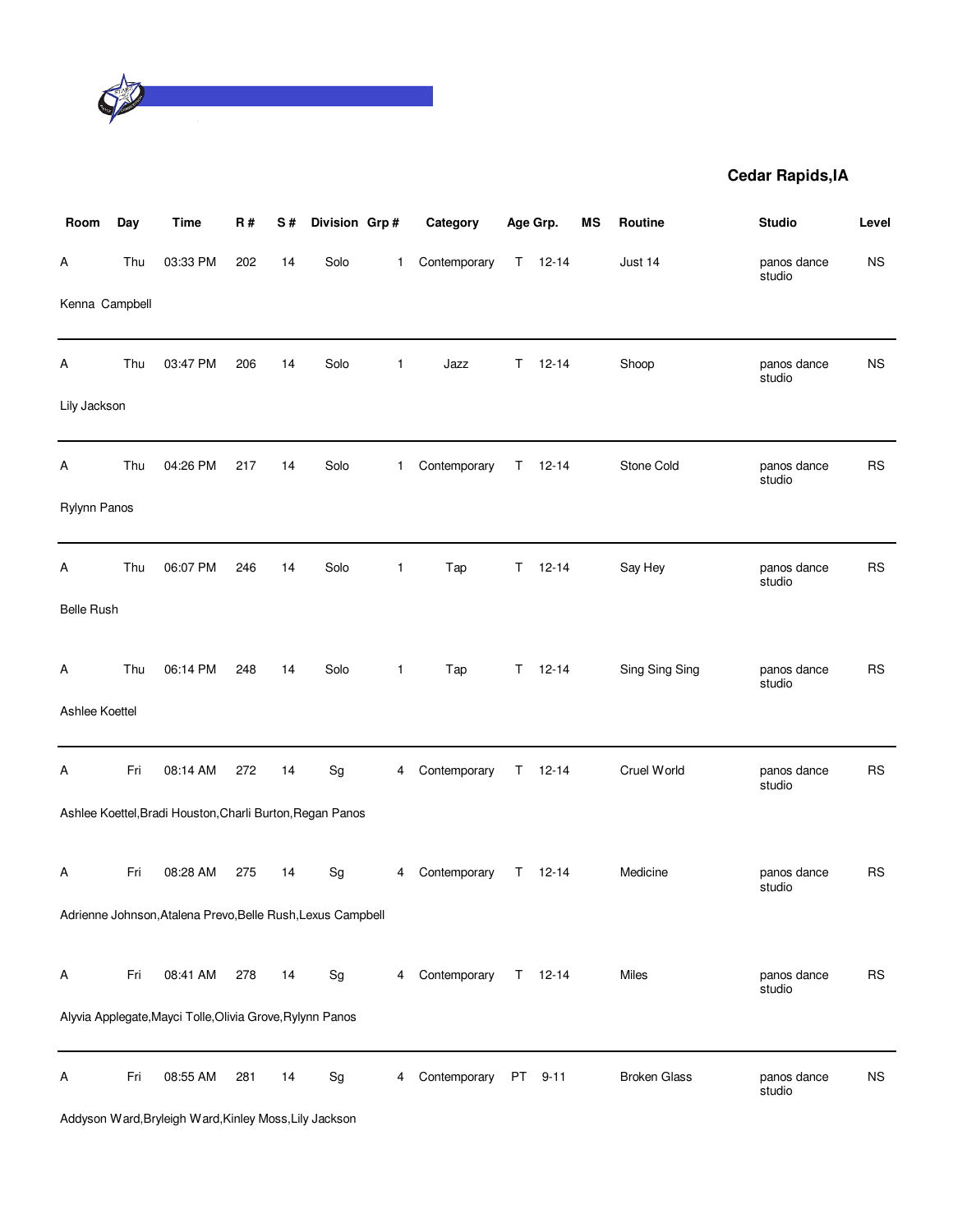

| Room              | Day | Time                                                        | R#  | S# | Division Grp#                |              | Category     |    | Age Grp.  | MS | Routine             | <b>Studio</b>         | Level     |
|-------------------|-----|-------------------------------------------------------------|-----|----|------------------------------|--------------|--------------|----|-----------|----|---------------------|-----------------------|-----------|
| А                 | Thu | 03:33 PM                                                    | 202 | 14 | Solo                         | $\mathbf{1}$ | Contemporary | T. | $12 - 14$ |    | Just 14             | panos dance<br>studio | <b>NS</b> |
| Kenna Campbell    |     |                                                             |     |    |                              |              |              |    |           |    |                     |                       |           |
| Α                 | Thu | 03:47 PM                                                    | 206 | 14 | Solo                         | $\mathbf{1}$ | Jazz         | T. | $12 - 14$ |    | Shoop               | panos dance<br>studio | <b>NS</b> |
| Lily Jackson      |     |                                                             |     |    |                              |              |              |    |           |    |                     |                       |           |
| Α                 | Thu | 04:26 PM                                                    | 217 | 14 | Solo                         | 1            | Contemporary | T. | $12 - 14$ |    | Stone Cold          | panos dance<br>studio | <b>RS</b> |
| Rylynn Panos      |     |                                                             |     |    |                              |              |              |    |           |    |                     |                       |           |
| Α                 | Thu | 06:07 PM                                                    | 246 | 14 | Solo                         | $\mathbf{1}$ | Tap          | T  | $12 - 14$ |    | Say Hey             | panos dance<br>studio | <b>RS</b> |
| <b>Belle Rush</b> |     |                                                             |     |    |                              |              |              |    |           |    |                     |                       |           |
| Α                 | Thu | 06:14 PM                                                    | 248 | 14 | Solo                         | $\mathbf{1}$ | Tap          | T  | $12 - 14$ |    | Sing Sing Sing      | panos dance<br>studio | <b>RS</b> |
| Ashlee Koettel    |     |                                                             |     |    |                              |              |              |    |           |    |                     |                       |           |
| Α                 | Fri | 08:14 AM                                                    | 272 | 14 | Sg                           | 4            | Contemporary | T. | $12 - 14$ |    | Cruel World         | panos dance<br>studio | <b>RS</b> |
|                   |     | Ashlee Koettel, Bradi Houston, Charli Burton, Regan Panos   |     |    |                              |              |              |    |           |    |                     |                       |           |
| Α                 | Fri | 08:28 AM                                                    | 275 | 14 | Sg                           | 4            | Contemporary | T. | $12 - 14$ |    | Medicine            | panos dance<br>studio | <b>RS</b> |
|                   |     | Adrienne Johnson, Atalena Prevo, Belle Rush, Lexus Campbell |     |    |                              |              |              |    |           |    |                     |                       |           |
| Α                 | Fri | 08:41 AM                                                    | 278 | 14 | $\operatorname{\mathsf{Sg}}$ | 4            | Contemporary | T. | $12 - 14$ |    | Miles               | panos dance           | <b>RS</b> |
|                   |     | Alyvia Applegate, Mayci Tolle, Olivia Grove, Rylynn Panos   |     |    |                              |              |              |    |           |    |                     | studio                |           |
| Α                 | Fri | 08:55 AM                                                    | 281 | 14 | $\operatorname{\mathsf{Sg}}$ | 4            | Contemporary | PT | $9 - 11$  |    | <b>Broken Glass</b> | panos dance<br>studio | <b>NS</b> |
|                   |     |                                                             |     |    |                              |              |              |    |           |    |                     |                       |           |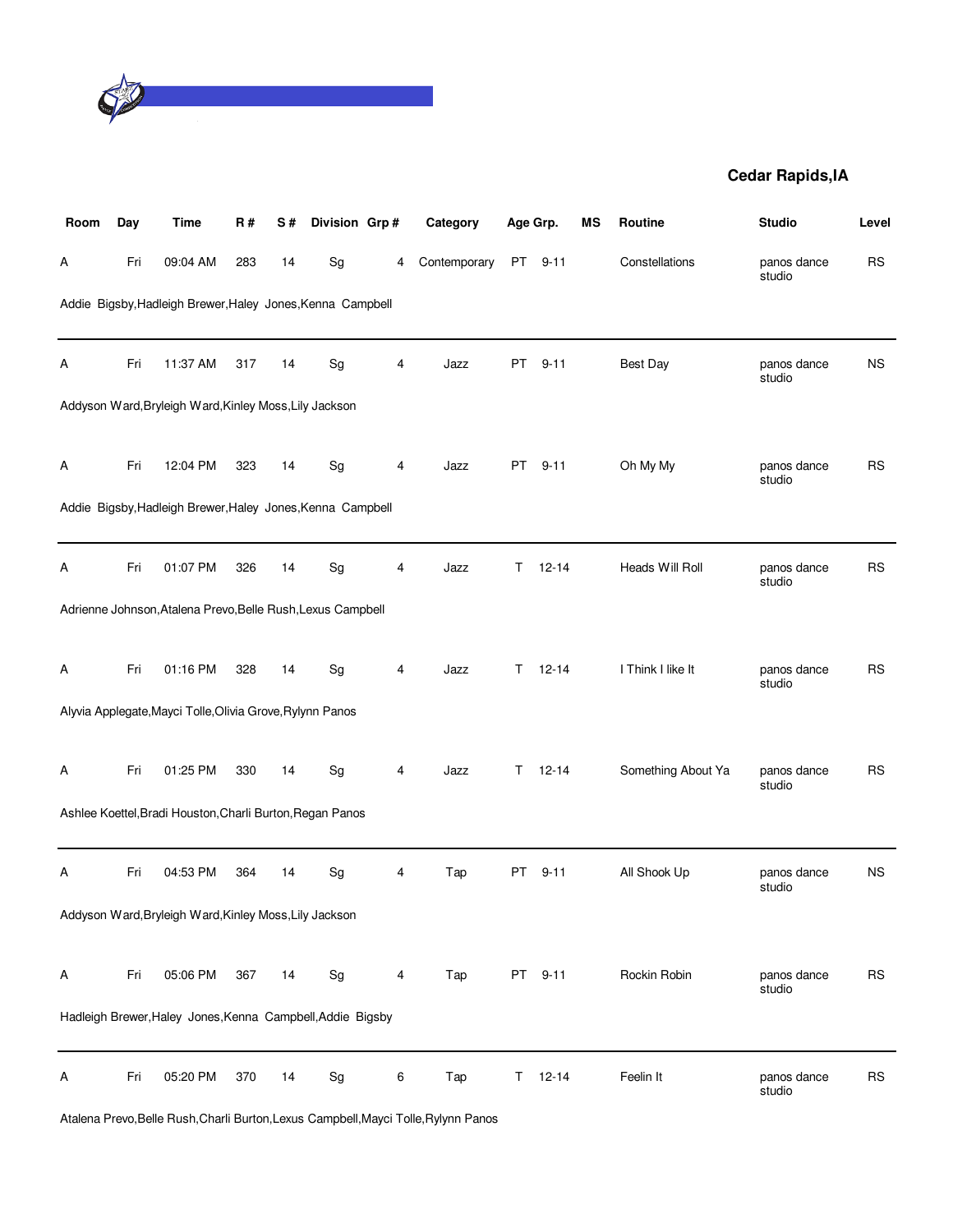

| Room | Day | <b>Time</b>                                                 | R#  | S# | Division Grp#                |   | Category     | Age Grp.  |           | MS | Routine            | <b>Studio</b>         | Level     |
|------|-----|-------------------------------------------------------------|-----|----|------------------------------|---|--------------|-----------|-----------|----|--------------------|-----------------------|-----------|
| А    | Fri | 09:04 AM                                                    | 283 | 14 | Sg                           | 4 | Contemporary | PT        | $9 - 11$  |    | Constellations     | panos dance<br>studio | <b>RS</b> |
|      |     | Addie Bigsby, Hadleigh Brewer, Haley Jones, Kenna Campbell  |     |    |                              |   |              |           |           |    |                    |                       |           |
| А    | Fri | 11:37 AM                                                    | 317 | 14 | Sg                           | 4 | Jazz         | PT        | $9 - 11$  |    | Best Day           | panos dance<br>studio | <b>NS</b> |
|      |     | Addyson Ward, Bryleigh Ward, Kinley Moss, Lily Jackson      |     |    |                              |   |              |           |           |    |                    |                       |           |
| Α    | Fri | 12:04 PM                                                    | 323 | 14 | Sg                           | 4 | Jazz         | PT        | $9 - 11$  |    | Oh My My           | panos dance<br>studio | <b>RS</b> |
|      |     | Addie Bigsby, Hadleigh Brewer, Haley Jones, Kenna Campbell  |     |    |                              |   |              |           |           |    |                    |                       |           |
| Α    | Fri | 01:07 PM                                                    | 326 | 14 | Sg                           | 4 | Jazz         | T.        | $12 - 14$ |    | Heads Will Roll    | panos dance<br>studio | <b>RS</b> |
|      |     | Adrienne Johnson, Atalena Prevo, Belle Rush, Lexus Campbell |     |    |                              |   |              |           |           |    |                    |                       |           |
| А    | Fri | 01:16 PM                                                    | 328 | 14 | Sg                           | 4 | Jazz         | т         | $12 - 14$ |    | I Think I like It  | panos dance<br>studio | <b>RS</b> |
|      |     | Alyvia Applegate, Mayci Tolle, Olivia Grove, Rylynn Panos   |     |    |                              |   |              |           |           |    |                    |                       |           |
| Α    | Fri | 01:25 PM                                                    | 330 | 14 | $\operatorname{\mathsf{Sg}}$ | 4 | Jazz         | T.        | $12 - 14$ |    | Something About Ya | panos dance<br>studio | <b>RS</b> |
|      |     | Ashlee Koettel, Bradi Houston, Charli Burton, Regan Panos   |     |    |                              |   |              |           |           |    |                    |                       |           |
| Α    | Fri | 04:53 PM                                                    | 364 | 14 | Sg                           | 4 | Tap          | PT        | $9 - 11$  |    | All Shook Up       | panos dance<br>studio | <b>NS</b> |
|      |     | Addyson Ward, Bryleigh Ward, Kinley Moss, Lily Jackson      |     |    |                              |   |              |           |           |    |                    |                       |           |
| Α    | Fri | 05:06 PM                                                    | 367 | 14 | Sg                           | 4 | Tap          | <b>PT</b> | $9 - 11$  |    | Rockin Robin       | panos dance<br>studio | <b>RS</b> |
|      |     | Hadleigh Brewer, Haley Jones, Kenna Campbell, Addie Bigsby  |     |    |                              |   |              |           |           |    |                    |                       |           |
| Α    | Fri | 05:20 PM                                                    | 370 | 14 | Sg                           | 6 | Tap          | Τ         | $12 - 14$ |    | Feelin It          | panos dance<br>studio | <b>RS</b> |

Atalena Prevo,Belle Rush,Charli Burton,Lexus Campbell,Mayci Tolle,Rylynn Panos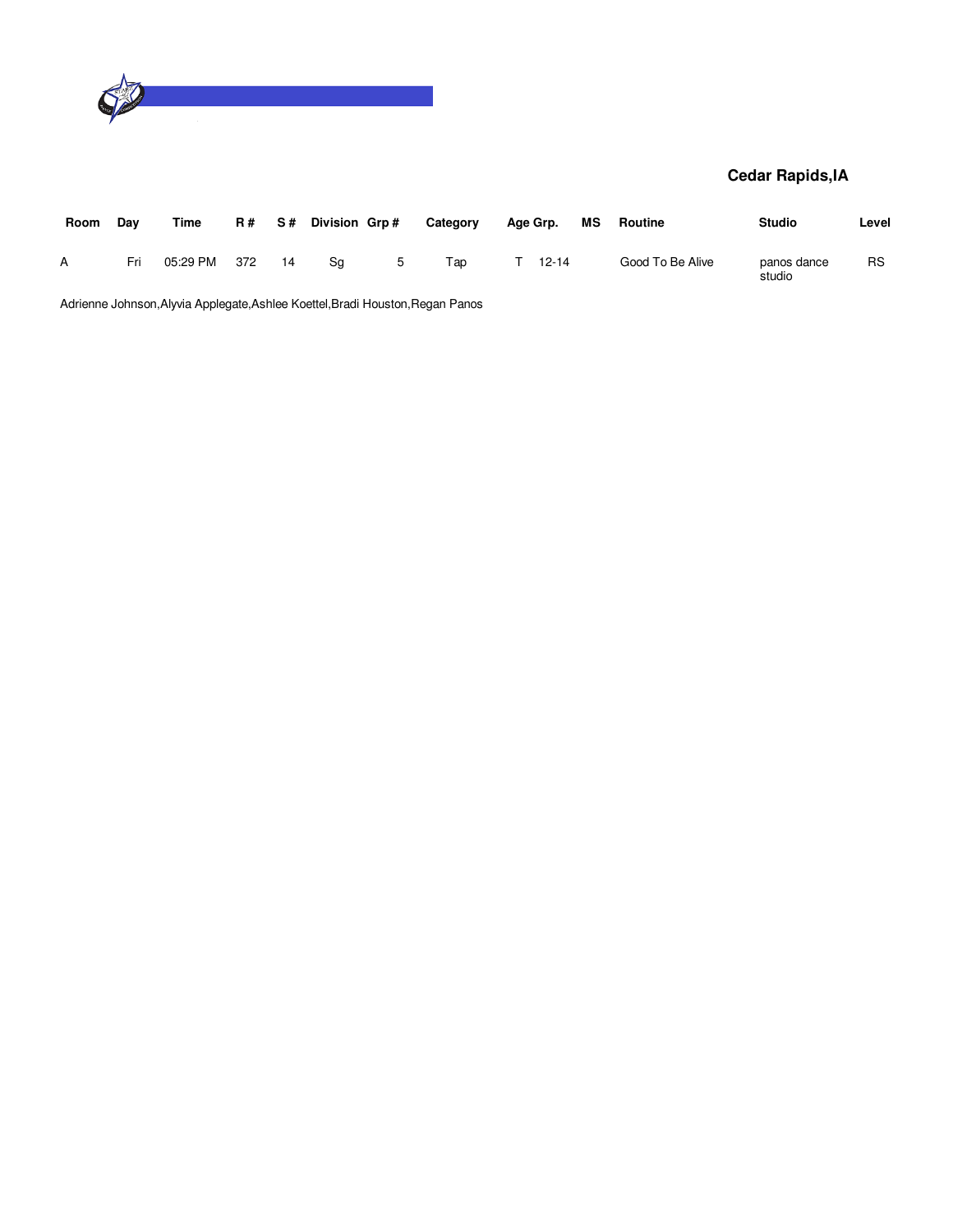

| Room | Dav | Time     |     |     | $R#$ S# Division Grp# |   | Category | Age Grp. |           | МS | Routine          | <b>Studio</b>         | Level     |
|------|-----|----------|-----|-----|-----------------------|---|----------|----------|-----------|----|------------------|-----------------------|-----------|
| А    | Fri | 05:29 PM | 372 | -14 | Sa                    | 5 | Tap      |          | $12 - 14$ |    | Good To Be Alive | panos dance<br>studio | <b>RS</b> |

Adrienne Johnson,Alyvia Applegate,Ashlee Koettel,Bradi Houston,Regan Panos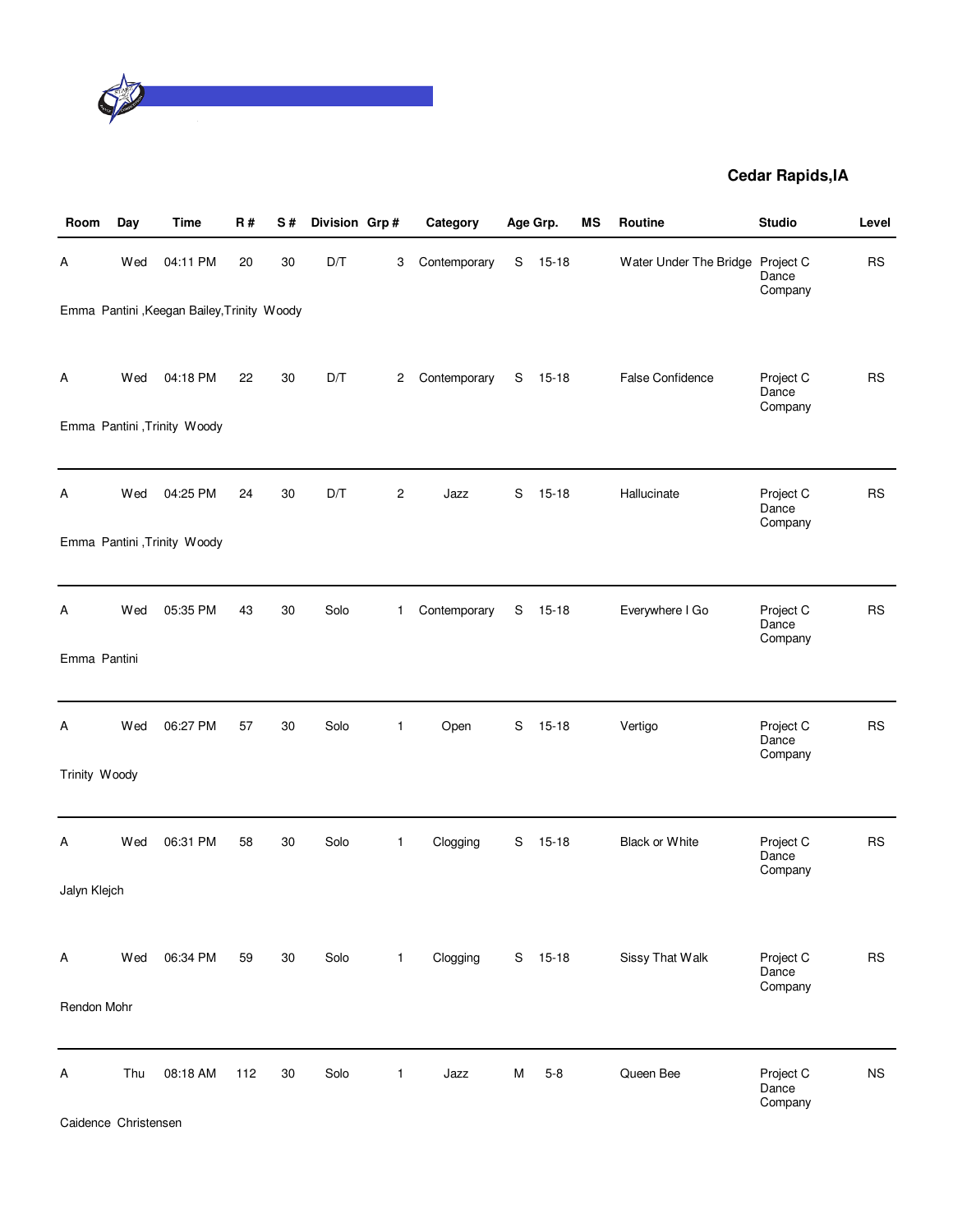

| Room          | Day | Time                                        | <b>R#</b> | S# | Division Grp#           |                | Category     |   | Age Grp.  | MS | Routine                | <b>Studio</b>                 | Level     |
|---------------|-----|---------------------------------------------|-----------|----|-------------------------|----------------|--------------|---|-----------|----|------------------------|-------------------------------|-----------|
| Α             | Wed | 04:11 PM                                    | 20        | 30 | D/T                     | 3              | Contemporary | S | $15 - 18$ |    | Water Under The Bridge | Project C<br>Dance<br>Company | <b>RS</b> |
|               |     | Emma Pantini , Keegan Bailey, Trinity Woody |           |    |                         |                |              |   |           |    |                        |                               |           |
| Α             | Wed | 04:18 PM                                    | 22        | 30 | $\mathsf{D}/\mathsf{T}$ | $^{2}$         | Contemporary | S | 15-18     |    | False Confidence       | Project C<br>Dance<br>Company | <b>RS</b> |
|               |     | Emma Pantini , Trinity Woody                |           |    |                         |                |              |   |           |    |                        |                               |           |
|               |     |                                             |           |    |                         |                |              |   |           |    |                        |                               |           |
| A             | Wed | 04:25 PM                                    | 24        | 30 | D/T                     | $\overline{c}$ | Jazz         | S | $15 - 18$ |    | Hallucinate            | Project C<br>Dance<br>Company | <b>RS</b> |
|               |     | Emma Pantini , Trinity Woody                |           |    |                         |                |              |   |           |    |                        |                               |           |
|               |     |                                             |           |    |                         |                |              |   |           |    |                        |                               |           |
| Α             | Wed | 05:35 PM                                    | 43        | 30 | Solo                    | $\mathbf{1}$   | Contemporary | S | $15 - 18$ |    | Everywhere I Go        | Project C<br>Dance<br>Company | <b>RS</b> |
| Emma Pantini  |     |                                             |           |    |                         |                |              |   |           |    |                        |                               |           |
|               |     |                                             |           |    |                         |                |              |   |           |    |                        |                               |           |
| Α             | Wed | 06:27 PM                                    | 57        | 30 | Solo                    | $\mathbf{1}$   | Open         | S | $15 - 18$ |    | Vertigo                | Project C<br>Dance<br>Company | <b>RS</b> |
| Trinity Woody |     |                                             |           |    |                         |                |              |   |           |    |                        |                               |           |
|               |     |                                             |           |    |                         |                |              |   |           |    |                        |                               |           |
| Α             | Wed | 06:31 PM                                    | 58        | 30 | Solo                    | $\mathbf{1}$   | Clogging     | S | $15 - 18$ |    | <b>Black or White</b>  | Project C<br>Dance<br>Company | <b>RS</b> |
| Jalyn Klejch  |     |                                             |           |    |                         |                |              |   |           |    |                        |                               |           |
|               |     |                                             |           |    |                         |                |              |   |           |    |                        |                               |           |
| A             | Wed | 06:34 PM                                    | 59        | 30 | Solo                    | $\mathbf{1}$   | Clogging     | S | $15-18$   |    | Sissy That Walk        | Project C<br>Dance            | <b>RS</b> |
| Rendon Mohr   |     |                                             |           |    |                         |                |              |   |           |    |                        | Company                       |           |
|               |     |                                             |           |    |                         |                |              |   |           |    |                        |                               |           |
| A             | Thu | 08:18 AM                                    | 112       | 30 | Solo                    | $\mathbf{1}$   | Jazz         | M | $5 - 8$   |    | Queen Bee              | Project C<br>Dance<br>Company | <b>NS</b> |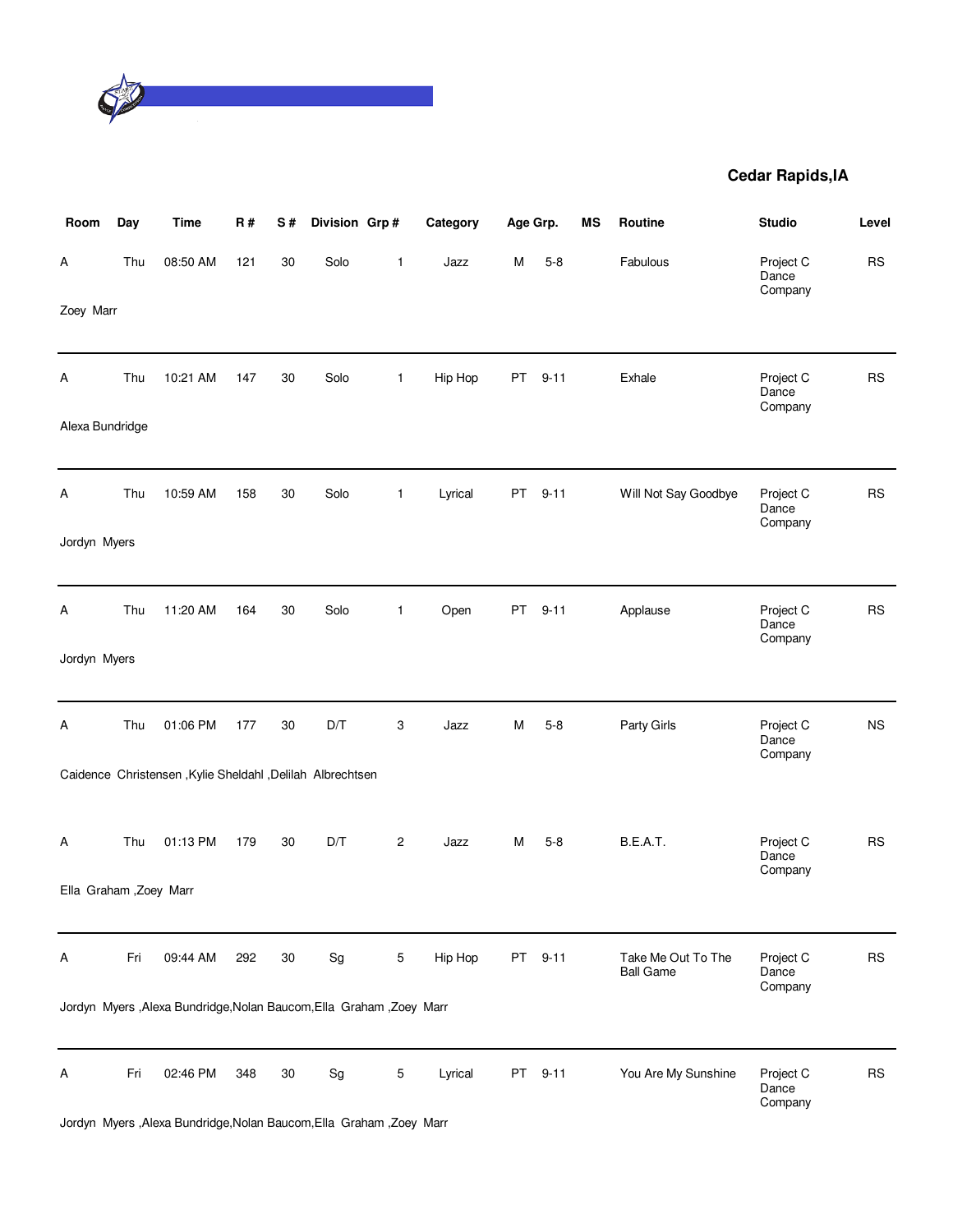

| Room                    | Day | <b>Time</b>                                                          | R#  | S# | Division Grp#                |                | Category | Age Grp.  |          | ΜS | Routine                                | <b>Studio</b>                 | Level     |
|-------------------------|-----|----------------------------------------------------------------------|-----|----|------------------------------|----------------|----------|-----------|----------|----|----------------------------------------|-------------------------------|-----------|
| А                       | Thu | 08:50 AM                                                             | 121 | 30 | Solo                         | 1              | Jazz     | М         | $5 - 8$  |    | Fabulous                               | Project C<br>Dance<br>Company | <b>RS</b> |
| Zoey Marr               |     |                                                                      |     |    |                              |                |          |           |          |    |                                        |                               |           |
| Α                       | Thu | 10:21 AM                                                             | 147 | 30 | Solo                         | 1              | Hip Hop  | PT        | $9 - 11$ |    | Exhale                                 | Project C<br>Dance<br>Company | <b>RS</b> |
| Alexa Bundridge         |     |                                                                      |     |    |                              |                |          |           |          |    |                                        |                               |           |
| А                       | Thu | 10:59 AM                                                             | 158 | 30 | Solo                         | 1              | Lyrical  | PT        | $9 - 11$ |    | Will Not Say Goodbye                   | Project C<br>Dance<br>Company | <b>RS</b> |
| Jordyn Myers            |     |                                                                      |     |    |                              |                |          |           |          |    |                                        |                               |           |
| Α                       | Thu | 11:20 AM                                                             | 164 | 30 | Solo                         | 1              | Open     | PT        | $9 - 11$ |    | Applause                               | Project C<br>Dance<br>Company | <b>RS</b> |
| Jordyn Myers            |     |                                                                      |     |    |                              |                |          |           |          |    |                                        |                               |           |
| А                       | Thu | 01:06 PM                                                             | 177 | 30 | D/T                          | 3              | Jazz     | M         | $5 - 8$  |    | Party Girls                            | Project C<br>Dance<br>Company | <b>NS</b> |
|                         |     | Caidence Christensen , Kylie Sheldahl , Delilah Albrechtsen          |     |    |                              |                |          |           |          |    |                                        |                               |           |
| Α                       | Thu | 01:13 PM                                                             | 179 | 30 | D/T                          | $\overline{c}$ | Jazz     | M         | $5 - 8$  |    | B.E.A.T.                               | Project C<br>Dance<br>Company | <b>RS</b> |
| Ella Graham , Zoey Marr |     |                                                                      |     |    |                              |                |          |           |          |    |                                        |                               |           |
| Α                       | Fri | 09:44 AM                                                             | 292 | 30 | Sg                           | 5              | Hip Hop  | PT        | $9 - 11$ |    | Take Me Out To The<br><b>Ball Game</b> | Project C<br>Dance<br>Company | <b>RS</b> |
|                         |     | Jordyn Myers , Alexa Bundridge, Nolan Baucom, Ella Graham, Zoey Marr |     |    |                              |                |          |           |          |    |                                        |                               |           |
| А                       | Fri | 02:46 PM                                                             | 348 | 30 | $\operatorname{\mathsf{Sg}}$ | 5              | Lyrical  | <b>PT</b> | $9 - 11$ |    | You Are My Sunshine                    | Project C<br>Dance<br>Company | <b>RS</b> |
|                         |     | Jordyn Myers , Alexa Bundridge, Nolan Baucom, Ella Graham, Zoey Marr |     |    |                              |                |          |           |          |    |                                        |                               |           |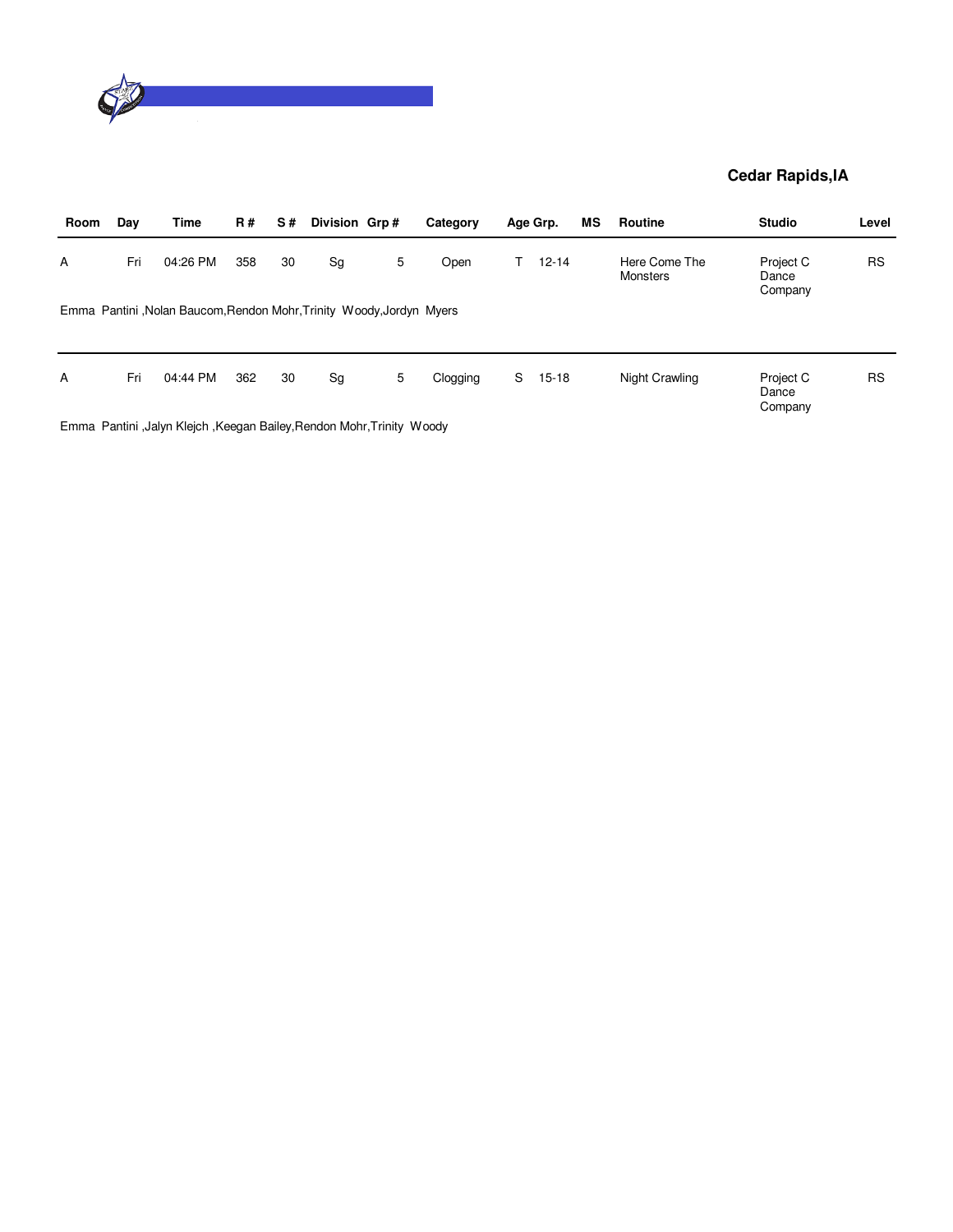

| Day | Time     | <b>R#</b> | S# |    |   | Category           |                                                                      |           | ΜS                                    | <b>Routine</b>                   | <b>Studio</b>                 | Level     |
|-----|----------|-----------|----|----|---|--------------------|----------------------------------------------------------------------|-----------|---------------------------------------|----------------------------------|-------------------------------|-----------|
| Fri | 04:26 PM | 358       | 30 | Sg | 5 | Open               |                                                                      | $12 - 14$ |                                       | Here Come The<br><b>Monsters</b> | Project C<br>Dance<br>Company | <b>RS</b> |
|     |          |           |    |    |   |                    |                                                                      |           |                                       |                                  |                               |           |
|     |          |           |    |    |   |                    |                                                                      |           |                                       |                                  |                               |           |
| Fri | 04:44 PM | 362       | 30 | Sg | 5 | Clogging           | S                                                                    | $15 - 18$ |                                       | Night Crawling                   | Project C<br>Dance<br>Company | <b>RS</b> |
|     |          |           |    |    |   | Division Grp#<br>_ | Emma Pantini, Nolan Baucom, Rendon Mohr, Trinity Woody, Jordyn Myers |           | Age Grp.<br>_ _ _ _ _ _ _ _ _ _ _ _ _ |                                  |                               |           |

Emma Pantini ,Jalyn Klejch ,Keegan Bailey,Rendon Mohr,Trinity Woody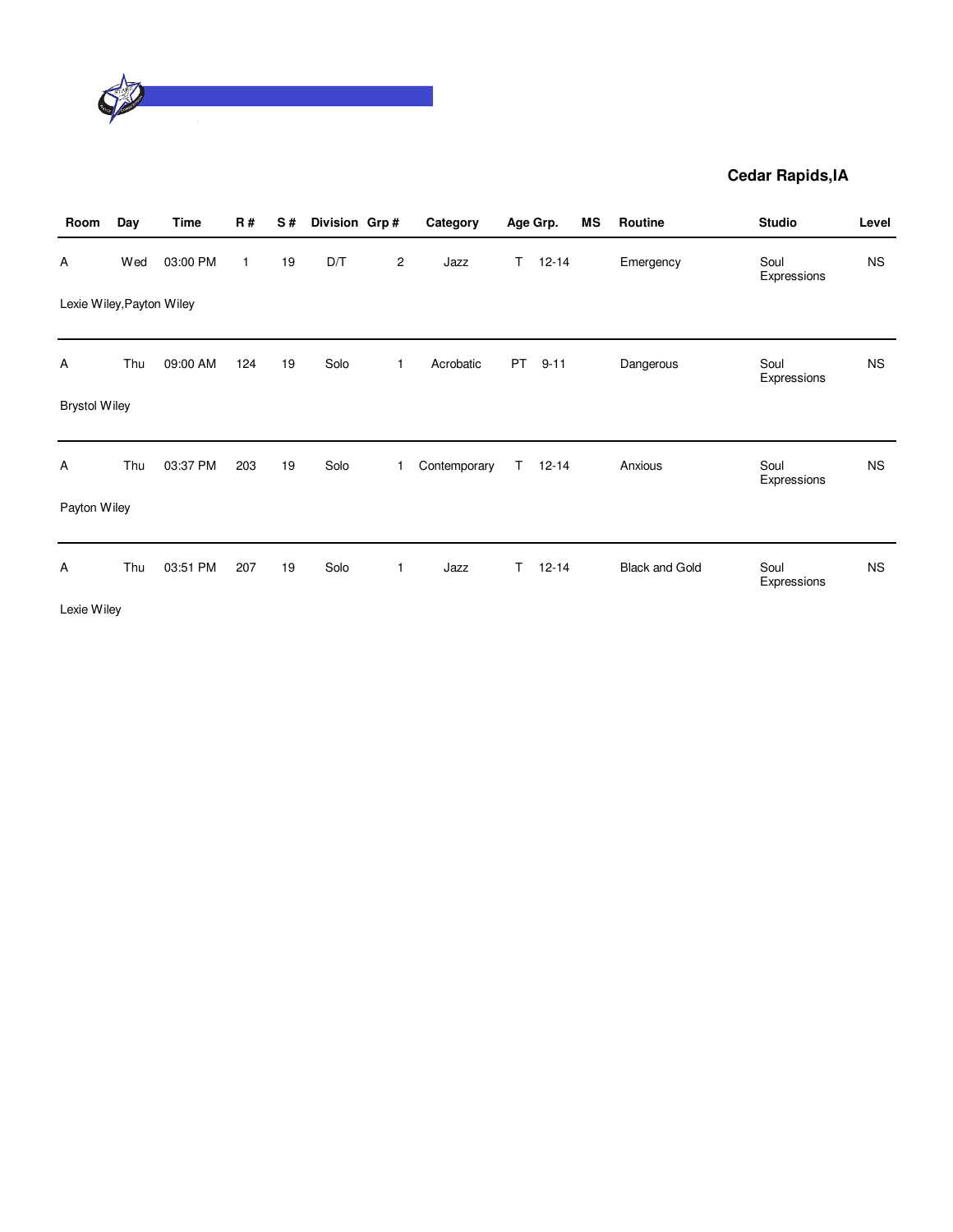

| Room                      | Day | <b>Time</b> | <b>R#</b>    | S# | Division Grp# |                         | Category     |           | Age Grp.  | MS | Routine               | <b>Studio</b>       | Level     |
|---------------------------|-----|-------------|--------------|----|---------------|-------------------------|--------------|-----------|-----------|----|-----------------------|---------------------|-----------|
| Α                         | Wed | 03:00 PM    | $\mathbf{1}$ | 19 | D/T           | $\overline{\mathbf{c}}$ | Jazz         | T.        | $12 - 14$ |    | Emergency             | Soul<br>Expressions | <b>NS</b> |
| Lexie Wiley, Payton Wiley |     |             |              |    |               |                         |              |           |           |    |                       |                     |           |
| Α                         | Thu | 09:00 AM    | 124          | 19 | Solo          | 1                       | Acrobatic    | <b>PT</b> | $9 - 11$  |    | Dangerous             | Soul<br>Expressions | <b>NS</b> |
| <b>Brystol Wiley</b>      |     |             |              |    |               |                         |              |           |           |    |                       |                     |           |
| Α                         | Thu | 03:37 PM    | 203          | 19 | Solo          | 1                       | Contemporary | T.        | $12 - 14$ |    | Anxious               | Soul<br>Expressions | <b>NS</b> |
| Payton Wiley              |     |             |              |    |               |                         |              |           |           |    |                       |                     |           |
| Α                         | Thu | 03:51 PM    | 207          | 19 | Solo          | 1                       | Jazz         | T.        | $12 - 14$ |    | <b>Black and Gold</b> | Soul<br>Expressions | <b>NS</b> |
| Lexie Wiley               |     |             |              |    |               |                         |              |           |           |    |                       |                     |           |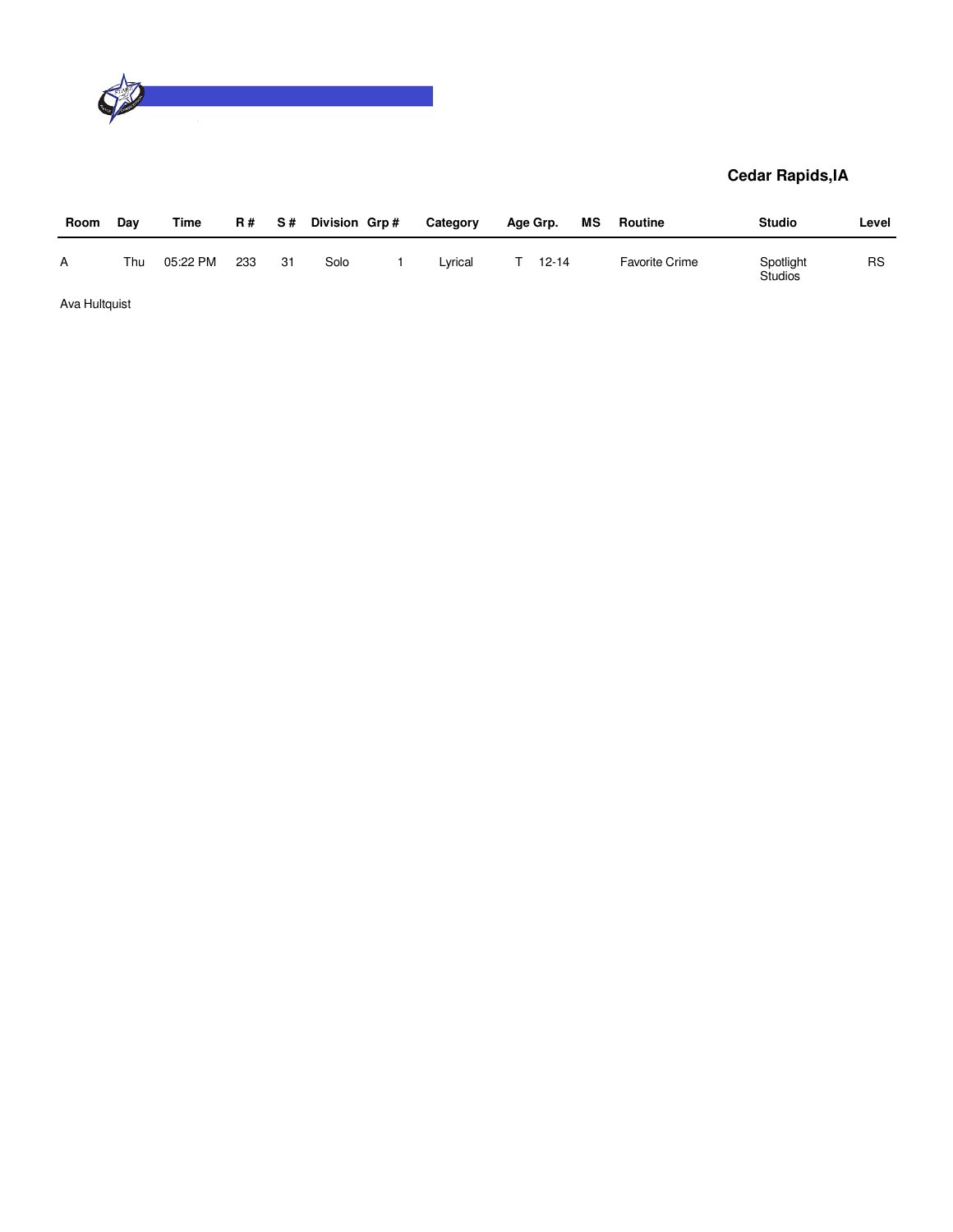

| Room          | Day | Time     | R # | S#  | Division Grp# | Category | Age Grp.  | МS | Routine               | <b>Studio</b>               | Level     |
|---------------|-----|----------|-----|-----|---------------|----------|-----------|----|-----------------------|-----------------------------|-----------|
| A             | Thu | 05:22 PM | 233 | -31 | Solo          | Lvrical  | $12 - 14$ |    | <b>Favorite Crime</b> | Spotlight<br><b>Studios</b> | <b>RS</b> |
| Ava Hultquist |     |          |     |     |               |          |           |    |                       |                             |           |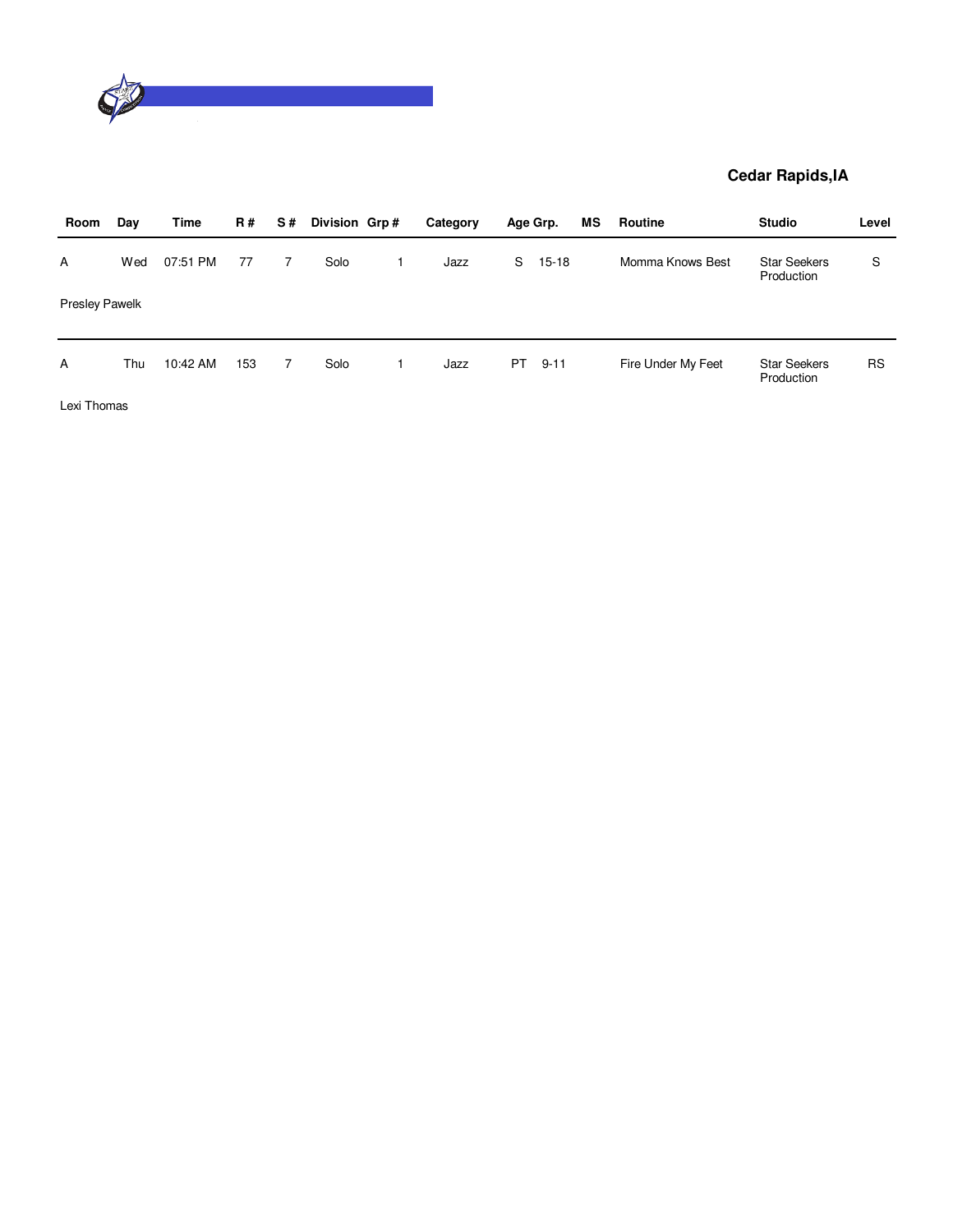

| Room                  | Day | Time     | <b>R#</b> | S# | Division Grp# | Category |     | Age Grp.  | МS | Routine            | <b>Studio</b>                     | Level     |
|-----------------------|-----|----------|-----------|----|---------------|----------|-----|-----------|----|--------------------|-----------------------------------|-----------|
| A                     | Wed | 07:51 PM | 77        | 7  | Solo          | Jazz     | S   | $15 - 18$ |    | Momma Knows Best   | <b>Star Seekers</b><br>Production | S         |
| <b>Presley Pawelk</b> |     |          |           |    |               |          |     |           |    |                    |                                   |           |
| A                     | Thu | 10:42 AM | 153       | 7  | Solo          | Jazz     | PT. | $9 - 11$  |    | Fire Under My Feet | <b>Star Seekers</b><br>Production | <b>RS</b> |
| Lexi Thomas           |     |          |           |    |               |          |     |           |    |                    |                                   |           |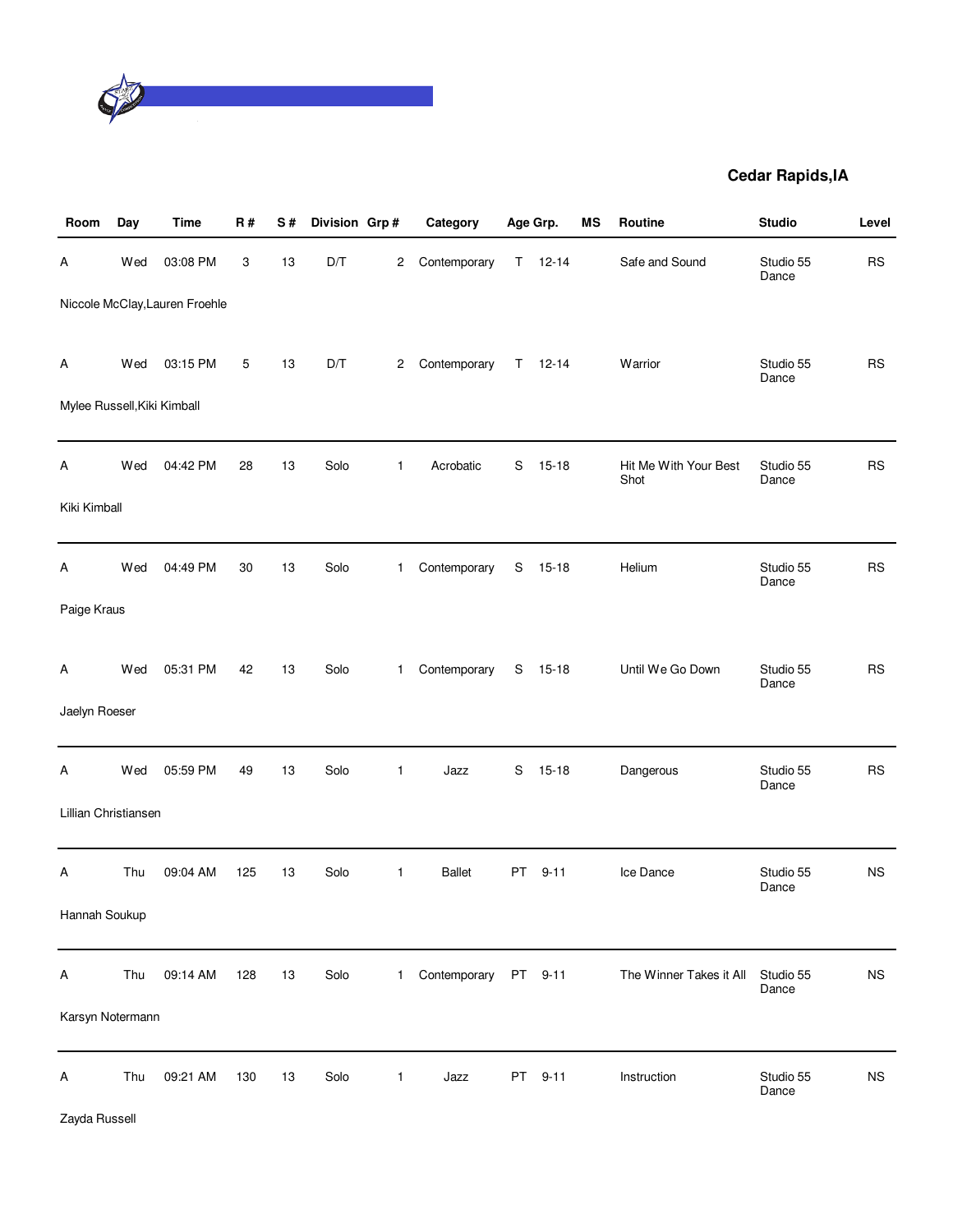

| Room                        | Day | Time                           | R#  | S# | Division Grp# |              | Category      |             | Age Grp.  | MS | Routine                       | <b>Studio</b>      | Level       |
|-----------------------------|-----|--------------------------------|-----|----|---------------|--------------|---------------|-------------|-----------|----|-------------------------------|--------------------|-------------|
| А                           | Wed | 03:08 PM                       | 3   | 13 | D/T           | 2            | Contemporary  | T.          | $12 - 14$ |    | Safe and Sound                | Studio 55<br>Dance | <b>RS</b>   |
|                             |     | Niccole McClay, Lauren Froehle |     |    |               |              |               |             |           |    |                               |                    |             |
| Α                           | Wed | 03:15 PM                       | 5   | 13 | D/T           | 2            | Contemporary  | $\mathsf T$ | $12 - 14$ |    | Warrior                       | Studio 55<br>Dance | <b>RS</b>   |
| Mylee Russell, Kiki Kimball |     |                                |     |    |               |              |               |             |           |    |                               |                    |             |
| A                           | Wed | 04:42 PM                       | 28  | 13 | Solo          | $\mathbf{1}$ | Acrobatic     | S           | $15 - 18$ |    | Hit Me With Your Best<br>Shot | Studio 55<br>Dance | <b>RS</b>   |
| Kiki Kimball                |     |                                |     |    |               |              |               |             |           |    |                               |                    |             |
| Α                           | Wed | 04:49 PM                       | 30  | 13 | Solo          | $\mathbf{1}$ | Contemporary  | S           | $15 - 18$ |    | Helium                        | Studio 55<br>Dance | <b>RS</b>   |
| Paige Kraus                 |     |                                |     |    |               |              |               |             |           |    |                               |                    |             |
| A                           | Wed | 05:31 PM                       | 42  | 13 | Solo          | $\mathbf{1}$ | Contemporary  | S           | $15 - 18$ |    | Until We Go Down              | Studio 55<br>Dance | <b>RS</b>   |
| Jaelyn Roeser               |     |                                |     |    |               |              |               |             |           |    |                               |                    |             |
| Α                           | Wed | 05:59 PM                       | 49  | 13 | Solo          | $\mathbf{1}$ | Jazz          | S           | $15 - 18$ |    | Dangerous                     | Studio 55<br>Dance | <b>RS</b>   |
| Lillian Christiansen        |     |                                |     |    |               |              |               |             |           |    |                               |                    |             |
| Α                           | Thu | 09:04 AM                       | 125 | 13 | Solo          | $\mathbf{1}$ | <b>Ballet</b> | PT          | $9 - 11$  |    | Ice Dance                     | Studio 55<br>Dance | ΝS          |
| Hannah Soukup               |     |                                |     |    |               |              |               |             |           |    |                               |                    |             |
| Α                           | Thu | 09:14 AM                       | 128 | 13 | Solo          | $\mathbf{1}$ | Contemporary  |             | PT 9-11   |    | The Winner Takes it All       | Studio 55<br>Dance | $_{\rm NS}$ |
| Karsyn Notermann            |     |                                |     |    |               |              |               |             |           |    |                               |                    |             |
| Α                           | Thu | 09:21 AM                       | 130 | 13 | Solo          | $\mathbf{1}$ | Jazz          | PT          | $9 - 11$  |    | Instruction                   | Studio 55<br>Dance | $_{\rm NS}$ |

Zayda Russell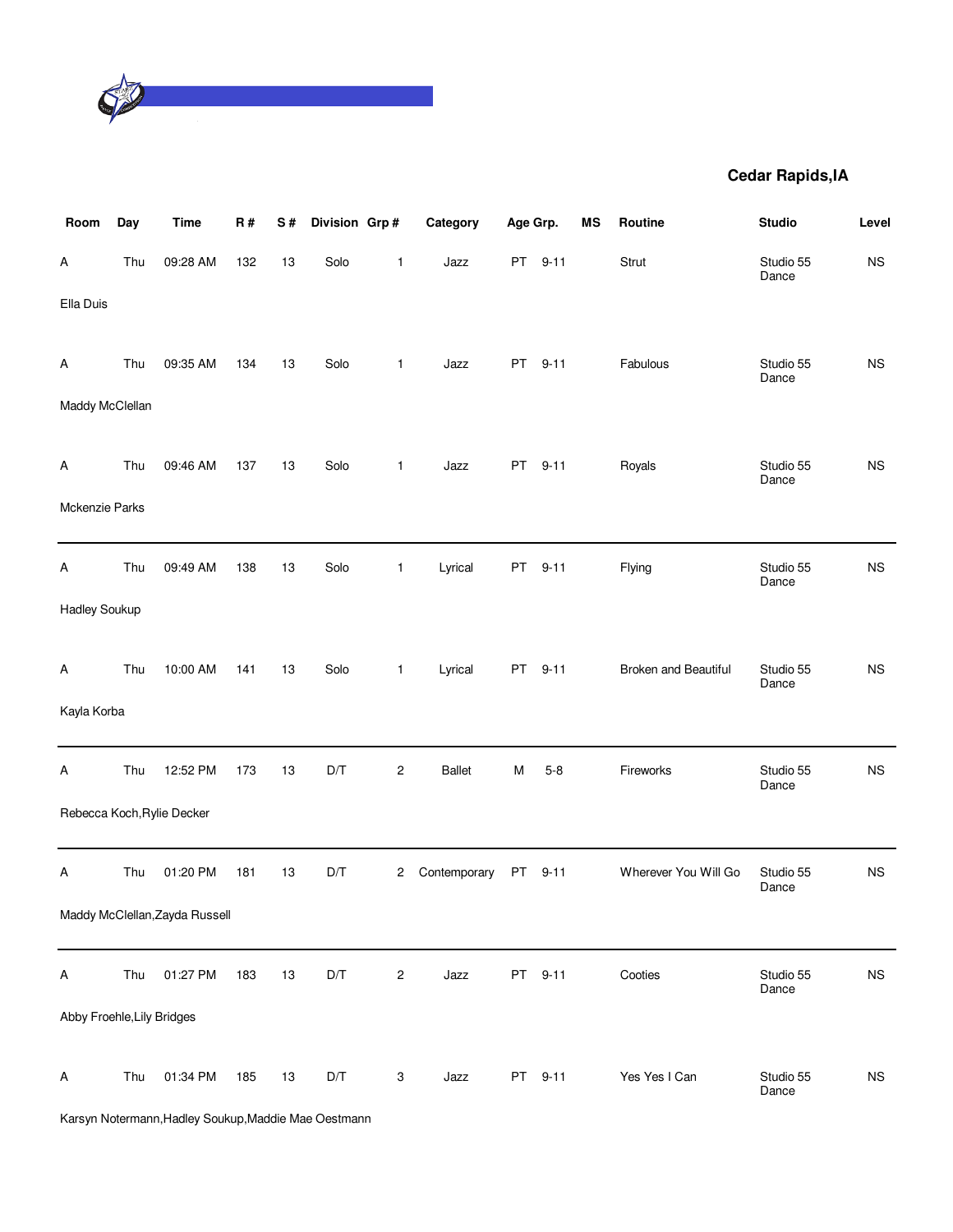

| Room                       | Day | <b>Time</b>                    | R#  | S# | Division Grp# |                         | Category      | Age Grp.  |          | MS | Routine              | <b>Studio</b>      | Level       |
|----------------------------|-----|--------------------------------|-----|----|---------------|-------------------------|---------------|-----------|----------|----|----------------------|--------------------|-------------|
| Α                          | Thu | 09:28 AM                       | 132 | 13 | Solo          | 1                       | Jazz          | PT        | $9 - 11$ |    | Strut                | Studio 55<br>Dance | <b>NS</b>   |
| Ella Duis                  |     |                                |     |    |               |                         |               |           |          |    |                      |                    |             |
| Α                          | Thu | 09:35 AM                       | 134 | 13 | Solo          | 1                       | Jazz          | <b>PT</b> | $9 - 11$ |    | Fabulous             | Studio 55<br>Dance | <b>NS</b>   |
| Maddy McClellan            |     |                                |     |    |               |                         |               |           |          |    |                      |                    |             |
| Α                          | Thu | 09:46 AM                       | 137 | 13 | Solo          | 1                       | Jazz          | PT        | $9 - 11$ |    | Royals               | Studio 55<br>Dance | <b>NS</b>   |
| Mckenzie Parks             |     |                                |     |    |               |                         |               |           |          |    |                      |                    |             |
| Α                          | Thu | 09:49 AM                       | 138 | 13 | Solo          | $\mathbf{1}$            | Lyrical       | PT        | $9 - 11$ |    | Flying               | Studio 55<br>Dance | $_{\rm NS}$ |
| <b>Hadley Soukup</b>       |     |                                |     |    |               |                         |               |           |          |    |                      |                    |             |
| Α                          | Thu | 10:00 AM                       | 141 | 13 | Solo          | 1                       | Lyrical       | <b>PT</b> | $9 - 11$ |    | Broken and Beautiful | Studio 55          | <b>NS</b>   |
| Kayla Korba                |     |                                |     |    |               |                         |               |           |          |    |                      | Dance              |             |
| Α                          | Thu | 12:52 PM                       | 173 | 13 | D/T           | $\overline{\mathbf{c}}$ | <b>Ballet</b> | M         | $5 - 8$  |    | Fireworks            | Studio 55          | $_{\rm NS}$ |
|                            |     | Rebecca Koch, Rylie Decker     |     |    |               |                         |               |           |          |    |                      | Dance              |             |
| A                          | Thu | 01:20 PM                       | 181 | 13 | D/T           | 2                       | Contemporary  | PT        | $9 - 11$ |    | Wherever You Will Go | Studio 55          | <b>NS</b>   |
|                            |     | Maddy McClellan, Zayda Russell |     |    |               |                         |               |           |          |    |                      | Dance              |             |
| A                          | Thu | 01:27 PM                       | 183 | 13 | D/T           | $\overline{c}$          | Jazz          | PT        | $9 - 11$ |    | Cooties              | Studio 55          | $_{\rm NS}$ |
| Abby Froehle, Lily Bridges |     |                                |     |    |               |                         |               |           |          |    |                      | Dance              |             |
|                            |     |                                |     |    |               |                         |               |           |          |    |                      |                    |             |
| Α                          | Thu | 01:34 PM                       | 185 | 13 | D/T           | 3                       | Jazz          | <b>PT</b> | $9 - 11$ |    | Yes Yes I Can        | Studio 55<br>Dance | $_{\rm NS}$ |

Karsyn Notermann,Hadley Soukup,Maddie Mae Oestmann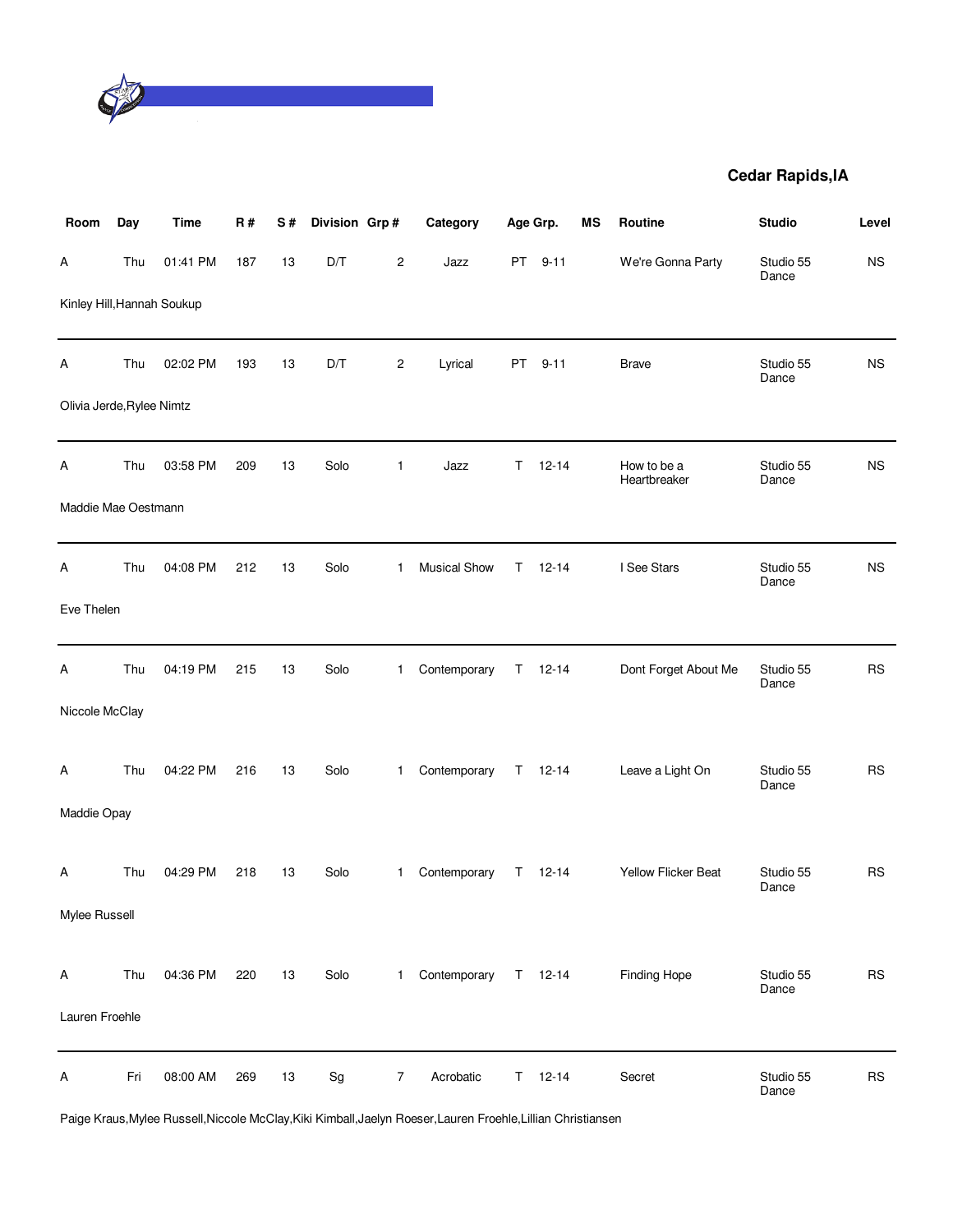

| Room                       | Day | Time     | <b>R#</b> | S# | Division Grp# |                | Category            |           | Age Grp.      | MS | Routine                     | <b>Studio</b>      | Level     |
|----------------------------|-----|----------|-----------|----|---------------|----------------|---------------------|-----------|---------------|----|-----------------------------|--------------------|-----------|
| A                          | Thu | 01:41 PM | 187       | 13 | D/T           | $\overline{c}$ | Jazz                | <b>PT</b> | $9 - 11$      |    | We're Gonna Party           | Studio 55<br>Dance | <b>NS</b> |
| Kinley Hill, Hannah Soukup |     |          |           |    |               |                |                     |           |               |    |                             |                    |           |
| Α                          | Thu | 02:02 PM | 193       | 13 | D/T           | $\overline{c}$ | Lyrical             | <b>PT</b> | $9 - 11$      |    | <b>Brave</b>                | Studio 55<br>Dance | <b>NS</b> |
| Olivia Jerde, Rylee Nimtz  |     |          |           |    |               |                |                     |           |               |    |                             |                    |           |
| Α                          | Thu | 03:58 PM | 209       | 13 | Solo          | 1              | Jazz                | T.        | $12 - 14$     |    | How to be a<br>Heartbreaker | Studio 55<br>Dance | <b>NS</b> |
| Maddie Mae Oestmann        |     |          |           |    |               |                |                     |           |               |    |                             |                    |           |
| A                          | Thu | 04:08 PM | 212       | 13 | Solo          | 1              | <b>Musical Show</b> | T.        | $12 - 14$     |    | I See Stars                 | Studio 55<br>Dance | <b>NS</b> |
| Eve Thelen                 |     |          |           |    |               |                |                     |           |               |    |                             |                    |           |
| Α                          | Thu | 04:19 PM | 215       | 13 | Solo          | 1.             | Contemporary        |           | $T = 12 - 14$ |    | Dont Forget About Me        | Studio 55<br>Dance | <b>RS</b> |
| Niccole McClay             |     |          |           |    |               |                |                     |           |               |    |                             |                    |           |
| Α                          | Thu | 04:22 PM | 216       | 13 | Solo          | 1              | Contemporary        |           | $T = 12 - 14$ |    | Leave a Light On            | Studio 55<br>Dance | <b>RS</b> |
| Maddie Opay                |     |          |           |    |               |                |                     |           |               |    |                             |                    |           |
| A                          | Thu | 04:29 PM | 218       | 13 | Solo          | 1.             | Contemporary        |           | $T = 12 - 14$ |    | Yellow Flicker Beat         | Studio 55<br>Dance | <b>RS</b> |
| Mylee Russell              |     |          |           |    |               |                |                     |           |               |    |                             |                    |           |
| Α                          | Thu | 04:36 PM | 220       | 13 | Solo          | 1.             | Contemporary        |           | $T = 12 - 14$ |    | <b>Finding Hope</b>         | Studio 55<br>Dance | <b>RS</b> |
| Lauren Froehle             |     |          |           |    |               |                |                     |           |               |    |                             |                    |           |
| Α                          | Fri | 08:00 AM | 269       | 13 | Sg            | $\overline{7}$ | Acrobatic           |           | $T = 12 - 14$ |    | Secret                      | Studio 55<br>Dance | <b>RS</b> |

Paige Kraus,Mylee Russell,Niccole McClay,Kiki Kimball,Jaelyn Roeser,Lauren Froehle,Lillian Christiansen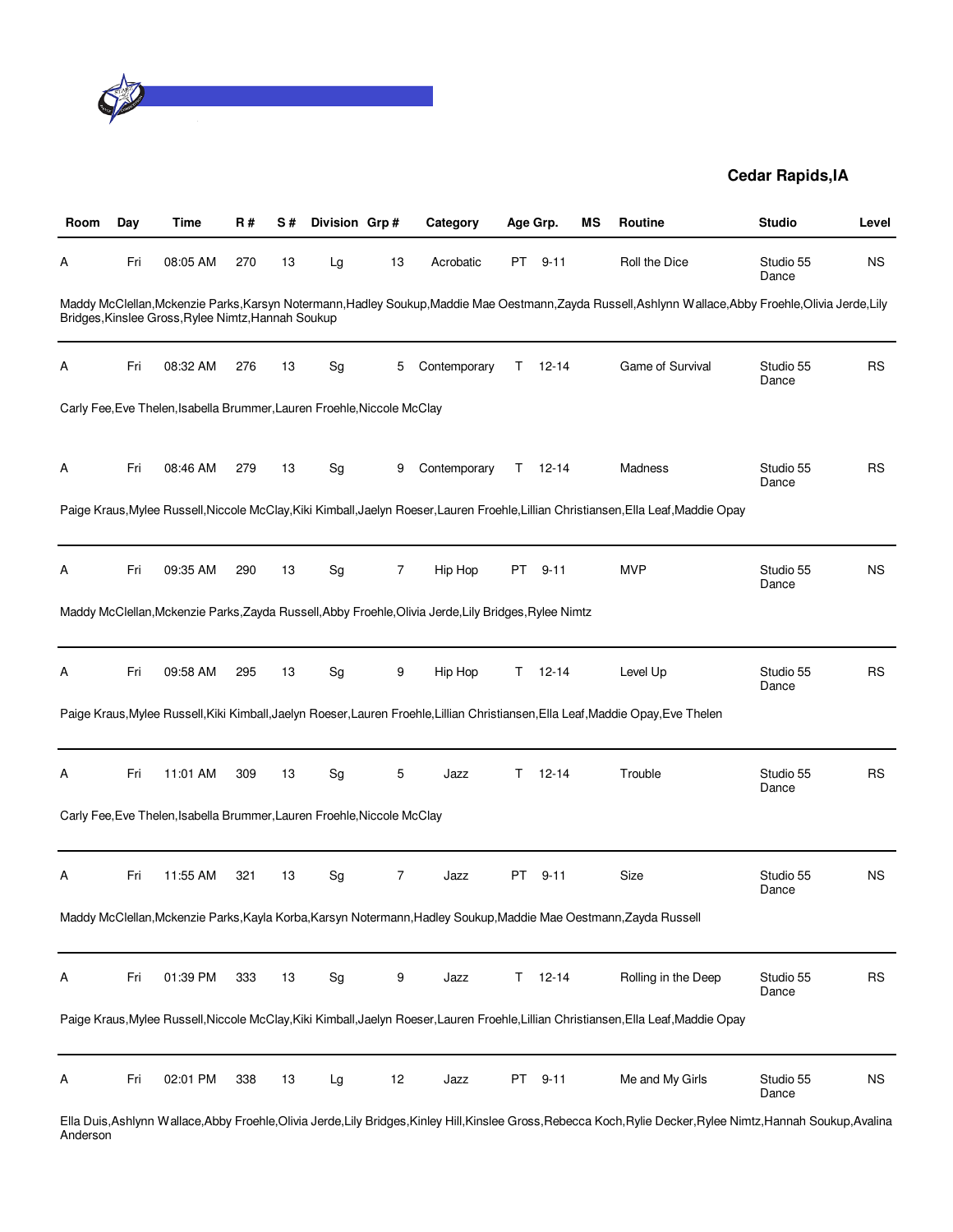

| Room | Day | Time                                                                    | R#  | S# | Division Grp#                |    | Category                                                                                              |     | Age Grp.  | ΜS | Routine                                                                                                                                                           | <b>Studio</b>      | Level     |
|------|-----|-------------------------------------------------------------------------|-----|----|------------------------------|----|-------------------------------------------------------------------------------------------------------|-----|-----------|----|-------------------------------------------------------------------------------------------------------------------------------------------------------------------|--------------------|-----------|
| A    | Fri | 08:05 AM                                                                | 270 | 13 | Lg                           | 13 | Acrobatic                                                                                             | PT  | $9 - 11$  |    | Roll the Dice                                                                                                                                                     | Studio 55<br>Dance | <b>NS</b> |
|      |     | Bridges, Kinslee Gross, Rylee Nimtz, Hannah Soukup                      |     |    |                              |    |                                                                                                       |     |           |    | Maddy McClellan, Mckenzie Parks, Karsyn Notermann, Hadley Soukup, Maddie Mae Oestmann, Zayda Russell, Ashlynn Wallace, Abby Froehle, Olivia Jerde, Lily           |                    |           |
| Α    | Fri | 08:32 AM                                                                | 276 | 13 | Sg                           | 5  | Contemporary                                                                                          | Τ   | 12-14     |    | Game of Survival                                                                                                                                                  | Studio 55<br>Dance | RS        |
|      |     | Carly Fee, Eve Thelen, Isabella Brummer, Lauren Froehle, Niccole McClay |     |    |                              |    |                                                                                                       |     |           |    |                                                                                                                                                                   |                    |           |
| A    | Fri | 08:46 AM                                                                | 279 | 13 | Sg                           | 9  | Contemporary                                                                                          | T.  | $12 - 14$ |    | Madness                                                                                                                                                           | Studio 55<br>Dance | RS        |
|      |     |                                                                         |     |    |                              |    |                                                                                                       |     |           |    | Paige Kraus, Mylee Russell, Niccole McClay, Kiki Kimball, Jaelyn Roeser, Lauren Froehle, Lillian Christiansen, Ella Leaf, Maddie Opay                             |                    |           |
| Α    | Fri | 09:35 AM                                                                | 290 | 13 | Sg                           | 7  | Hip Hop                                                                                               |     | PT 9-11   |    | <b>MVP</b>                                                                                                                                                        | Studio 55<br>Dance | <b>NS</b> |
|      |     |                                                                         |     |    |                              |    | Maddy McClellan, Mckenzie Parks, Zayda Russell, Abby Froehle, Olivia Jerde, Lily Bridges, Rylee Nimtz |     |           |    |                                                                                                                                                                   |                    |           |
| A    | Fri | 09:58 AM                                                                | 295 | 13 | $\operatorname{\mathsf{Sg}}$ | 9  | Hip Hop                                                                                               | Τ   | $12 - 14$ |    | Level Up                                                                                                                                                          | Studio 55<br>Dance | <b>RS</b> |
|      |     |                                                                         |     |    |                              |    |                                                                                                       |     |           |    | Paige Kraus, Mylee Russell, Kiki Kimball, Jaelyn Roeser, Lauren Froehle, Lillian Christiansen, Ella Leaf, Maddie Opay, Eve Thelen                                 |                    |           |
| Α    | Fri | 11:01 AM                                                                | 309 | 13 | Sg                           | 5  | Jazz                                                                                                  | Τ   | $12 - 14$ |    | Trouble                                                                                                                                                           | Studio 55<br>Dance | <b>RS</b> |
|      |     | Carly Fee, Eve Thelen, Isabella Brummer, Lauren Froehle, Niccole McClay |     |    |                              |    |                                                                                                       |     |           |    |                                                                                                                                                                   |                    |           |
| A    | Fri | 11:55 AM                                                                | 321 | 13 | Sg                           | 7  | Jazz                                                                                                  | PT. | $9 - 11$  |    | Size                                                                                                                                                              | Studio 55<br>Dance | <b>NS</b> |
|      |     |                                                                         |     |    |                              |    |                                                                                                       |     |           |    | Maddy McClellan, Mckenzie Parks, Kayla Korba, Karsyn Notermann, Hadley Soukup, Maddie Mae Oestmann, Zayda Russell                                                 |                    |           |
| Α    | Fri | 01:39 PM                                                                | 333 | 13 | Sg                           | 9  | Jazz                                                                                                  | Τ   | $12 - 14$ |    | Rolling in the Deep                                                                                                                                               | Studio 55<br>Dance | <b>RS</b> |
|      |     |                                                                         |     |    |                              |    |                                                                                                       |     |           |    | Paige Kraus, Mylee Russell, Niccole McClay, Kiki Kimball, Jaelyn Roeser, Lauren Froehle, Lillian Christiansen, Ella Leaf, Maddie Opay                             |                    |           |
| A    | Fri | 02:01 PM                                                                | 338 | 13 | Lg                           | 12 | Jazz                                                                                                  | PT  | $9 - 11$  |    | Me and My Girls                                                                                                                                                   | Studio 55<br>Dance | <b>NS</b> |
|      |     |                                                                         |     |    |                              |    |                                                                                                       |     |           |    | Ella Duis, Ashlynn Wallace, Abby Froehle, Olivia Jerde, Lily Bridges, Kinley Hill, Kinslee Gross, Rebecca Koch, Rylie Decker, Rylee Nimtz, Hannah Soukup, Avalina |                    |           |

Anderson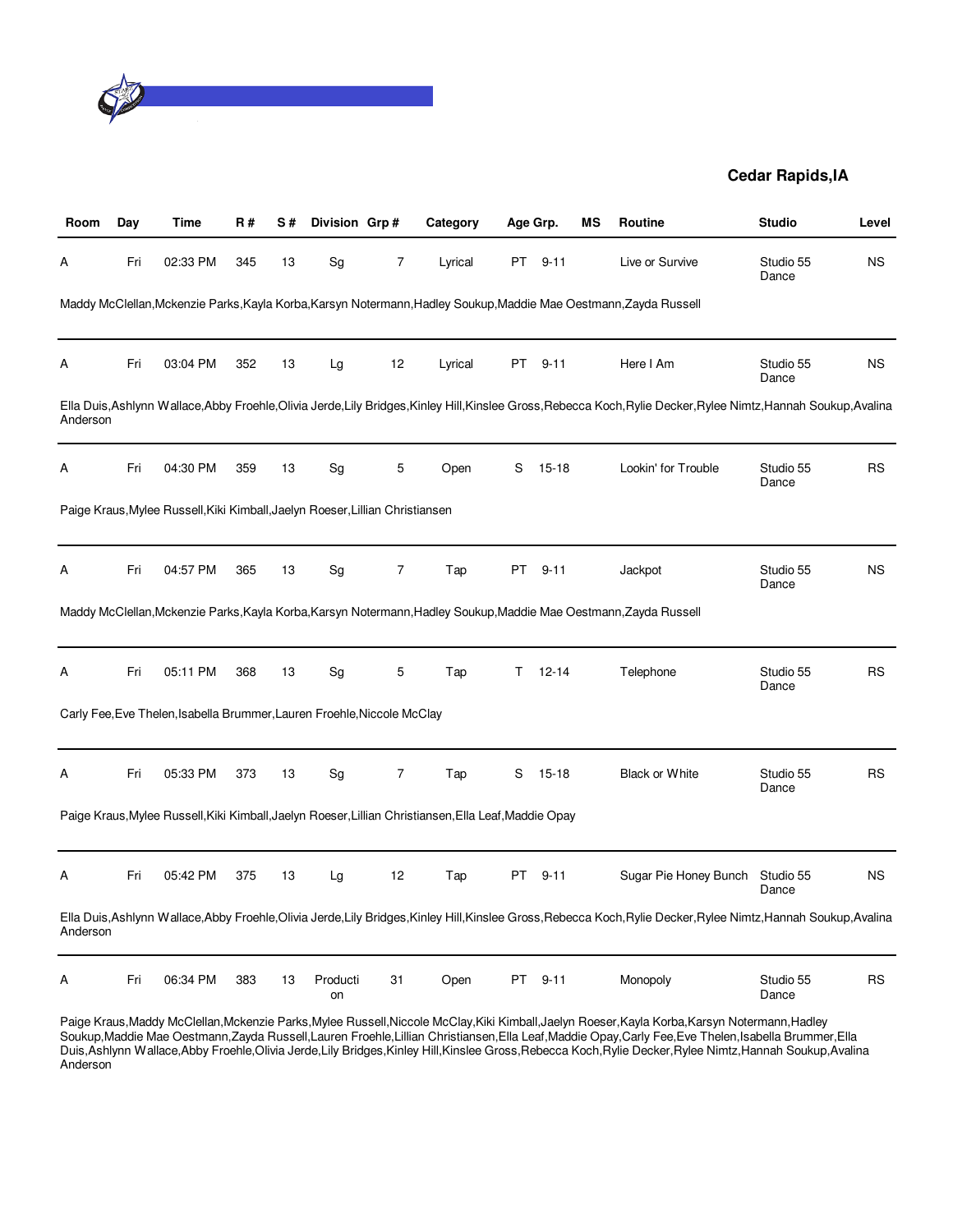

| Room     | Day | Time                                                                          | <b>R#</b> | S# | Division Grp#  |                | Category                                                                                              |      | Age Grp.  | ΜS | <b>Routine</b>                                                                                                                                         | <b>Studio</b>      | Level     |
|----------|-----|-------------------------------------------------------------------------------|-----------|----|----------------|----------------|-------------------------------------------------------------------------------------------------------|------|-----------|----|--------------------------------------------------------------------------------------------------------------------------------------------------------|--------------------|-----------|
| А        | Fri | 02:33 PM                                                                      | 345       | 13 | Sg             | 7              | Lyrical                                                                                               | PT   | $9 - 11$  |    | Live or Survive                                                                                                                                        | Studio 55<br>Dance | <b>NS</b> |
|          |     |                                                                               |           |    |                |                |                                                                                                       |      |           |    | Maddy McClellan, Mckenzie Parks, Kayla Korba, Karsyn Notermann, Hadley Soukup, Maddie Mae Oestmann, Zayda Russell                                      |                    |           |
| Α        | Fri | 03:04 PM                                                                      | 352       | 13 | Lg             | 12             | Lyrical                                                                                               |      | PT 9-11   |    | Here I Am                                                                                                                                              | Studio 55<br>Dance | <b>NS</b> |
| Anderson |     |                                                                               |           |    |                |                |                                                                                                       |      |           |    | Ella Duis,Ashlynn Wallace,Abby Froehle,Olivia Jerde,Lily Bridges,Kinley Hill,Kinslee Gross,Rebecca Koch,Rylie Decker,Rylee Nimtz,Hannah Soukup,Avalina |                    |           |
| Α        | Fri | 04:30 PM                                                                      | 359       | 13 | Sg             | 5              | Open                                                                                                  | S    | $15 - 18$ |    | Lookin' for Trouble                                                                                                                                    | Studio 55<br>Dance | RS        |
|          |     | Paige Kraus, Mylee Russell, Kiki Kimball, Jaelyn Roeser, Lillian Christiansen |           |    |                |                |                                                                                                       |      |           |    |                                                                                                                                                        |                    |           |
| Α        | Fri | 04:57 PM                                                                      | 365       | 13 | Sg             | $\overline{7}$ | Tap                                                                                                   | PT - | $9 - 11$  |    | Jackpot                                                                                                                                                | Studio 55<br>Dance | <b>NS</b> |
|          |     |                                                                               |           |    |                |                |                                                                                                       |      |           |    | Maddy McClellan, Mckenzie Parks, Kayla Korba, Karsyn Notermann, Hadley Soukup, Maddie Mae Oestmann, Zayda Russell                                      |                    |           |
| Α        | Fri | 05:11 PM                                                                      | 368       | 13 | Sg             | 5              | Tap                                                                                                   | T.   | $12 - 14$ |    | Telephone                                                                                                                                              | Studio 55<br>Dance | <b>RS</b> |
|          |     | Carly Fee, Eve Thelen, Isabella Brummer, Lauren Froehle, Niccole McClay       |           |    |                |                |                                                                                                       |      |           |    |                                                                                                                                                        |                    |           |
| Α        | Fri | 05:33 PM                                                                      | 373       | 13 | Sg             | $\overline{7}$ | Tap                                                                                                   | S    | $15 - 18$ |    | <b>Black or White</b>                                                                                                                                  | Studio 55<br>Dance | <b>RS</b> |
|          |     |                                                                               |           |    |                |                | Paige Kraus, Mylee Russell, Kiki Kimball, Jaelyn Roeser, Lillian Christiansen, Ella Leaf, Maddie Opay |      |           |    |                                                                                                                                                        |                    |           |
| Α        | Fri | 05:42 PM                                                                      | 375       | 13 | Lg             | 12             | Tap                                                                                                   | PT   | $9 - 11$  |    | Sugar Pie Honey Bunch                                                                                                                                  | Studio 55<br>Dance | <b>NS</b> |
| Anderson |     |                                                                               |           |    |                |                |                                                                                                       |      |           |    | Ella Duis,Ashlynn Wallace,Abby Froehle,Olivia Jerde,Lily Bridges,Kinley Hill,Kinslee Gross,Rebecca Koch,Rylie Decker,Rylee Nimtz,Hannah Soukup,Avalina |                    |           |
| Α        | Fri | 06:34 PM                                                                      | 383       | 13 | Producti<br>on | 31             | Open                                                                                                  | PT.  | $9 - 11$  |    | Monopoly                                                                                                                                               | Studio 55<br>Dance | RS        |

Paige Kraus,Maddy McClellan,Mckenzie Parks,Mylee Russell,Niccole McClay,Kiki Kimball,Jaelyn Roeser,Kayla Korba,Karsyn Notermann,Hadley Soukup,Maddie Mae Oestmann,Zayda Russell,Lauren Froehle,Lillian Christiansen,Ella Leaf,Maddie Opay,Carly Fee,Eve Thelen,Isabella Brummer,Ella Duis,Ashlynn Wallace,Abby Froehle,Olivia Jerde,Lily Bridges,Kinley Hill,Kinslee Gross,Rebecca Koch,Rylie Decker,Rylee Nimtz,Hannah Soukup,Avalina Anderson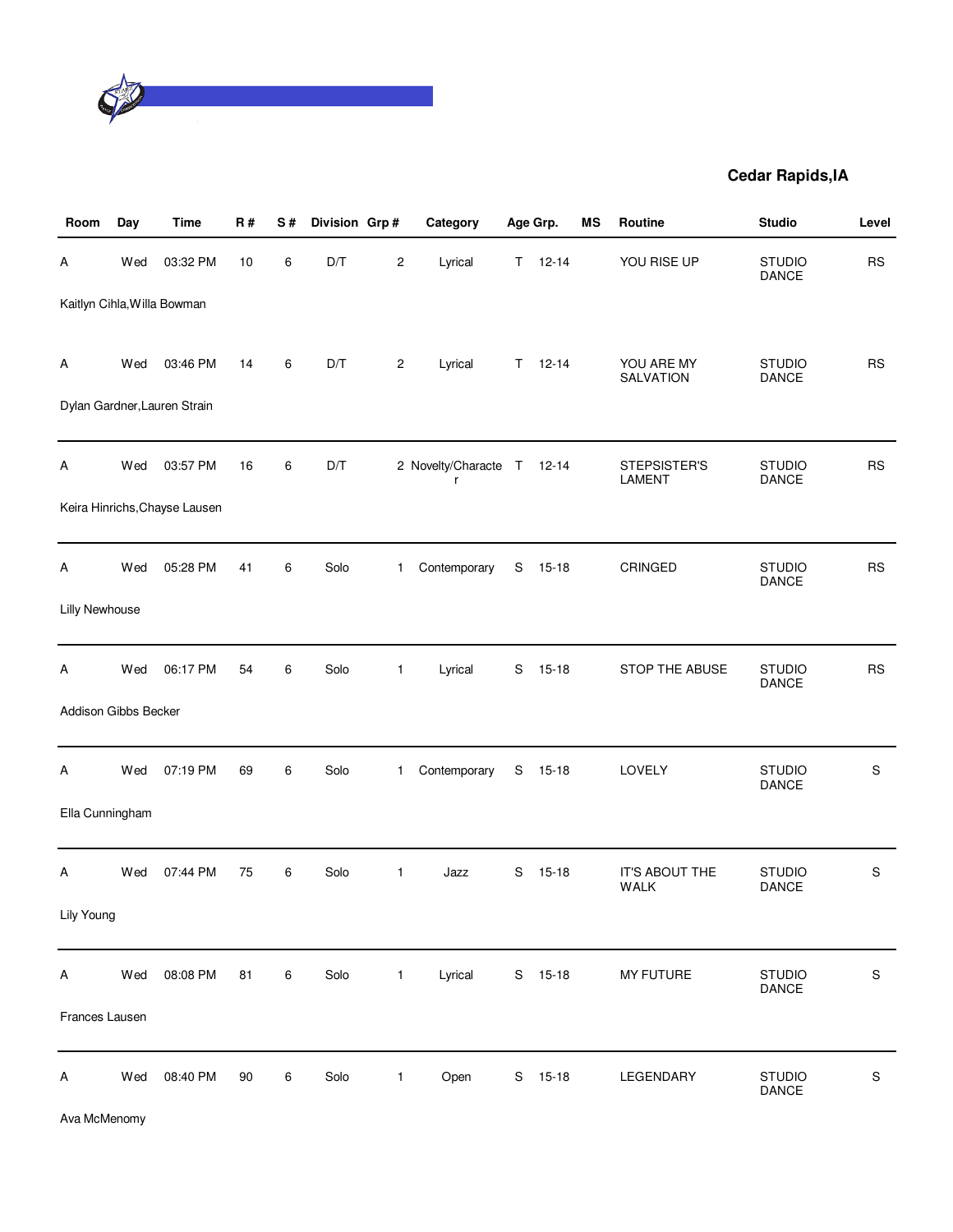

| Room                 | Day | <b>Time</b>                   | <b>R#</b> | S#      | Division Grp# |                | Category                        |             | Age Grp.  | MS | Routine                       | <b>Studio</b>                 | Level       |
|----------------------|-----|-------------------------------|-----------|---------|---------------|----------------|---------------------------------|-------------|-----------|----|-------------------------------|-------------------------------|-------------|
| Α                    | Wed | 03:32 PM                      | 10        | 6       | D/T           | $\overline{c}$ | Lyrical                         | T.          | $12 - 14$ |    | YOU RISE UP                   | <b>STUDIO</b><br>DANCE        | <b>RS</b>   |
|                      |     | Kaitlyn Cihla, Willa Bowman   |           |         |               |                |                                 |             |           |    |                               |                               |             |
| Α                    | Wed | 03:46 PM                      | 14        | 6       | D/T           | $\overline{c}$ | Lyrical                         | T.          | $12 - 14$ |    | YOU ARE MY<br>SALVATION       | <b>STUDIO</b><br>DANCE        | <b>RS</b>   |
|                      |     | Dylan Gardner, Lauren Strain  |           |         |               |                |                                 |             |           |    |                               |                               |             |
| Α                    | Wed | 03:57 PM                      | 16        | 6       | D/T           |                | 2 Novelty/Characte T 12-14<br>r |             |           |    | STEPSISTER'S<br><b>LAMENT</b> | <b>STUDIO</b><br>DANCE        | <b>RS</b>   |
|                      |     | Keira Hinrichs, Chayse Lausen |           |         |               |                |                                 |             |           |    |                               |                               |             |
| Α                    | Wed | 05:28 PM                      | 41        | 6       | Solo          | $\mathbf{1}$   | Contemporary                    | $\mathbf S$ | $15 - 18$ |    | CRINGED                       | <b>STUDIO</b><br>DANCE        | <b>RS</b>   |
| Lilly Newhouse       |     |                               |           |         |               |                |                                 |             |           |    |                               |                               |             |
| Α                    | Wed | 06:17 PM                      | 54        | 6       | Solo          | $\mathbf{1}$   | Lyrical                         | S           | $15 - 18$ |    | STOP THE ABUSE                | <b>STUDIO</b><br><b>DANCE</b> | <b>RS</b>   |
| Addison Gibbs Becker |     |                               |           |         |               |                |                                 |             |           |    |                               |                               |             |
| Α                    | Wed | 07:19 PM                      | 69        | 6       | Solo          | $\mathbf{1}$   | Contemporary                    | $\mathbf S$ | $15 - 18$ |    | LOVELY                        | <b>STUDIO</b><br>DANCE        | S           |
| Ella Cunningham      |     |                               |           |         |               |                |                                 |             |           |    |                               |                               |             |
| Α                    | Wed | 07:44 PM                      | 75        | 6       | Solo          | 1              | Jazz                            | S           | $15 - 18$ |    | IT'S ABOUT THE<br><b>WALK</b> | <b>STUDIO</b><br>DANCE        | S           |
| Lily Young           |     |                               |           |         |               |                |                                 |             |           |    |                               |                               |             |
| A                    | Wed | 08:08 PM                      | 81        | 6       | Solo          | $\mathbf{1}$   | Lyrical                         |             | S 15-18   |    | MY FUTURE                     | <b>STUDIO</b><br>DANCE        | $\mathbf S$ |
| Frances Lausen       |     |                               |           |         |               |                |                                 |             |           |    |                               |                               |             |
| Α                    | Wed | 08:40 PM                      | 90        | $\,6\,$ | Solo          | $\mathbf{1}$   | Open                            |             | S 15-18   |    | LEGENDARY                     | <b>STUDIO</b><br>DANCE        | S           |

Ava McMenomy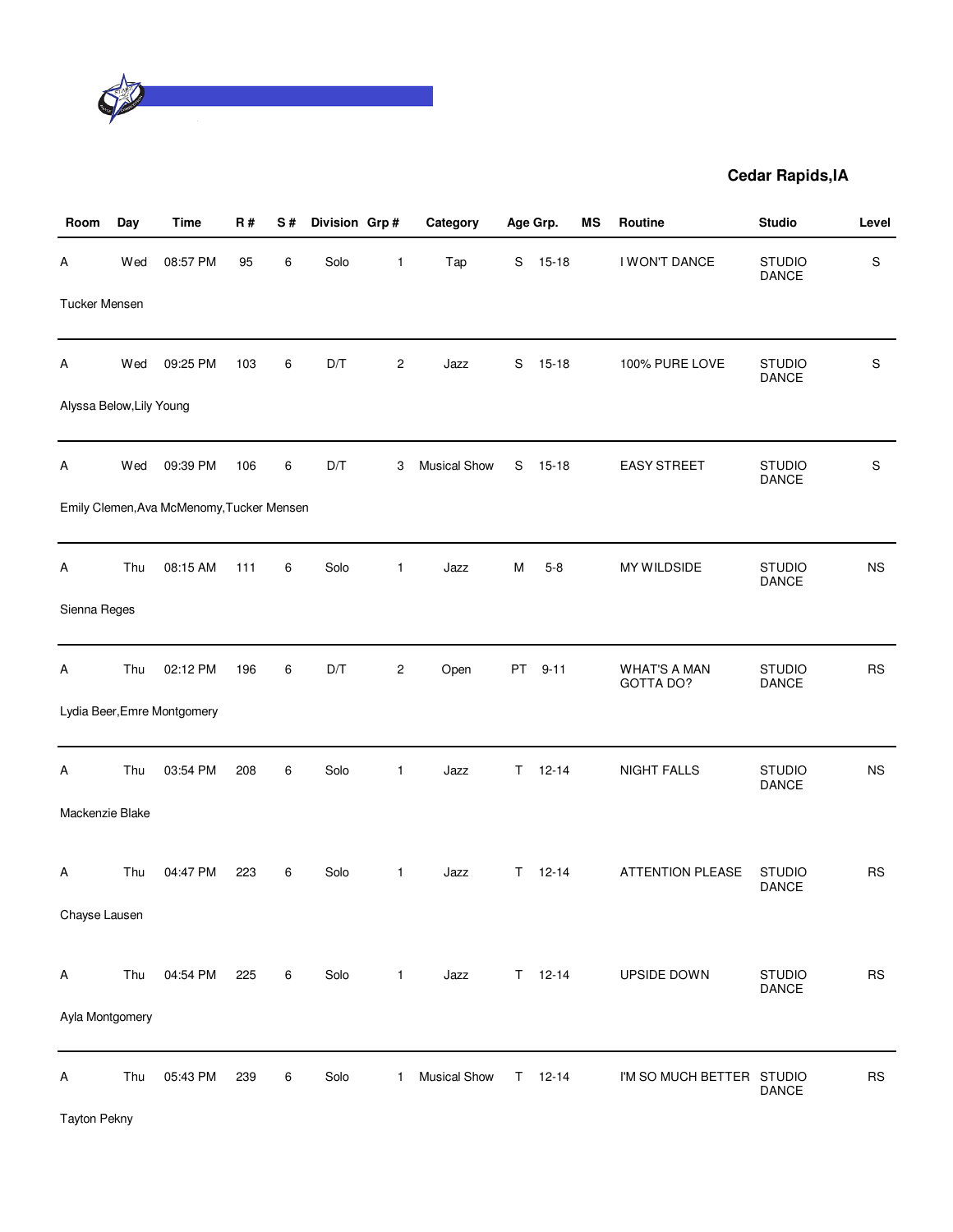

| Room                     | Day | Time                                      | R#  | S# | Division Grp# |                | Category            |           | Age Grp.    | MS | Routine                          | <b>Studio</b>                 | Level     |
|--------------------------|-----|-------------------------------------------|-----|----|---------------|----------------|---------------------|-----------|-------------|----|----------------------------------|-------------------------------|-----------|
| Α                        | Wed | 08:57 PM                                  | 95  | 6  | Solo          | 1              | Tap                 | S         | $15 - 18$   |    | I WON'T DANCE                    | <b>STUDIO</b><br>DANCE        | S         |
| <b>Tucker Mensen</b>     |     |                                           |     |    |               |                |                     |           |             |    |                                  |                               |           |
| Α                        | Wed | 09:25 PM                                  | 103 | 6  | D/T           | $\overline{c}$ | Jazz                | S         | $15 - 18$   |    | 100% PURE LOVE                   | <b>STUDIO</b><br>DANCE        | S         |
| Alyssa Below, Lily Young |     |                                           |     |    |               |                |                     |           |             |    |                                  |                               |           |
| Α                        | Wed | 09:39 PM                                  | 106 | 6  | D/T           | 3              | <b>Musical Show</b> | S         | 15-18       |    | <b>EASY STREET</b>               | <b>STUDIO</b><br>DANCE        | S         |
|                          |     | Emily Clemen, Ava McMenomy, Tucker Mensen |     |    |               |                |                     |           |             |    |                                  |                               |           |
| A                        | Thu | 08:15 AM                                  | 111 | 6  | Solo          | 1              | Jazz                | M         | $5 - 8$     |    | MY WILDSIDE                      | <b>STUDIO</b><br>DANCE        | <b>NS</b> |
| Sienna Reges             |     |                                           |     |    |               |                |                     |           |             |    |                                  |                               |           |
| Α                        | Thu | 02:12 PM                                  | 196 | 6  | D/T           | 2              | Open                | <b>PT</b> | $9 - 11$    |    | <b>WHAT'S A MAN</b><br>GOTTA DO? | <b>STUDIO</b><br>DANCE        | <b>RS</b> |
|                          |     | Lydia Beer, Emre Montgomery               |     |    |               |                |                     |           |             |    |                                  |                               |           |
| Α                        | Thu | 03:54 PM                                  | 208 | 6  | Solo          | 1              | Jazz                | T.        | $12 - 14$   |    | <b>NIGHT FALLS</b>               | <b>STUDIO</b><br><b>DANCE</b> | <b>NS</b> |
| Mackenzie Blake          |     |                                           |     |    |               |                |                     |           |             |    |                                  |                               |           |
| Α                        | Thu | 04:47 PM                                  | 223 | 6  | Solo          | 1              | Jazz                | T.        | $12 - 14$   |    | <b>ATTENTION PLEASE</b>          | <b>STUDIO</b><br>DANCE        | <b>RS</b> |
| Chayse Lausen            |     |                                           |     |    |               |                |                     |           |             |    |                                  |                               |           |
| Α                        | Thu | 04:54 PM                                  | 225 | 6  | Solo          | $\mathbf{1}$   | Jazz                |           | $T = 12-14$ |    | UPSIDE DOWN                      | <b>STUDIO</b>                 | <b>RS</b> |
| Ayla Montgomery          |     |                                           |     |    |               |                |                     |           |             |    |                                  | DANCE                         |           |
| Α                        | Thu | 05:43 PM                                  | 239 | 6  | Solo          | $\mathbf 1$    | Musical Show        | T.        | $12 - 14$   |    | I'M SO MUCH BETTER STUDIO        |                               | <b>RS</b> |
|                          |     |                                           |     |    |               |                |                     |           |             |    |                                  | DANCE                         |           |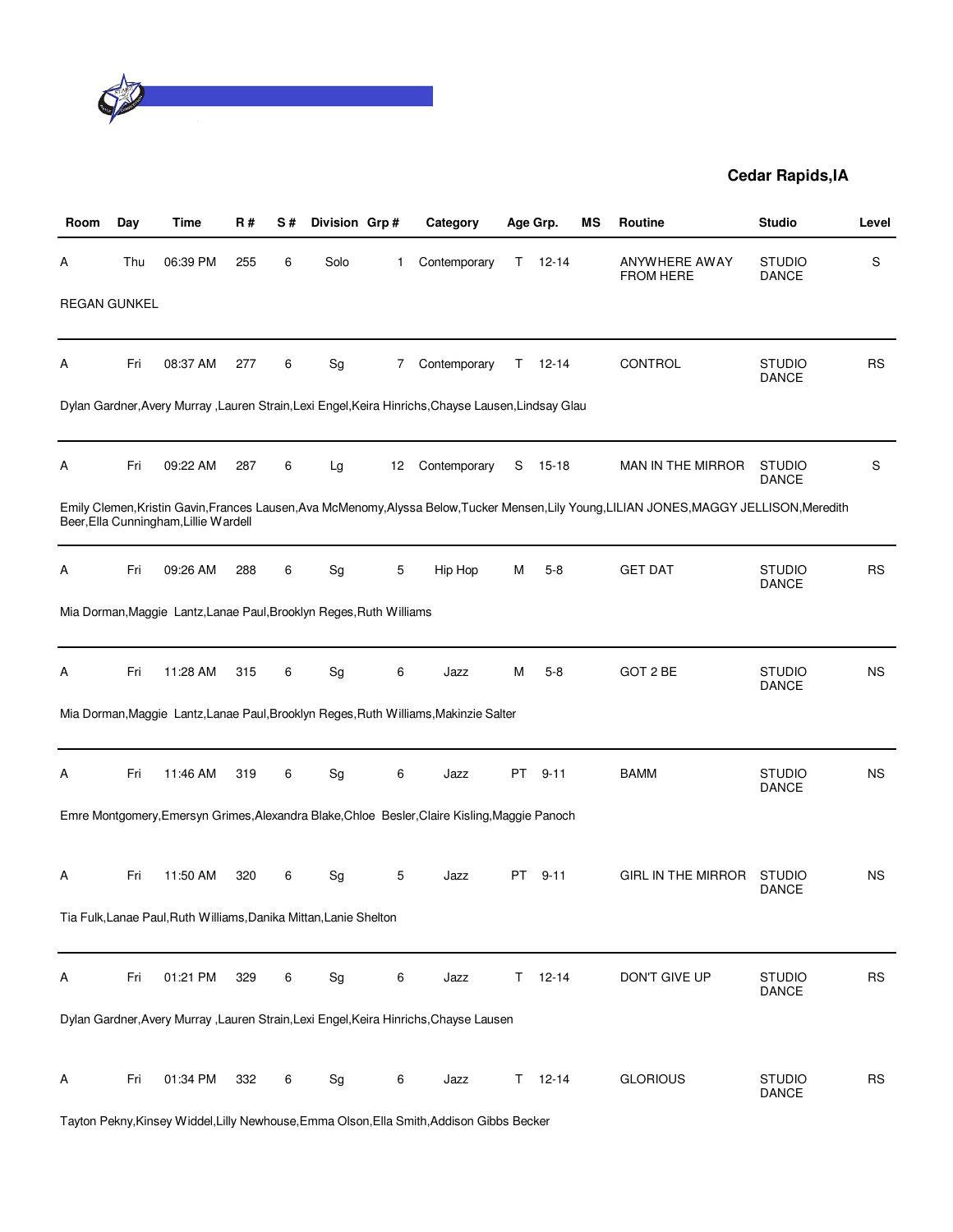

| Room                | Day | Time                                                                | R#  | S# | Division Grp#                |    | Category                                                                                            |     | Age Grp.      | ΜS | <b>Routine</b>                                                                                                                             | <b>Studio</b>                 | Level     |
|---------------------|-----|---------------------------------------------------------------------|-----|----|------------------------------|----|-----------------------------------------------------------------------------------------------------|-----|---------------|----|--------------------------------------------------------------------------------------------------------------------------------------------|-------------------------------|-----------|
| A                   | Thu | 06:39 PM                                                            | 255 | 6  | Solo                         | 1  | Contemporary                                                                                        | T.  | $12 - 14$     |    | ANYWHERE AWAY<br><b>FROM HERE</b>                                                                                                          | <b>STUDIO</b><br><b>DANCE</b> | S         |
| <b>REGAN GUNKEL</b> |     |                                                                     |     |    |                              |    |                                                                                                     |     |               |    |                                                                                                                                            |                               |           |
| Α                   | Fri | 08:37 AM                                                            | 277 | 6  | Sg                           | 7  | Contemporary                                                                                        | Τ   | $12 - 14$     |    | CONTROL                                                                                                                                    | <b>STUDIO</b><br><b>DANCE</b> | <b>RS</b> |
|                     |     |                                                                     |     |    |                              |    | Dylan Gardner, Avery Murray, Lauren Strain, Lexi Engel, Keira Hinrichs, Chayse Lausen, Lindsay Glau |     |               |    |                                                                                                                                            |                               |           |
| Α                   | Fri | 09:22 AM                                                            | 287 | 6  | Lg                           | 12 | Contemporary                                                                                        | S   | 15-18         |    | MAN IN THE MIRROR                                                                                                                          | <b>STUDIO</b><br><b>DANCE</b> | S         |
|                     |     | Beer, Ella Cunningham, Lillie Wardell                               |     |    |                              |    |                                                                                                     |     |               |    | Emily Clemen, Kristin Gavin, Frances Lausen, Ava McMenomy, Alyssa Below, Tucker Mensen, Lily Young, LILIAN JONES, MAGGY JELLISON, Meredith |                               |           |
| Α                   | Fri | 09:26 AM                                                            | 288 | 6  | Sg                           | 5  | Hip Hop                                                                                             | М   | $5 - 8$       |    | <b>GET DAT</b>                                                                                                                             | <b>STUDIO</b><br><b>DANCE</b> | <b>RS</b> |
|                     |     | Mia Dorman, Maggie Lantz, Lanae Paul, Brooklyn Reges, Ruth Williams |     |    |                              |    |                                                                                                     |     |               |    |                                                                                                                                            |                               |           |
| Α                   | Fri | 11:28 AM                                                            | 315 | 6  | $\operatorname{\mathsf{Sg}}$ | 6  | Jazz                                                                                                | M   | $5-8$         |    | GOT 2 BE                                                                                                                                   | <b>STUDIO</b><br>DANCE        | NS.       |
|                     |     |                                                                     |     |    |                              |    | Mia Dorman, Maggie Lantz, Lanae Paul, Brooklyn Reges, Ruth Williams, Makinzie Salter                |     |               |    |                                                                                                                                            |                               |           |
| Α                   | Fri | 11:46 AM                                                            | 319 | 6  | Sg                           | 6  | Jazz                                                                                                | PT. | $9 - 11$      |    | <b>BAMM</b>                                                                                                                                | <b>STUDIO</b><br><b>DANCE</b> | <b>NS</b> |
|                     |     |                                                                     |     |    |                              |    | Emre Montgomery, Emersyn Grimes, Alexandra Blake, Chloe Besler, Claire Kisling, Maggie Panoch       |     |               |    |                                                                                                                                            |                               |           |
| A                   | Fri | 11:50 AM                                                            | 320 | 6  | Sg                           | 5  | Jazz                                                                                                | PT  | $9 - 11$      |    | GIRL IN THE MIRROR                                                                                                                         | <b>STUDIO</b><br><b>DANCE</b> | <b>NS</b> |
|                     |     | Tia Fulk, Lanae Paul, Ruth Williams, Danika Mittan, Lanie Shelton   |     |    |                              |    |                                                                                                     |     |               |    |                                                                                                                                            |                               |           |
| Α                   | Fri | 01:21 PM                                                            | 329 | 6  | Sg                           | 6  | Jazz                                                                                                | Τ   | $12 - 14$     |    | DON'T GIVE UP                                                                                                                              | <b>STUDIO</b><br>DANCE        | <b>RS</b> |
|                     |     |                                                                     |     |    |                              |    | Dylan Gardner, Avery Murray, Lauren Strain, Lexi Engel, Keira Hinrichs, Chayse Lausen               |     |               |    |                                                                                                                                            |                               |           |
| Α                   | Fri | 01:34 PM                                                            | 332 | 6  | Sg                           | 6  | Jazz                                                                                                |     | $T = 12 - 14$ |    | <b>GLORIOUS</b>                                                                                                                            | <b>STUDIO</b><br>DANCE        | <b>RS</b> |

Tayton Pekny,Kinsey Widdel,Lilly Newhouse,Emma Olson,Ella Smith,Addison Gibbs Becker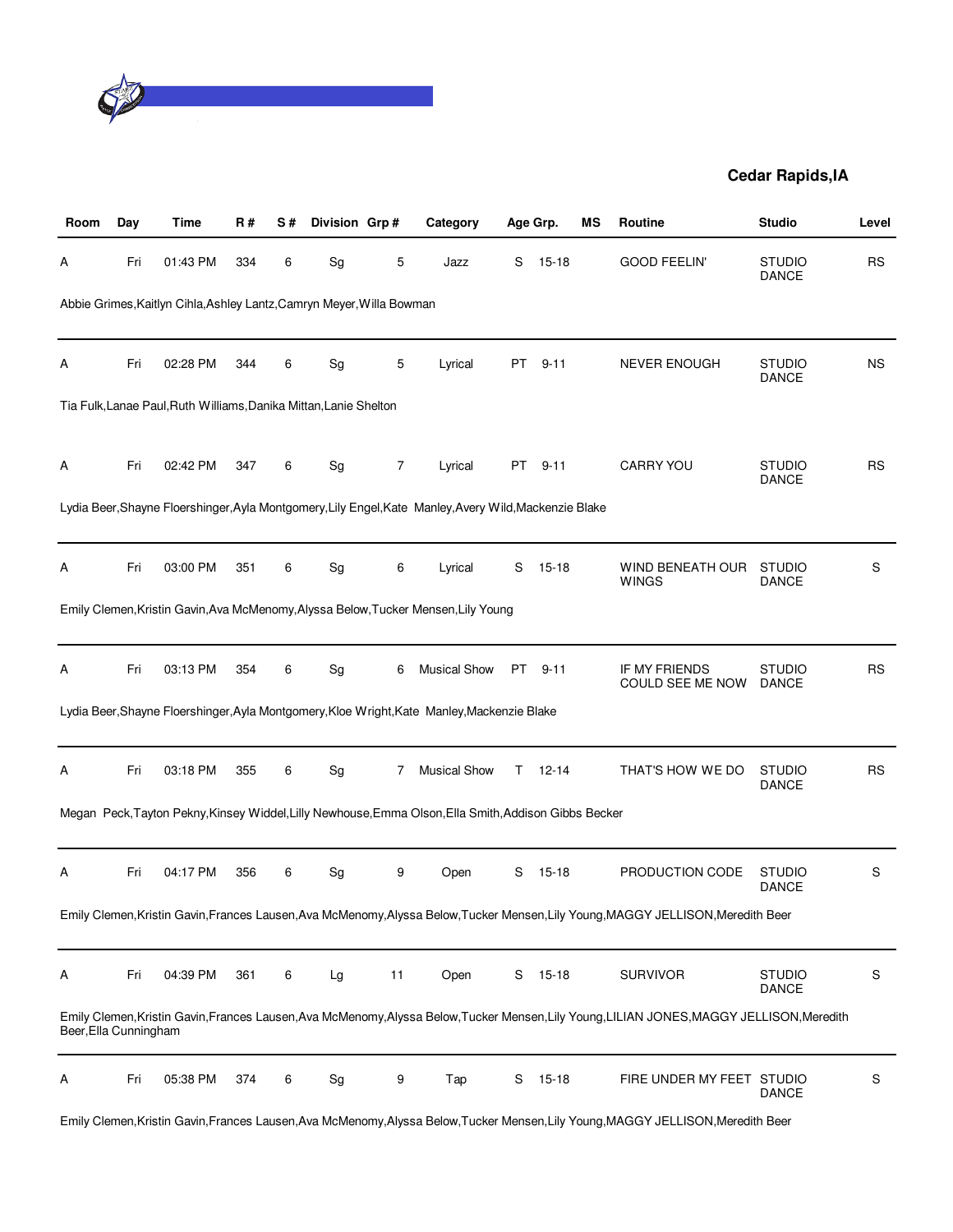

| Room                  | Day | Time                                                                  | <b>R#</b> | S# | Division Grp# |    | Category                                                                                               |    | Age Grp.  | ΜS | <b>Routine</b>                                                                                                                             | <b>Studio</b>                 | Level     |
|-----------------------|-----|-----------------------------------------------------------------------|-----------|----|---------------|----|--------------------------------------------------------------------------------------------------------|----|-----------|----|--------------------------------------------------------------------------------------------------------------------------------------------|-------------------------------|-----------|
| A                     | Fri | 01:43 PM                                                              | 334       | 6  | Sg            | 5  | Jazz                                                                                                   | S  | $15 - 18$ |    | <b>GOOD FEELIN'</b>                                                                                                                        | <b>STUDIO</b><br><b>DANCE</b> | <b>RS</b> |
|                       |     | Abbie Grimes, Kaitlyn Cihla, Ashley Lantz, Camryn Meyer, Willa Bowman |           |    |               |    |                                                                                                        |    |           |    |                                                                                                                                            |                               |           |
| Α                     | Fri | 02:28 PM                                                              | 344       | 6  | Sg            | 5  | Lyrical                                                                                                | PT | $9 - 11$  |    | <b>NEVER ENOUGH</b>                                                                                                                        | <b>STUDIO</b><br>DANCE        | <b>NS</b> |
|                       |     | Tia Fulk, Lanae Paul, Ruth Williams, Danika Mittan, Lanie Shelton     |           |    |               |    |                                                                                                        |    |           |    |                                                                                                                                            |                               |           |
| A                     | Fri | 02:42 PM                                                              | 347       | 6  | Sg            | 7  | Lyrical                                                                                                | PT | $9 - 11$  |    | CARRY YOU                                                                                                                                  | <b>STUDIO</b><br><b>DANCE</b> | <b>RS</b> |
|                       |     |                                                                       |           |    |               |    | Lydia Beer, Shayne Floershinger, Ayla Montgomery, Lily Engel, Kate Manley, Avery Wild, Mackenzie Blake |    |           |    |                                                                                                                                            |                               |           |
| A                     | Fri | 03:00 PM                                                              | 351       | 6  | Sg            | 6  | Lyrical                                                                                                | S  | $15 - 18$ |    | WIND BENEATH OUR<br><b>WINGS</b>                                                                                                           | <b>STUDIO</b><br><b>DANCE</b> | S         |
|                       |     |                                                                       |           |    |               |    | Emily Clemen, Kristin Gavin, Ava McMenomy, Alyssa Below, Tucker Mensen, Lily Young                     |    |           |    |                                                                                                                                            |                               |           |
| A                     | Fri | 03:13 PM                                                              | 354       | 6  | Sg            | 6  | <b>Musical Show</b>                                                                                    |    | PT 9-11   |    | IF MY FRIENDS<br>COULD SEE ME NOW                                                                                                          | <b>STUDIO</b><br><b>DANCE</b> | <b>RS</b> |
|                       |     |                                                                       |           |    |               |    | Lydia Beer, Shayne Floershinger, Ayla Montgomery, Kloe Wright, Kate Manley, Mackenzie Blake            |    |           |    |                                                                                                                                            |                               |           |
| Α                     | Fri | 03:18 PM                                                              | 355       | 6  | Sg            | 7  | <b>Musical Show</b>                                                                                    | T. | 12-14     |    | THAT'S HOW WE DO                                                                                                                           | <b>STUDIO</b><br><b>DANCE</b> | <b>RS</b> |
|                       |     |                                                                       |           |    |               |    | Megan Peck, Tayton Pekny, Kinsey Widdel, Lilly Newhouse, Emma Olson, Ella Smith, Addison Gibbs Becker  |    |           |    |                                                                                                                                            |                               |           |
| A                     | Fri | 04:17 PM                                                              | 356       | 6  | Sg            | 9  | Open                                                                                                   | S  | $15 - 18$ |    | PRODUCTION CODE                                                                                                                            | <b>STUDIO</b><br><b>DANCE</b> | S         |
|                       |     |                                                                       |           |    |               |    |                                                                                                        |    |           |    | Emily Clemen, Kristin Gavin, Frances Lausen, Ava McMenomy, Alyssa Below, Tucker Mensen, Lily Young, MAGGY JELLISON, Meredith Beer          |                               |           |
| Α                     | Fri | 04:39 PM                                                              | 361       | 6  | Lg            | 11 | Open                                                                                                   | S  | $15-18$   |    | <b>SURVIVOR</b>                                                                                                                            | <b>STUDIO</b><br><b>DANCE</b> | S         |
| Beer, Ella Cunningham |     |                                                                       |           |    |               |    |                                                                                                        |    |           |    | Emily Clemen, Kristin Gavin, Frances Lausen, Ava McMenomy, Alyssa Below, Tucker Mensen, Lily Young, LILIAN JONES, MAGGY JELLISON, Meredith |                               |           |
| Α                     | Fri | 05:38 PM                                                              | 374       | 6  | Sg            | 9  | Tap                                                                                                    | S  | $15 - 18$ |    | FIRE UNDER MY FEET STUDIO                                                                                                                  | <b>DANCE</b>                  | S         |
|                       |     |                                                                       |           |    |               |    |                                                                                                        |    |           |    | Emily Clemen, Kristin Gavin, Frances Lausen, Ava McMenomy, Alyssa Below, Tucker Mensen, Lily Young, MAGGY JELLISON, Meredith Beer          |                               |           |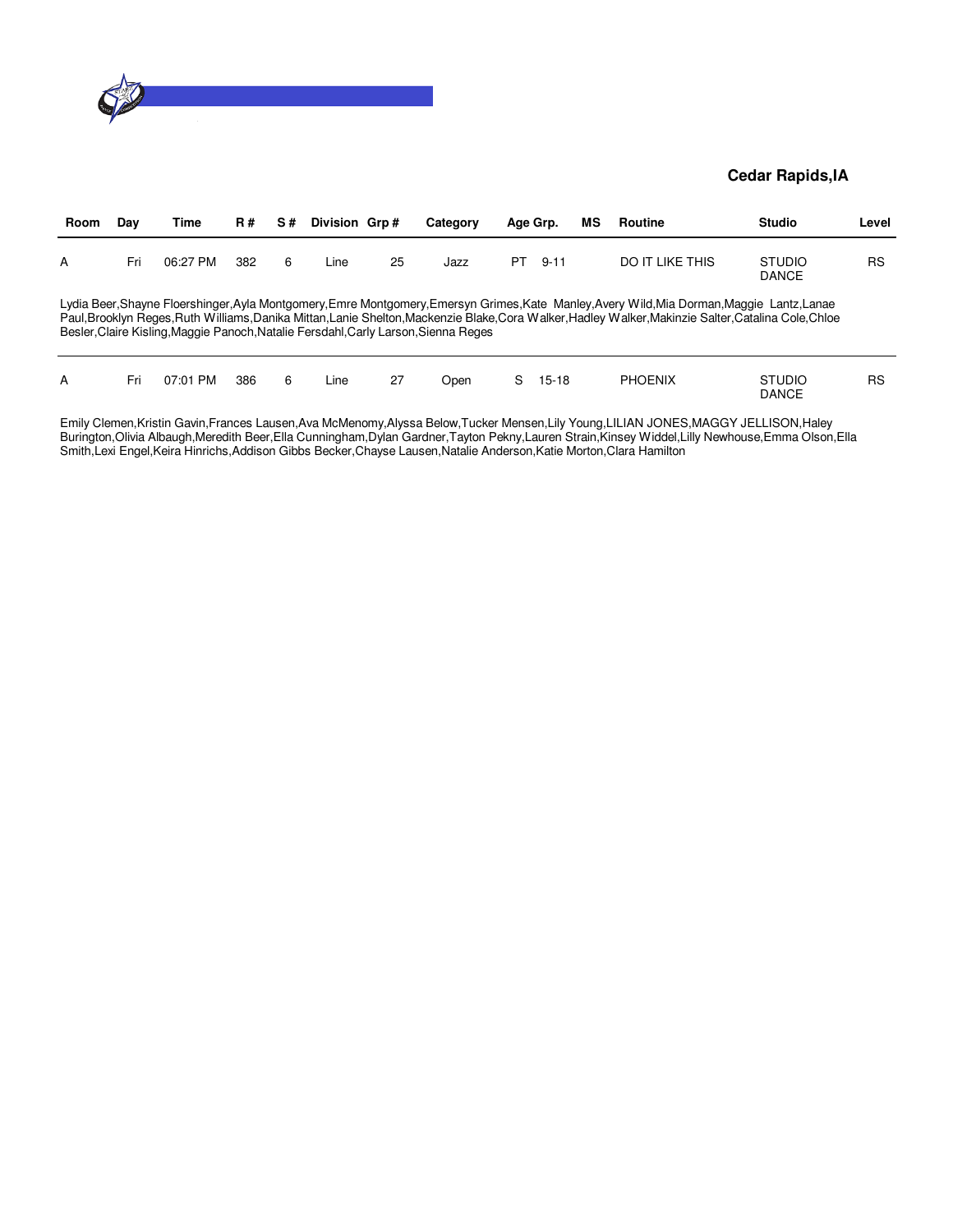

| Room | Day | Time     | <b>R#</b> | S# | Division Grp# |    | Category                                                                            |    | Age Grp.  | МS | Routine                                                                                                                                                                                                                                                                                              | <b>Studio</b>                 | Level |
|------|-----|----------|-----------|----|---------------|----|-------------------------------------------------------------------------------------|----|-----------|----|------------------------------------------------------------------------------------------------------------------------------------------------------------------------------------------------------------------------------------------------------------------------------------------------------|-------------------------------|-------|
| А    | Fri | 06:27 PM | 382       | 6  | Line          | 25 | Jazz                                                                                | PT | $9 - 11$  |    | <b>DO IT LIKE THIS</b>                                                                                                                                                                                                                                                                               | <b>STUDIO</b><br><b>DANCE</b> | RS    |
|      |     |          |           |    |               |    | Besler, Claire Kisling, Maggie Panoch, Natalie Fersdahl, Carly Larson, Sienna Reges |    |           |    | Lydia Beer, Shayne Floershinger, Ayla Montgomery, Emre Montgomery, Emersyn Grimes, Kate Manley, Avery Wild, Mia Dorman, Maggie Lantz, Lanae<br>Paul, Brooklyn Reges, Ruth Williams, Danika Mittan, Lanie Shelton, Mackenzie Blake, Cora Walker, Hadley Walker, Makinzie Salter, Catalina Cole, Chloe |                               |       |
| А    | Fri | 07:01 PM | 386       | 6  | Line          | 27 | Open                                                                                | S. | $15 - 18$ |    | <b>PHOENIX</b>                                                                                                                                                                                                                                                                                       | <b>STUDIO</b><br><b>DANCE</b> | RS    |

Emily Clemen,Kristin Gavin,Frances Lausen,Ava McMenomy,Alyssa Below,Tucker Mensen,Lily Young,LILIAN JONES,MAGGY JELLISON,Haley Burington,Olivia Albaugh,Meredith Beer,Ella Cunningham,Dylan Gardner,Tayton Pekny,Lauren Strain,Kinsey Widdel,Lilly Newhouse,Emma Olson,Ella Smith,Lexi Engel,Keira Hinrichs,Addison Gibbs Becker,Chayse Lausen,Natalie Anderson,Katie Morton,Clara Hamilton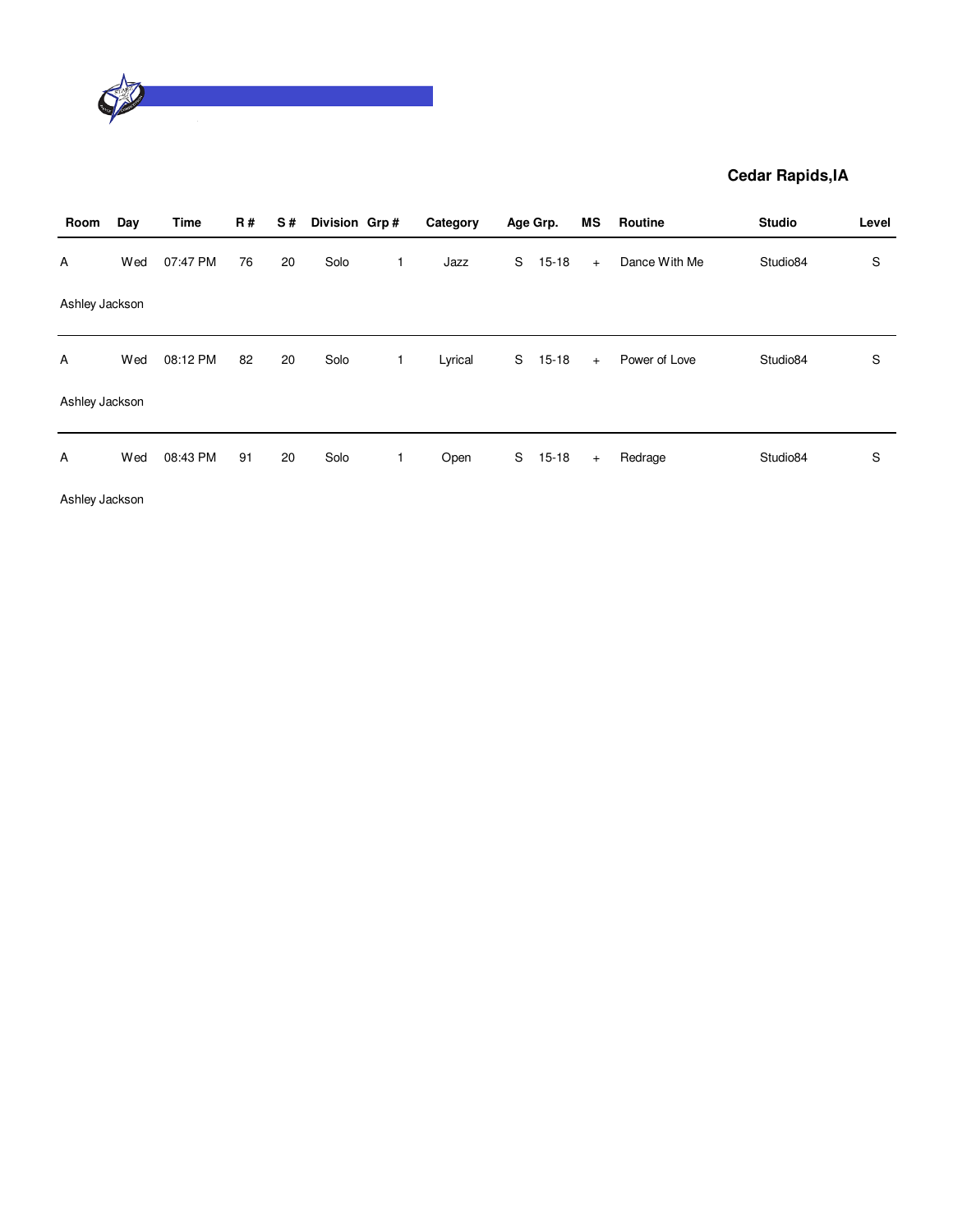

| Room           | Day | <b>Time</b> | <b>R#</b> | S# | Division Grp# | Category |   | Age Grp.  | ΜS  | Routine       | <b>Studio</b> | Level |
|----------------|-----|-------------|-----------|----|---------------|----------|---|-----------|-----|---------------|---------------|-------|
| A              | Wed | 07:47 PM    | 76        | 20 | Solo          | Jazz     | S | $15 - 18$ | $+$ | Dance With Me | Studio84      | S     |
| Ashley Jackson |     |             |           |    |               |          |   |           |     |               |               |       |
| Α              | Wed | 08:12 PM    | 82        | 20 | Solo          | Lyrical  | S | $15 - 18$ | $+$ | Power of Love | Studio84      | S     |
| Ashley Jackson |     |             |           |    |               |          |   |           |     |               |               |       |
| A              | Wed | 08:43 PM    | 91        | 20 | Solo          | Open     | S | $15 - 18$ | $+$ | Redrage       | Studio84      | S     |

Ashley Jackson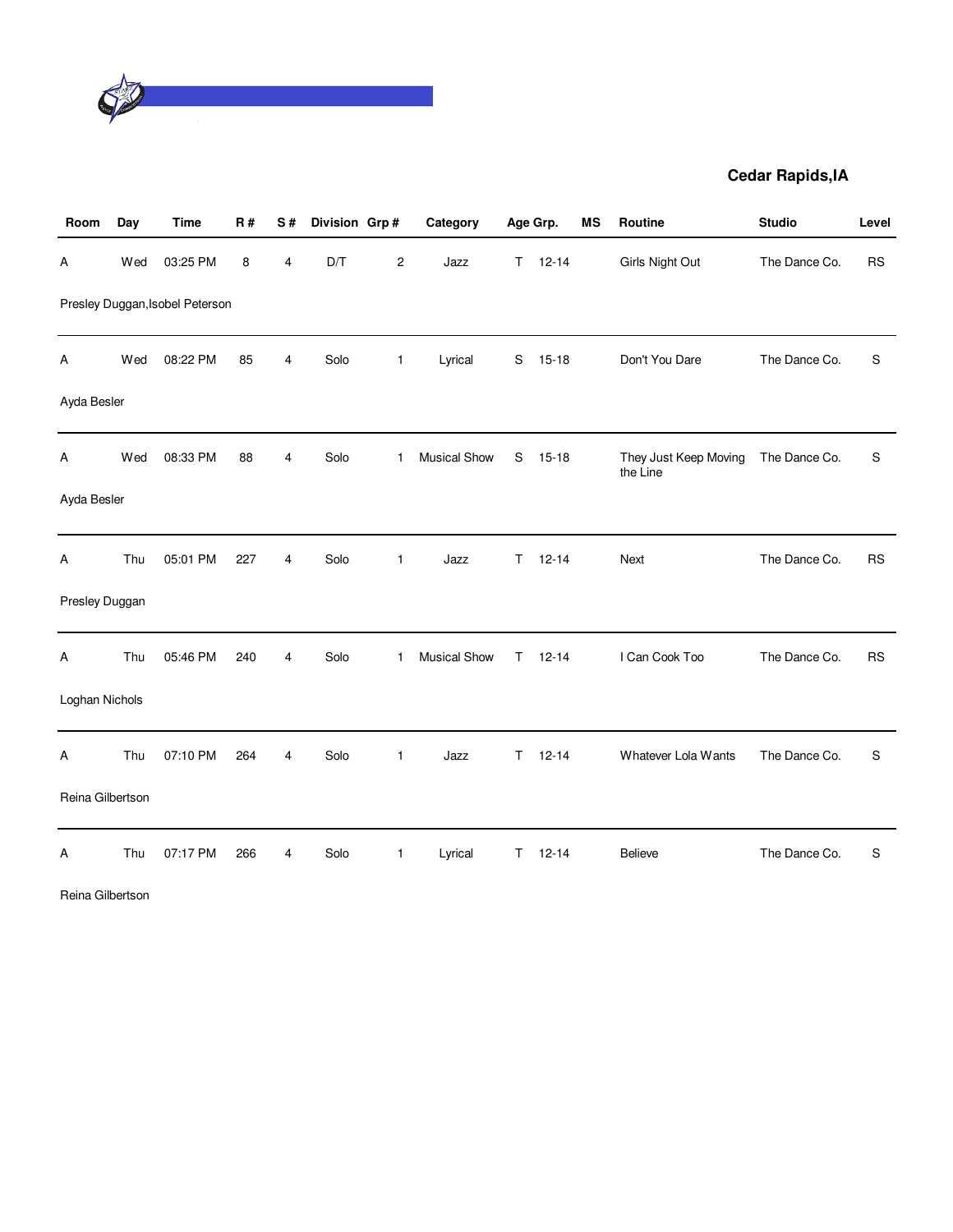

| Room             | Day | <b>Time</b>                     | R#  | S#             | Division Grp# |                         | Category            |             | Age Grp.  | MS | Routine                           | <b>Studio</b> | Level     |
|------------------|-----|---------------------------------|-----|----------------|---------------|-------------------------|---------------------|-------------|-----------|----|-----------------------------------|---------------|-----------|
| Α                | Wed | 03:25 PM                        | 8   | 4              | D/T           | $\overline{\mathbf{c}}$ | Jazz                | T.          | $12 - 14$ |    | Girls Night Out                   | The Dance Co. | <b>RS</b> |
|                  |     | Presley Duggan, Isobel Peterson |     |                |               |                         |                     |             |           |    |                                   |               |           |
| Α                | Wed | 08:22 PM                        | 85  | 4              | Solo          | $\mathbf{1}$            | Lyrical             | $\mathbf S$ | $15 - 18$ |    | Don't You Dare                    | The Dance Co. | S         |
| Ayda Besler      |     |                                 |     |                |               |                         |                     |             |           |    |                                   |               |           |
| Α                | Wed | 08:33 PM                        | 88  | 4              | Solo          | 1.                      | <b>Musical Show</b> | S           | $15 - 18$ |    | They Just Keep Moving<br>the Line | The Dance Co. | S         |
| Ayda Besler      |     |                                 |     |                |               |                         |                     |             |           |    |                                   |               |           |
| Α                | Thu | 05:01 PM                        | 227 | $\overline{4}$ | Solo          | $\mathbf{1}$            | Jazz                | T.          | $12 - 14$ |    | Next                              | The Dance Co. | <b>RS</b> |
| Presley Duggan   |     |                                 |     |                |               |                         |                     |             |           |    |                                   |               |           |
| Α                | Thu | 05:46 PM                        | 240 | 4              | Solo          | 1                       | <b>Musical Show</b> | T.          | $12 - 14$ |    | I Can Cook Too                    | The Dance Co. | <b>RS</b> |
| Loghan Nichols   |     |                                 |     |                |               |                         |                     |             |           |    |                                   |               |           |
| A                | Thu | 07:10 PM                        | 264 | 4              | Solo          | $\mathbf{1}$            | Jazz                | T           | $12 - 14$ |    | Whatever Lola Wants               | The Dance Co. | S         |
| Reina Gilbertson |     |                                 |     |                |               |                         |                     |             |           |    |                                   |               |           |
| Α                | Thu | 07:17 PM                        | 266 | 4              | Solo          | $\mathbf{1}$            | Lyrical             | T           | $12 - 14$ |    | <b>Believe</b>                    | The Dance Co. | S         |

Reina Gilbertson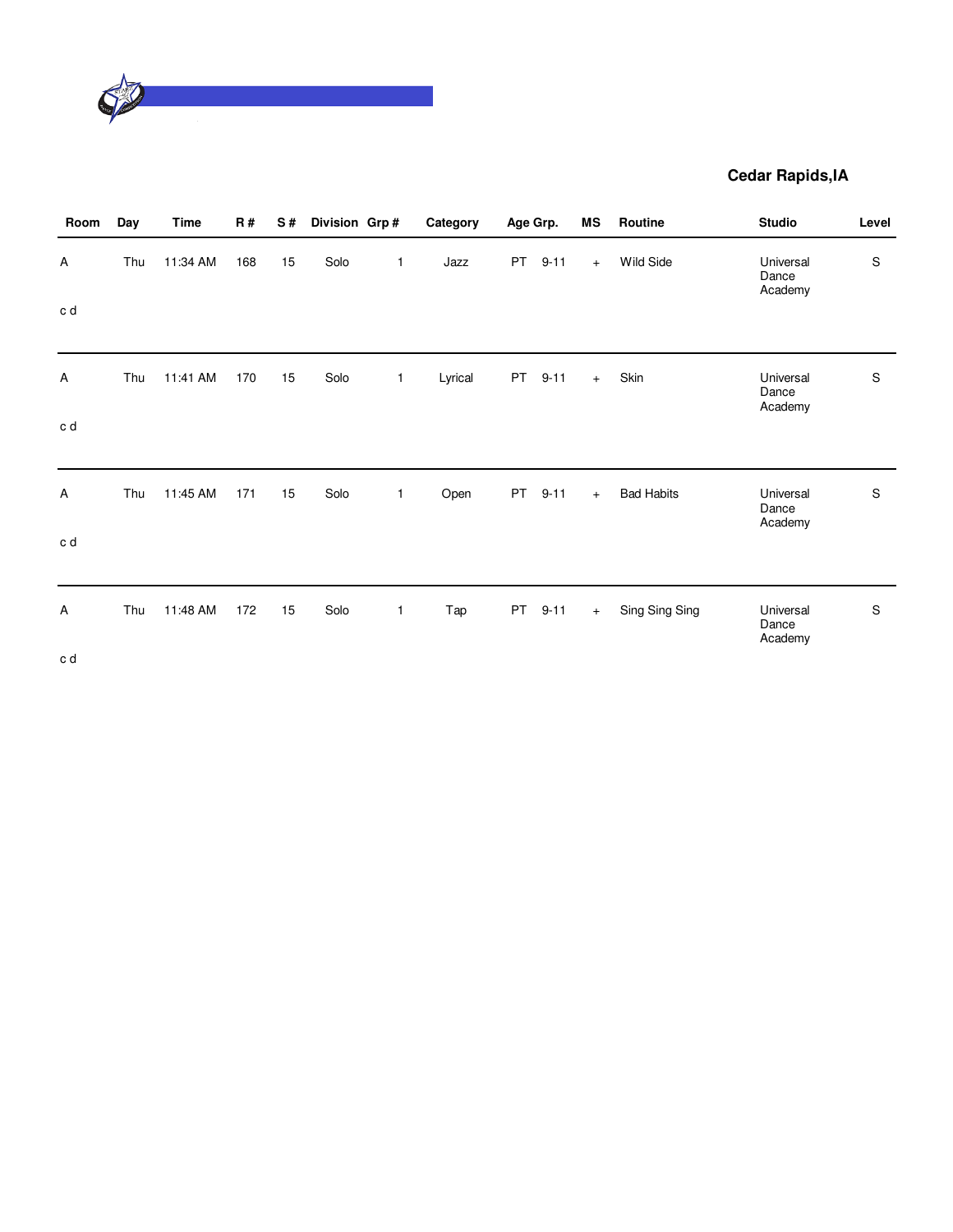

| Room   | Day | Time     | <b>R#</b> | S# | Division Grp# |              | Category |           | Age Grp. | MS  | Routine           | <b>Studio</b>                 | Level         |
|--------|-----|----------|-----------|----|---------------|--------------|----------|-----------|----------|-----|-------------------|-------------------------------|---------------|
| Α      | Thu | 11:34 AM | 168       | 15 | Solo          | $\mathbf{1}$ | Jazz     | <b>PT</b> | $9 - 11$ | $+$ | Wild Side         | Universal<br>Dance<br>Academy | $\mathsf S$   |
| c d    |     |          |           |    |               |              |          |           |          |     |                   |                               |               |
| Α      | Thu | 11:41 AM | 170       | 15 | Solo          | $\mathbf{1}$ | Lyrical  | PT        | $9 - 11$ | $+$ | Skin              | Universal<br>Dance<br>Academy | $\mathsf S$   |
| c d    |     |          |           |    |               |              |          |           |          |     |                   |                               |               |
| Α      | Thu | 11:45 AM | 171       | 15 | Solo          | $\mathbf{1}$ | Open     | PT        | $9 - 11$ | $+$ | <b>Bad Habits</b> | Universal<br>Dance<br>Academy | ${\mathbb S}$ |
| c d    |     |          |           |    |               |              |          |           |          |     |                   |                               |               |
| Α      | Thu | 11:48 AM | 172       | 15 | Solo          | $\mathbf{1}$ | Tap      | PT        | $9 - 11$ | $+$ | Sing Sing Sing    | Universal<br>Dance<br>Academy | ${\mathbb S}$ |
| $\sim$ |     |          |           |    |               |              |          |           |          |     |                   |                               |               |

c d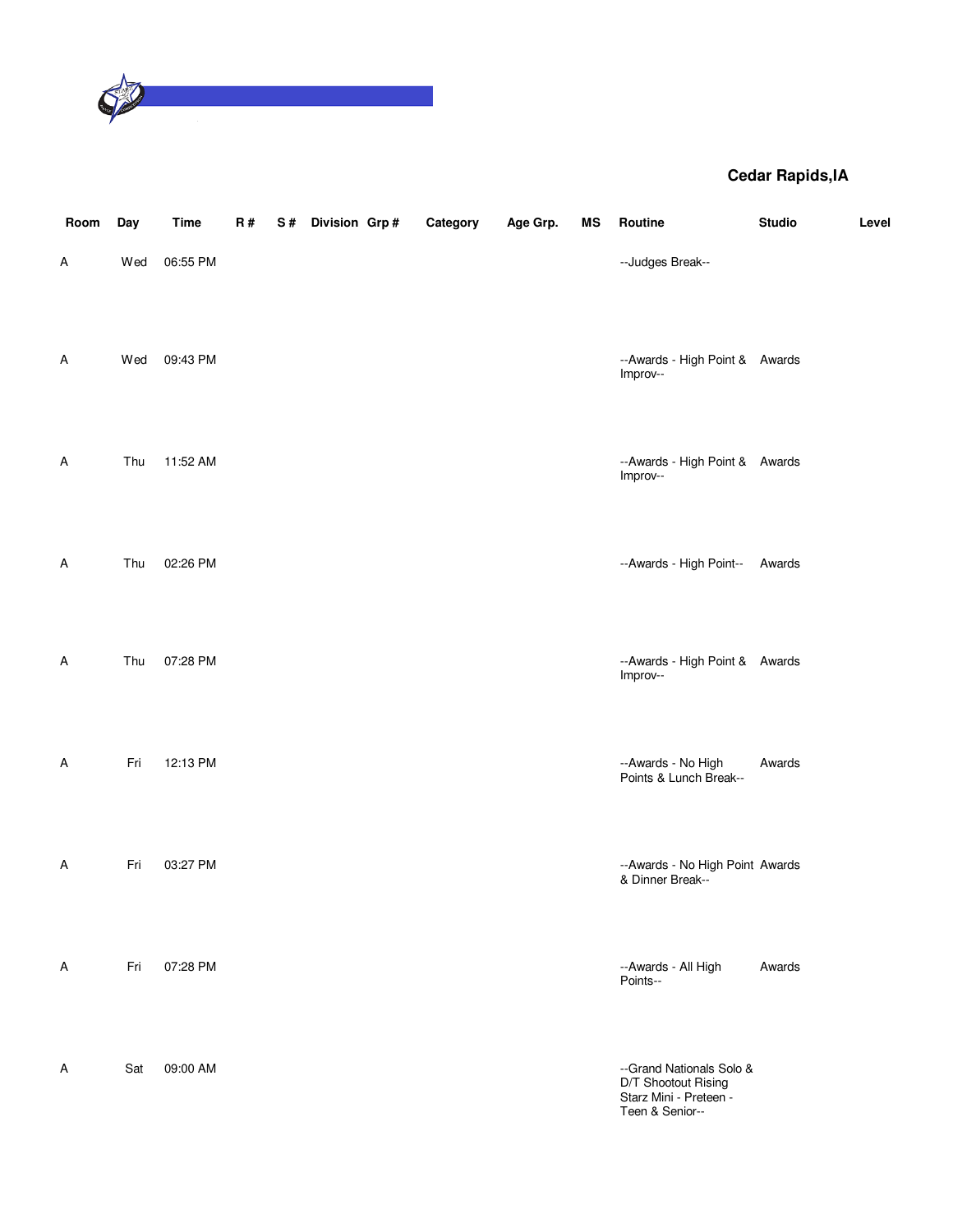

| Room | Day | <b>Time</b> | R# | S# | Division Grp# | Category | Age Grp. | ΜS | Routine                                                                                      | <b>Studio</b> | Level |
|------|-----|-------------|----|----|---------------|----------|----------|----|----------------------------------------------------------------------------------------------|---------------|-------|
| Α    | Wed | 06:55 PM    |    |    |               |          |          |    | --Judges Break--                                                                             |               |       |
| Α    | Wed | 09:43 PM    |    |    |               |          |          |    | --Awards - High Point & Awards<br>Improv--                                                   |               |       |
| Α    | Thu | 11:52 AM    |    |    |               |          |          |    | --Awards - High Point & Awards<br>Improv--                                                   |               |       |
| Α    | Thu | 02:26 PM    |    |    |               |          |          |    | --Awards - High Point--                                                                      | Awards        |       |
| Α    | Thu | 07:28 PM    |    |    |               |          |          |    | --Awards - High Point & Awards<br>Improv--                                                   |               |       |
| Α    | Fri | 12:13 PM    |    |    |               |          |          |    | --Awards - No High<br>Points & Lunch Break--                                                 | Awards        |       |
| Α    | Fri | 03:27 PM    |    |    |               |          |          |    | --Awards - No High Point Awards<br>& Dinner Break--                                          |               |       |
| A    | Fri | 07:28 PM    |    |    |               |          |          |    | --Awards - All High<br>Points--                                                              | Awards        |       |
| Α    | Sat | 09:00 AM    |    |    |               |          |          |    | --Grand Nationals Solo &<br>D/T Shootout Rising<br>Starz Mini - Preteen -<br>Teen & Senior-- |               |       |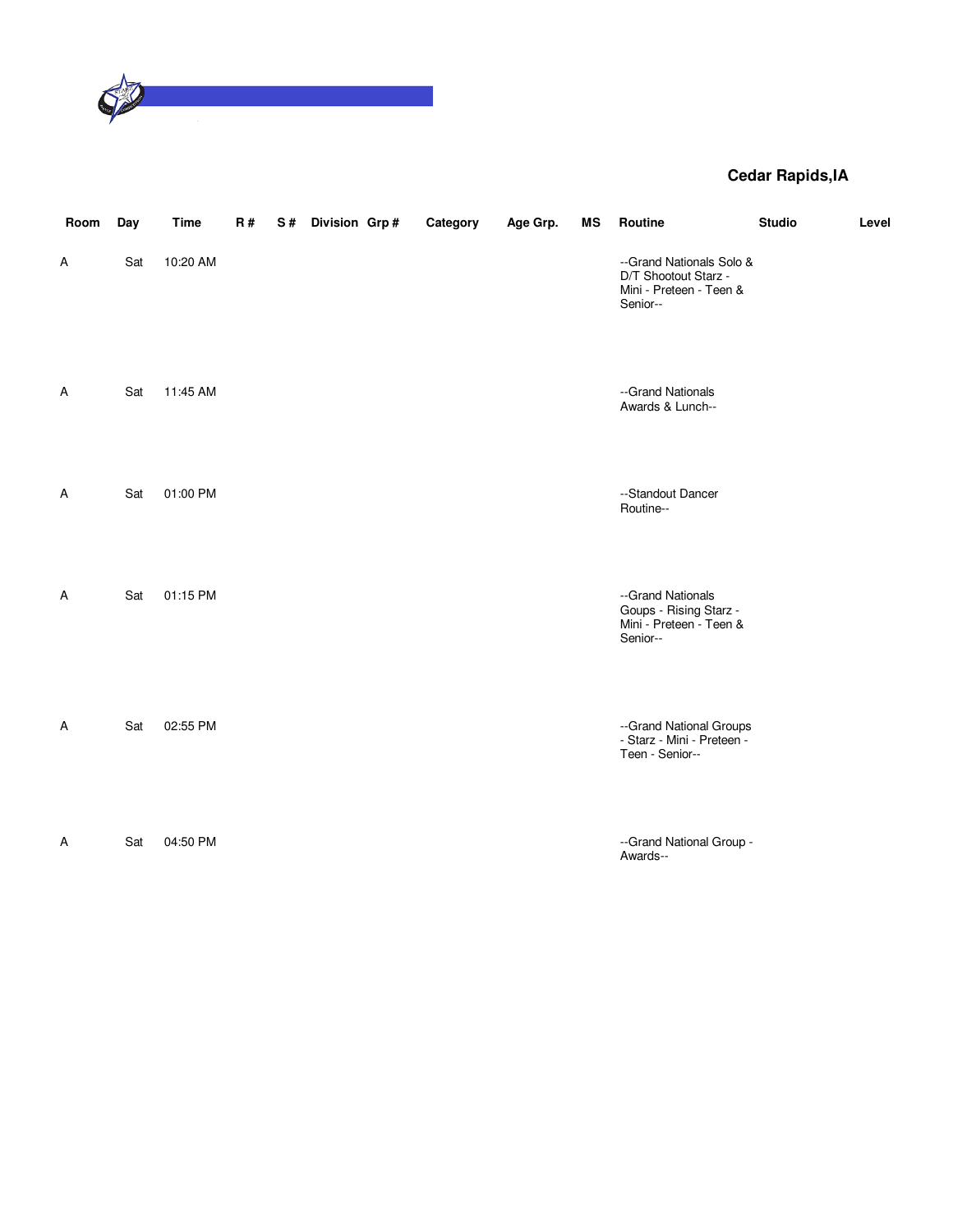

| Room | Day | <b>Time</b> | R# | S# | Division Grp# | Category | Age Grp. | ΜS | Routine                                                                                 | <b>Studio</b> | Level |
|------|-----|-------------|----|----|---------------|----------|----------|----|-----------------------------------------------------------------------------------------|---------------|-------|
| Α    | Sat | 10:20 AM    |    |    |               |          |          |    | --Grand Nationals Solo &<br>D/T Shootout Starz -<br>Mini - Preteen - Teen &<br>Senior-- |               |       |
| Α    | Sat | 11:45 AM    |    |    |               |          |          |    | --Grand Nationals<br>Awards & Lunch--                                                   |               |       |
| Α    | Sat | 01:00 PM    |    |    |               |          |          |    | --Standout Dancer<br>Routine--                                                          |               |       |
| Α    | Sat | 01:15 PM    |    |    |               |          |          |    | --Grand Nationals<br>Goups - Rising Starz -<br>Mini - Preteen - Teen &<br>Senior--      |               |       |
| Α    | Sat | 02:55 PM    |    |    |               |          |          |    | --Grand National Groups<br>- Starz - Mini - Preteen -<br>Teen - Senior--                |               |       |
| Α    | Sat | 04:50 PM    |    |    |               |          |          |    | --Grand National Group -<br>Awards--                                                    |               |       |